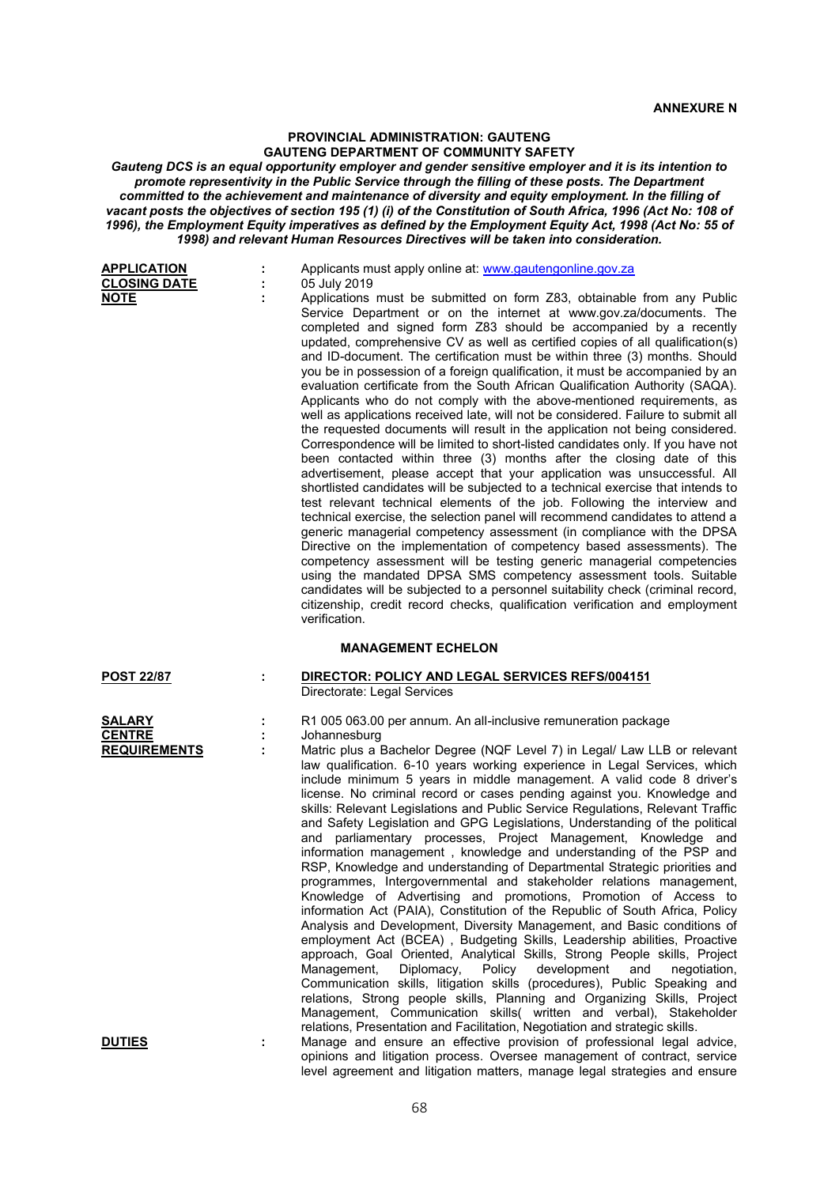## **PROVINCIAL ADMINISTRATION: GAUTENG GAUTENG DEPARTMENT OF COMMUNITY SAFETY**

*Gauteng DCS is an equal opportunity employer and gender sensitive employer and it is its intention to promote representivity in the Public Service through the filling of these posts. The Department committed to the achievement and maintenance of diversity and equity employment. In the filling of vacant posts the objectives of section 195 (1) (i) of the Constitution of South Africa, 1996 (Act No: 108 of 1996), the Employment Equity imperatives as defined by the Employment Equity Act, 1998 (Act No: 55 of 1998) and relevant Human Resources Directives will be taken into consideration.*

| <b>APPLICATION</b><br><b>CLOSING DATE</b><br><b>NOTE</b> | Applicants must apply online at: www.gautengonline.gov.za<br>05 July 2019<br>Applications must be submitted on form Z83, obtainable from any Public                                                                                                                                                                                                                                                                                                                                                                                                                                                                                                                                                                                                                                                                                                                                                                                                                                                                                                                                                                                                                                                                                                                                                                                                                                                                                                                                                                                                                                                                                                                                                  |
|----------------------------------------------------------|------------------------------------------------------------------------------------------------------------------------------------------------------------------------------------------------------------------------------------------------------------------------------------------------------------------------------------------------------------------------------------------------------------------------------------------------------------------------------------------------------------------------------------------------------------------------------------------------------------------------------------------------------------------------------------------------------------------------------------------------------------------------------------------------------------------------------------------------------------------------------------------------------------------------------------------------------------------------------------------------------------------------------------------------------------------------------------------------------------------------------------------------------------------------------------------------------------------------------------------------------------------------------------------------------------------------------------------------------------------------------------------------------------------------------------------------------------------------------------------------------------------------------------------------------------------------------------------------------------------------------------------------------------------------------------------------------|
|                                                          | Service Department or on the internet at www.gov.za/documents. The<br>completed and signed form Z83 should be accompanied by a recently<br>updated, comprehensive CV as well as certified copies of all qualification(s)<br>and ID-document. The certification must be within three (3) months. Should<br>you be in possession of a foreign qualification, it must be accompanied by an<br>evaluation certificate from the South African Qualification Authority (SAQA).<br>Applicants who do not comply with the above-mentioned requirements, as<br>well as applications received late, will not be considered. Failure to submit all<br>the requested documents will result in the application not being considered.<br>Correspondence will be limited to short-listed candidates only. If you have not<br>been contacted within three (3) months after the closing date of this<br>advertisement, please accept that your application was unsuccessful. All<br>shortlisted candidates will be subjected to a technical exercise that intends to<br>test relevant technical elements of the job. Following the interview and<br>technical exercise, the selection panel will recommend candidates to attend a<br>generic managerial competency assessment (in compliance with the DPSA<br>Directive on the implementation of competency based assessments). The<br>competency assessment will be testing generic managerial competencies<br>using the mandated DPSA SMS competency assessment tools. Suitable<br>candidates will be subjected to a personnel suitability check (criminal record,<br>citizenship, credit record checks, qualification verification and employment<br>verification. |
|                                                          | <b>MANAGEMENT ECHELON</b>                                                                                                                                                                                                                                                                                                                                                                                                                                                                                                                                                                                                                                                                                                                                                                                                                                                                                                                                                                                                                                                                                                                                                                                                                                                                                                                                                                                                                                                                                                                                                                                                                                                                            |
| <b>POST 22/87</b>                                        | DIRECTOR: POLICY AND LEGAL SERVICES REFS/004151<br>Directorate: Legal Services                                                                                                                                                                                                                                                                                                                                                                                                                                                                                                                                                                                                                                                                                                                                                                                                                                                                                                                                                                                                                                                                                                                                                                                                                                                                                                                                                                                                                                                                                                                                                                                                                       |
| <b>SALARY</b><br><b>CENTRE</b><br><b>REQUIREMENTS</b>    | R1 005 063.00 per annum. An all-inclusive remuneration package<br>Johannesburg<br>Matric plus a Bachelor Degree (NQF Level 7) in Legal/ Law LLB or relevant<br>law qualification. 6-10 years working experience in Legal Services, which<br>include minimum 5 years in middle management. A valid code 8 driver's<br>license. No criminal record or cases pending against you. Knowledge and<br>skills: Relevant Legislations and Public Service Regulations, Relevant Traffic<br>and Safety Legislation and GPG Legislations, Understanding of the political<br>and parliamentary processes, Project Management, Knowledge and<br>information management, knowledge and understanding of the PSP and<br>RSP, Knowledge and understanding of Departmental Strategic priorities and<br>programmes, Intergovernmental and stakeholder relations management,<br>Knowledge of Advertising and promotions, Promotion of Access to<br>information Act (PAIA), Constitution of the Republic of South Africa, Policy<br>Analysis and Development, Diversity Management, and Basic conditions of<br>employment Act (BCEA), Budgeting Skills, Leadership abilities, Proactive<br>approach, Goal Oriented, Analytical Skills, Strong People skills, Project<br>development<br>Management,<br>Diplomacy,<br>Policy<br>and<br>negotiation,<br>Communication skills, litigation skills (procedures), Public Speaking and<br>relations, Strong people skills, Planning and Organizing Skills, Project<br>Management, Communication skills( written and verbal), Stakeholder<br>relations, Presentation and Facilitation, Negotiation and strategic skills.                                                          |
| <b>DUTIES</b>                                            | Manage and ensure an effective provision of professional legal advice,                                                                                                                                                                                                                                                                                                                                                                                                                                                                                                                                                                                                                                                                                                                                                                                                                                                                                                                                                                                                                                                                                                                                                                                                                                                                                                                                                                                                                                                                                                                                                                                                                               |

level agreement and litigation matters, manage legal strategies and ensure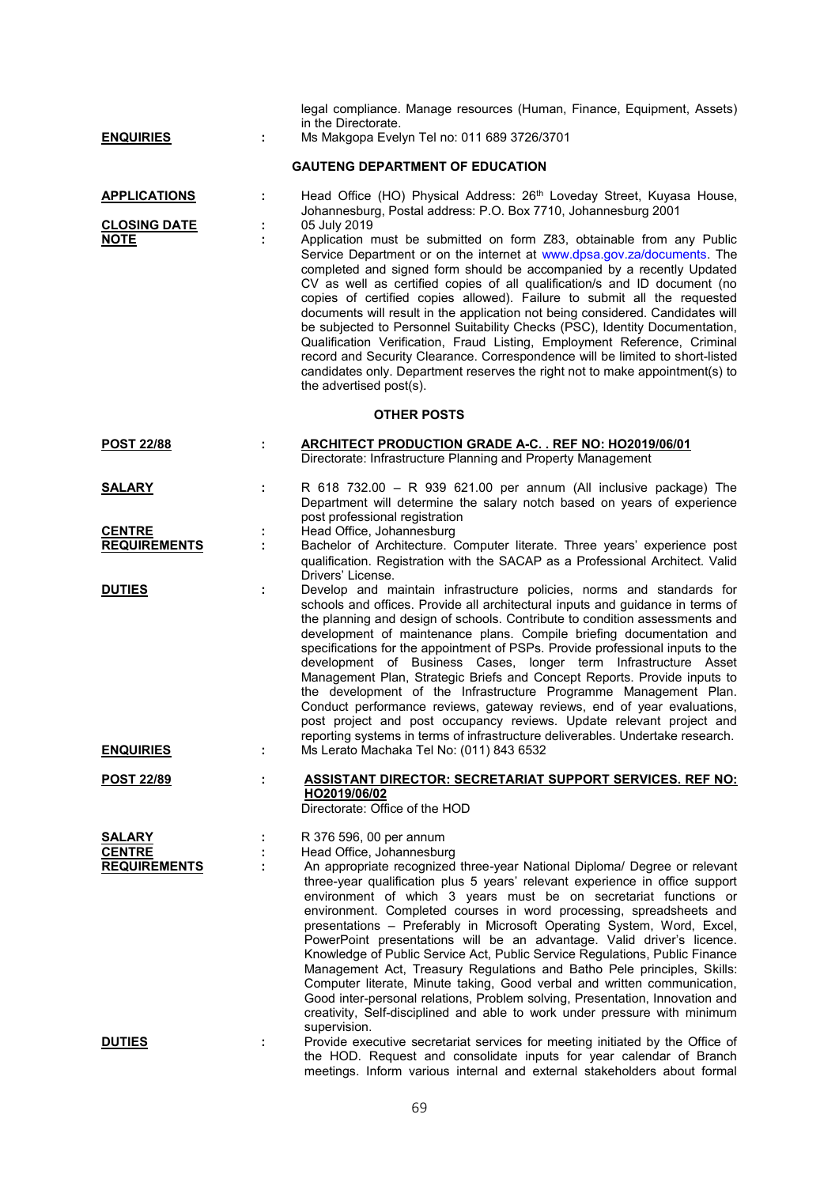| <b>ENQUIRIES</b>                                          | ÷      | legal compliance. Manage resources (Human, Finance, Equipment, Assets)<br>in the Directorate.<br>Ms Makgopa Evelyn Tel no: 011 689 3726/3701                                                                                                                                                                                                                                                                                                                                                                                                                                                                                                                                                                                                                                                                                                                                                                                                                                            |
|-----------------------------------------------------------|--------|-----------------------------------------------------------------------------------------------------------------------------------------------------------------------------------------------------------------------------------------------------------------------------------------------------------------------------------------------------------------------------------------------------------------------------------------------------------------------------------------------------------------------------------------------------------------------------------------------------------------------------------------------------------------------------------------------------------------------------------------------------------------------------------------------------------------------------------------------------------------------------------------------------------------------------------------------------------------------------------------|
|                                                           |        | <b>GAUTENG DEPARTMENT OF EDUCATION</b>                                                                                                                                                                                                                                                                                                                                                                                                                                                                                                                                                                                                                                                                                                                                                                                                                                                                                                                                                  |
| <b>APPLICATIONS</b><br><b>CLOSING DATE</b><br><b>NOTE</b> | ÷<br>÷ | Head Office (HO) Physical Address: 26th Loveday Street, Kuyasa House,<br>Johannesburg, Postal address: P.O. Box 7710, Johannesburg 2001<br>05 July 2019<br>Application must be submitted on form Z83, obtainable from any Public<br>Service Department or on the internet at www.dpsa.gov.za/documents. The<br>completed and signed form should be accompanied by a recently Updated<br>CV as well as certified copies of all qualification/s and ID document (no<br>copies of certified copies allowed). Failure to submit all the requested<br>documents will result in the application not being considered. Candidates will<br>be subjected to Personnel Suitability Checks (PSC), Identity Documentation,<br>Qualification Verification, Fraud Listing, Employment Reference, Criminal<br>record and Security Clearance. Correspondence will be limited to short-listed<br>candidates only. Department reserves the right not to make appointment(s) to<br>the advertised post(s). |
|                                                           |        | <b>OTHER POSTS</b>                                                                                                                                                                                                                                                                                                                                                                                                                                                                                                                                                                                                                                                                                                                                                                                                                                                                                                                                                                      |
| <b>POST 22/88</b>                                         | ÷      | <b>ARCHITECT PRODUCTION GRADE A-C. . REF NO: HO2019/06/01</b><br>Directorate: Infrastructure Planning and Property Management                                                                                                                                                                                                                                                                                                                                                                                                                                                                                                                                                                                                                                                                                                                                                                                                                                                           |
| <b>SALARY</b>                                             | ÷      | R 618 732.00 - R 939 621.00 per annum (All inclusive package) The<br>Department will determine the salary notch based on years of experience<br>post professional registration                                                                                                                                                                                                                                                                                                                                                                                                                                                                                                                                                                                                                                                                                                                                                                                                          |
| <b>CENTRE</b><br><b>REQUIREMENTS</b>                      | ÷      | Head Office, Johannesburg<br>Bachelor of Architecture. Computer literate. Three years' experience post<br>qualification. Registration with the SACAP as a Professional Architect. Valid<br>Drivers' License.                                                                                                                                                                                                                                                                                                                                                                                                                                                                                                                                                                                                                                                                                                                                                                            |
| <b>DUTIES</b><br><b>ENQUIRIES</b>                         | ÷      | Develop and maintain infrastructure policies, norms and standards for<br>schools and offices. Provide all architectural inputs and guidance in terms of<br>the planning and design of schools. Contribute to condition assessments and<br>development of maintenance plans. Compile briefing documentation and<br>specifications for the appointment of PSPs. Provide professional inputs to the<br>development of Business Cases, longer term Infrastructure Asset<br>Management Plan, Strategic Briefs and Concept Reports. Provide inputs to<br>the development of the Infrastructure Programme Management Plan.<br>Conduct performance reviews, gateway reviews, end of year evaluations,<br>post project and post occupancy reviews. Update relevant project and<br>reporting systems in terms of infrastructure deliverables. Undertake research.<br>Ms Lerato Machaka Tel No: (011) 843 6532                                                                                     |
| <b>POST 22/89</b>                                         |        | <b>ASSISTANT DIRECTOR: SECRETARIAT SUPPORT SERVICES. REF NO:</b>                                                                                                                                                                                                                                                                                                                                                                                                                                                                                                                                                                                                                                                                                                                                                                                                                                                                                                                        |
|                                                           |        | HO2019/06/02<br>Directorate: Office of the HOD                                                                                                                                                                                                                                                                                                                                                                                                                                                                                                                                                                                                                                                                                                                                                                                                                                                                                                                                          |
| <b>SALARY</b><br><b>CENTRE</b><br><b>REQUIREMENTS</b>     | ÷<br>÷ | R 376 596, 00 per annum<br>Head Office, Johannesburg<br>An appropriate recognized three-year National Diploma/ Degree or relevant<br>three-year qualification plus 5 years' relevant experience in office support<br>environment of which 3 years must be on secretariat functions or<br>environment. Completed courses in word processing, spreadsheets and<br>presentations - Preferably in Microsoft Operating System, Word, Excel,<br>PowerPoint presentations will be an advantage. Valid driver's licence.<br>Knowledge of Public Service Act, Public Service Regulations, Public Finance<br>Management Act, Treasury Regulations and Batho Pele principles, Skills:<br>Computer literate, Minute taking, Good verbal and written communication,<br>Good inter-personal relations, Problem solving, Presentation, Innovation and<br>creativity, Self-disciplined and able to work under pressure with minimum<br>supervision.                                                     |
| <b>DUTIES</b>                                             |        | Provide executive secretariat services for meeting initiated by the Office of<br>the HOD. Request and consolidate inputs for year calendar of Branch<br>meetings. Inform various internal and external stakeholders about formal                                                                                                                                                                                                                                                                                                                                                                                                                                                                                                                                                                                                                                                                                                                                                        |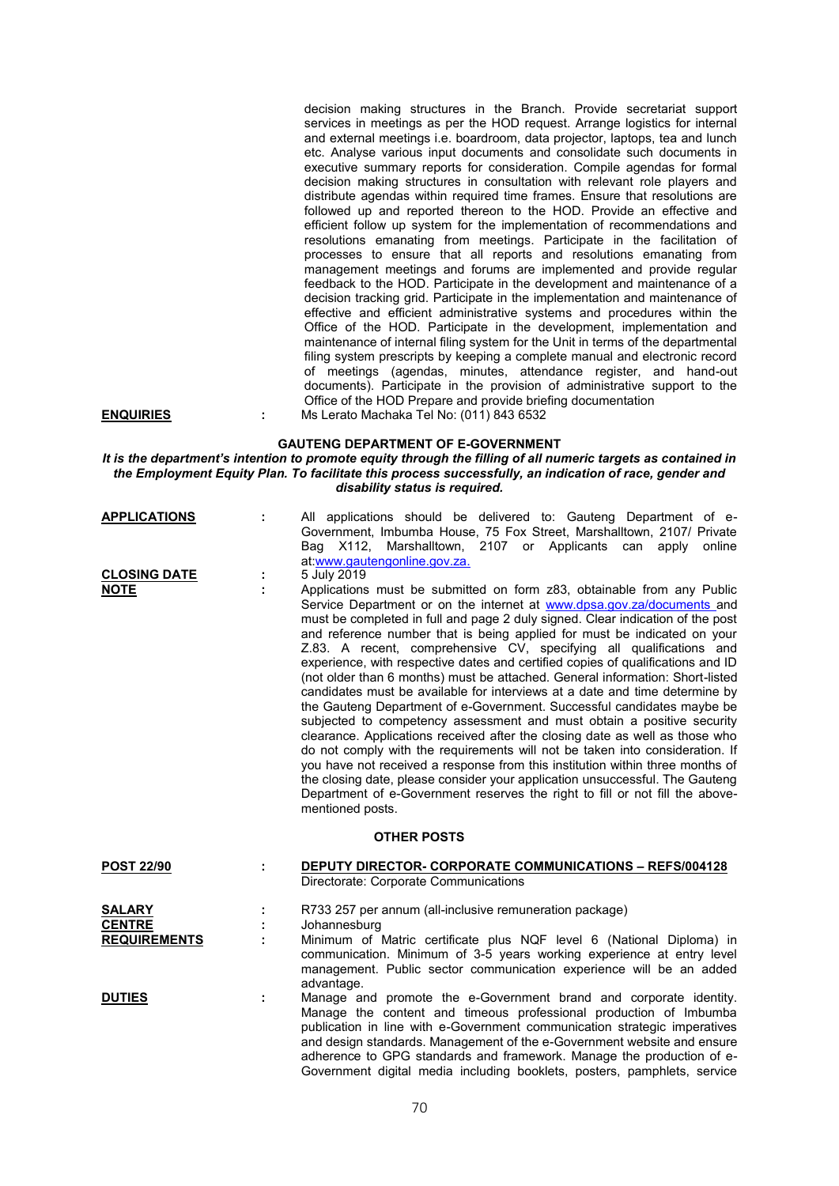|                                                       |    | decision making structures in the Branch. Provide secretariat support<br>services in meetings as per the HOD request. Arrange logistics for internal<br>and external meetings i.e. boardroom, data projector, laptops, tea and lunch<br>etc. Analyse various input documents and consolidate such documents in<br>executive summary reports for consideration. Compile agendas for formal<br>decision making structures in consultation with relevant role players and<br>distribute agendas within required time frames. Ensure that resolutions are<br>followed up and reported thereon to the HOD. Provide an effective and<br>efficient follow up system for the implementation of recommendations and<br>resolutions emanating from meetings. Participate in the facilitation of<br>processes to ensure that all reports and resolutions emanating from<br>management meetings and forums are implemented and provide regular<br>feedback to the HOD. Participate in the development and maintenance of a<br>decision tracking grid. Participate in the implementation and maintenance of<br>effective and efficient administrative systems and procedures within the<br>Office of the HOD. Participate in the development, implementation and<br>maintenance of internal filing system for the Unit in terms of the departmental<br>filing system prescripts by keeping a complete manual and electronic record<br>of meetings (agendas, minutes, attendance register, and hand-out<br>documents). Participate in the provision of administrative support to the<br>Office of the HOD Prepare and provide briefing documentation |
|-------------------------------------------------------|----|----------------------------------------------------------------------------------------------------------------------------------------------------------------------------------------------------------------------------------------------------------------------------------------------------------------------------------------------------------------------------------------------------------------------------------------------------------------------------------------------------------------------------------------------------------------------------------------------------------------------------------------------------------------------------------------------------------------------------------------------------------------------------------------------------------------------------------------------------------------------------------------------------------------------------------------------------------------------------------------------------------------------------------------------------------------------------------------------------------------------------------------------------------------------------------------------------------------------------------------------------------------------------------------------------------------------------------------------------------------------------------------------------------------------------------------------------------------------------------------------------------------------------------------------------------------------------------------------------------------------------------------|
| <b>ENQUIRIES</b>                                      | t. | Ms Lerato Machaka Tel No: (011) 843 6532                                                                                                                                                                                                                                                                                                                                                                                                                                                                                                                                                                                                                                                                                                                                                                                                                                                                                                                                                                                                                                                                                                                                                                                                                                                                                                                                                                                                                                                                                                                                                                                               |
|                                                       |    | <b>GAUTENG DEPARTMENT OF E-GOVERNMENT</b><br>It is the department's intention to promote equity through the filling of all numeric targets as contained in<br>the Employment Equity Plan. To facilitate this process successfully, an indication of race, gender and<br>disability status is required.                                                                                                                                                                                                                                                                                                                                                                                                                                                                                                                                                                                                                                                                                                                                                                                                                                                                                                                                                                                                                                                                                                                                                                                                                                                                                                                                 |
| <b>APPLICATIONS</b>                                   | ÷  | All applications should be delivered to: Gauteng Department of e-<br>Government, Imbumba House, 75 Fox Street, Marshalltown, 2107/ Private<br>Marshalltown, 2107 or Applicants can<br>Bag X112,<br>online<br>apply<br>at:www.gautengonline.gov.za.                                                                                                                                                                                                                                                                                                                                                                                                                                                                                                                                                                                                                                                                                                                                                                                                                                                                                                                                                                                                                                                                                                                                                                                                                                                                                                                                                                                     |
| <b>CLOSING DATE</b><br><b>NOTE</b>                    | ÷  | 5 July 2019<br>Applications must be submitted on form z83, obtainable from any Public<br>Service Department or on the internet at www.dpsa.gov.za/documents and<br>must be completed in full and page 2 duly signed. Clear indication of the post<br>and reference number that is being applied for must be indicated on your<br>Z.83. A recent, comprehensive CV, specifying all qualifications and<br>experience, with respective dates and certified copies of qualifications and ID<br>(not older than 6 months) must be attached. General information: Short-listed<br>candidates must be available for interviews at a date and time determine by<br>the Gauteng Department of e-Government. Successful candidates maybe be<br>subjected to competency assessment and must obtain a positive security<br>clearance. Applications received after the closing date as well as those who<br>do not comply with the requirements will not be taken into consideration. If<br>you have not received a response from this institution within three months of<br>the closing date, please consider your application unsuccessful. The Gauteng<br>Department of e-Government reserves the right to fill or not fill the above-<br>mentioned posts.                                                                                                                                                                                                                                                                                                                                                                                       |
|                                                       |    | <b>OTHER POSTS</b>                                                                                                                                                                                                                                                                                                                                                                                                                                                                                                                                                                                                                                                                                                                                                                                                                                                                                                                                                                                                                                                                                                                                                                                                                                                                                                                                                                                                                                                                                                                                                                                                                     |
| <u>POST 22/90</u>                                     | ÷  | <u> DEPUTY DIRECTOR- CORPORATE COMMUNICATIONS – REFS/004128</u><br>Directorate: Corporate Communications                                                                                                                                                                                                                                                                                                                                                                                                                                                                                                                                                                                                                                                                                                                                                                                                                                                                                                                                                                                                                                                                                                                                                                                                                                                                                                                                                                                                                                                                                                                               |
| <b>SALARY</b><br><b>CENTRE</b><br><b>REQUIREMENTS</b> |    | R733 257 per annum (all-inclusive remuneration package)<br>Johannesburg<br>Minimum of Matric certificate plus NQF level 6 (National Diploma) in<br>communication. Minimum of 3-5 years working experience at entry level<br>management. Public sector communication experience will be an added                                                                                                                                                                                                                                                                                                                                                                                                                                                                                                                                                                                                                                                                                                                                                                                                                                                                                                                                                                                                                                                                                                                                                                                                                                                                                                                                        |
| <b>DUTIES</b>                                         | ÷. | advantage.<br>Manage and promote the e-Government brand and corporate identity.<br>Manage the content and timeous professional production of Imbumba<br>publication in line with e-Government communication strategic imperatives<br>and design standards. Management of the e-Government website and ensure<br>adherence to GPG standards and framework. Manage the production of e-<br>Government digital media including booklets, posters, pamphlets, service                                                                                                                                                                                                                                                                                                                                                                                                                                                                                                                                                                                                                                                                                                                                                                                                                                                                                                                                                                                                                                                                                                                                                                      |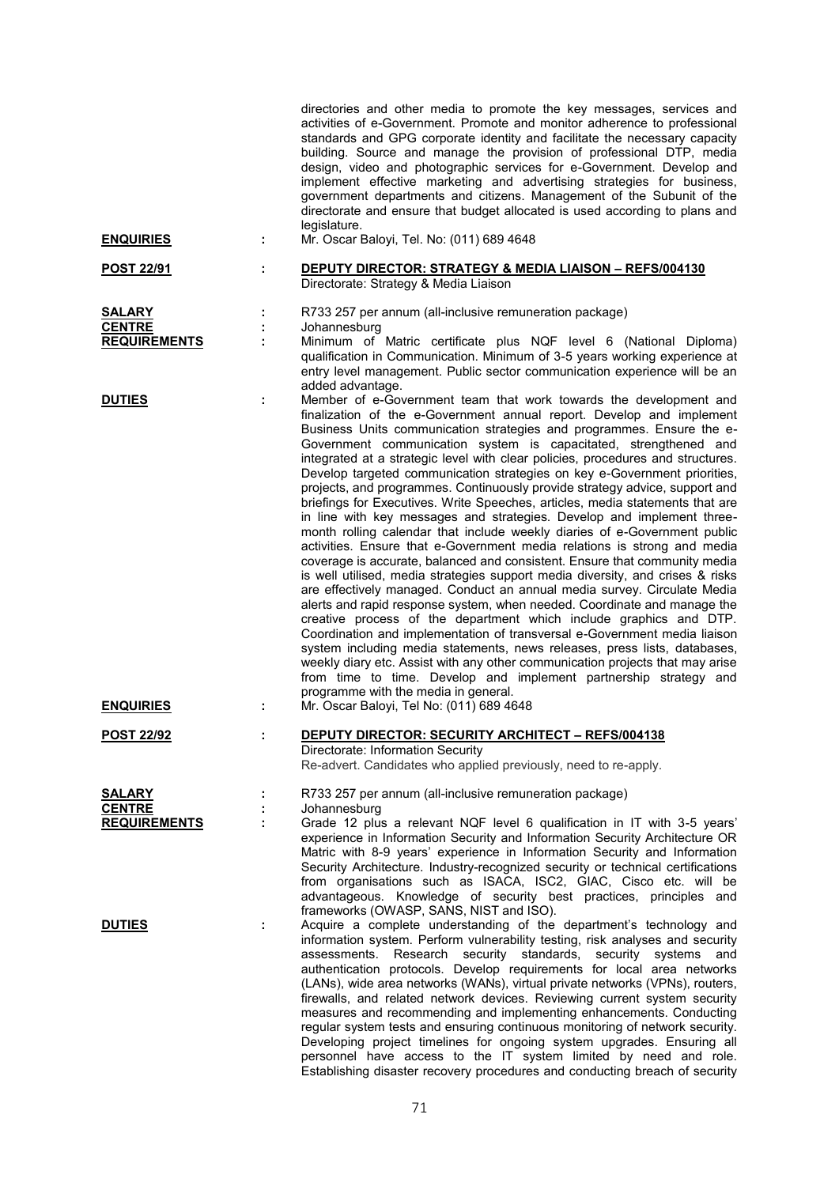|                                                       |        | directories and other media to promote the key messages, services and<br>activities of e-Government. Promote and monitor adherence to professional<br>standards and GPG corporate identity and facilitate the necessary capacity<br>building. Source and manage the provision of professional DTP, media<br>design, video and photographic services for e-Government. Develop and<br>implement effective marketing and advertising strategies for business,<br>government departments and citizens. Management of the Subunit of the<br>directorate and ensure that budget allocated is used according to plans and<br>legislature.                                                                                                                                                                                                                                                                                                                                                                                                                                                                                                                                                                                                                                                                                                                                                                                                                                                                                                                                                                                                                          |
|-------------------------------------------------------|--------|--------------------------------------------------------------------------------------------------------------------------------------------------------------------------------------------------------------------------------------------------------------------------------------------------------------------------------------------------------------------------------------------------------------------------------------------------------------------------------------------------------------------------------------------------------------------------------------------------------------------------------------------------------------------------------------------------------------------------------------------------------------------------------------------------------------------------------------------------------------------------------------------------------------------------------------------------------------------------------------------------------------------------------------------------------------------------------------------------------------------------------------------------------------------------------------------------------------------------------------------------------------------------------------------------------------------------------------------------------------------------------------------------------------------------------------------------------------------------------------------------------------------------------------------------------------------------------------------------------------------------------------------------------------|
| <b>ENQUIRIES</b>                                      | ÷      | Mr. Oscar Baloyi, Tel. No: (011) 689 4648                                                                                                                                                                                                                                                                                                                                                                                                                                                                                                                                                                                                                                                                                                                                                                                                                                                                                                                                                                                                                                                                                                                                                                                                                                                                                                                                                                                                                                                                                                                                                                                                                    |
| <b>POST 22/91</b>                                     |        | DEPUTY DIRECTOR: STRATEGY & MEDIA LIAISON - REFS/004130<br>Directorate: Strategy & Media Liaison                                                                                                                                                                                                                                                                                                                                                                                                                                                                                                                                                                                                                                                                                                                                                                                                                                                                                                                                                                                                                                                                                                                                                                                                                                                                                                                                                                                                                                                                                                                                                             |
| <b>SALARY</b><br><b>CENTRE</b>                        |        | R733 257 per annum (all-inclusive remuneration package)<br>Johannesburg                                                                                                                                                                                                                                                                                                                                                                                                                                                                                                                                                                                                                                                                                                                                                                                                                                                                                                                                                                                                                                                                                                                                                                                                                                                                                                                                                                                                                                                                                                                                                                                      |
| <b>REQUIREMENTS</b>                                   |        | Minimum of Matric certificate plus NQF level 6 (National Diploma)<br>qualification in Communication. Minimum of 3-5 years working experience at<br>entry level management. Public sector communication experience will be an<br>added advantage.                                                                                                                                                                                                                                                                                                                                                                                                                                                                                                                                                                                                                                                                                                                                                                                                                                                                                                                                                                                                                                                                                                                                                                                                                                                                                                                                                                                                             |
| <b>DUTIES</b><br><b>ENQUIRIES</b>                     | t.     | Member of e-Government team that work towards the development and<br>finalization of the e-Government annual report. Develop and implement<br>Business Units communication strategies and programmes. Ensure the e-<br>Government communication system is capacitated, strengthened and<br>integrated at a strategic level with clear policies, procedures and structures.<br>Develop targeted communication strategies on key e-Government priorities,<br>projects, and programmes. Continuously provide strategy advice, support and<br>briefings for Executives. Write Speeches, articles, media statements that are<br>in line with key messages and strategies. Develop and implement three-<br>month rolling calendar that include weekly diaries of e-Government public<br>activities. Ensure that e-Government media relations is strong and media<br>coverage is accurate, balanced and consistent. Ensure that community media<br>is well utilised, media strategies support media diversity, and crises & risks<br>are effectively managed. Conduct an annual media survey. Circulate Media<br>alerts and rapid response system, when needed. Coordinate and manage the<br>creative process of the department which include graphics and DTP.<br>Coordination and implementation of transversal e-Government media liaison<br>system including media statements, news releases, press lists, databases,<br>weekly diary etc. Assist with any other communication projects that may arise<br>from time to time. Develop and implement partnership strategy and<br>programme with the media in general.<br>Mr. Oscar Baloyi, Tel No: (011) 689 4648 |
| <b>POST 22/92</b>                                     |        | DEPUTY DIRECTOR: SECURITY ARCHITECT - REFS/004138<br>Directorate: Information Security<br>Re-advert. Candidates who applied previously, need to re-apply.                                                                                                                                                                                                                                                                                                                                                                                                                                                                                                                                                                                                                                                                                                                                                                                                                                                                                                                                                                                                                                                                                                                                                                                                                                                                                                                                                                                                                                                                                                    |
| <b>SALARY</b><br><b>CENTRE</b><br><b>REQUIREMENTS</b> | ÷<br>÷ | R733 257 per annum (all-inclusive remuneration package)<br>Johannesburg<br>Grade 12 plus a relevant NQF level 6 qualification in IT with 3-5 years'<br>experience in Information Security and Information Security Architecture OR<br>Matric with 8-9 years' experience in Information Security and Information<br>Security Architecture. Industry-recognized security or technical certifications<br>from organisations such as ISACA, ISC2, GIAC, Cisco etc. will be<br>advantageous. Knowledge of security best practices, principles and                                                                                                                                                                                                                                                                                                                                                                                                                                                                                                                                                                                                                                                                                                                                                                                                                                                                                                                                                                                                                                                                                                                 |
| <b>DUTIES</b>                                         | ÷      | frameworks (OWASP, SANS, NIST and ISO).<br>Acquire a complete understanding of the department's technology and<br>information system. Perform vulnerability testing, risk analyses and security<br>assessments.<br>Research<br>security<br>standards,<br>security systems<br>and<br>authentication protocols. Develop requirements for local area networks<br>(LANs), wide area networks (WANs), virtual private networks (VPNs), routers,<br>firewalls, and related network devices. Reviewing current system security<br>measures and recommending and implementing enhancements. Conducting<br>regular system tests and ensuring continuous monitoring of network security.<br>Developing project timelines for ongoing system upgrades. Ensuring all<br>personnel have access to the IT system limited by need and role.<br>Establishing disaster recovery procedures and conducting breach of security                                                                                                                                                                                                                                                                                                                                                                                                                                                                                                                                                                                                                                                                                                                                                  |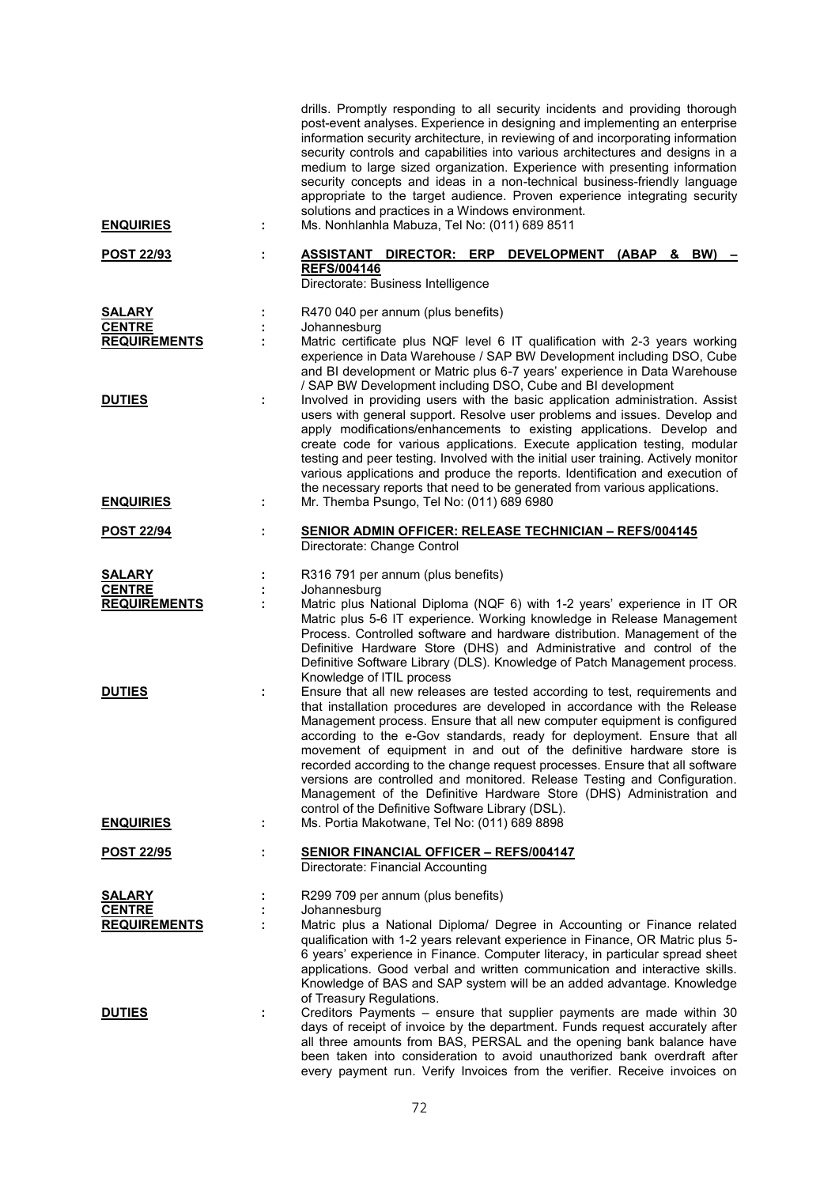| <b>ENQUIRIES</b>                                      | ÷ | drills. Promptly responding to all security incidents and providing thorough<br>post-event analyses. Experience in designing and implementing an enterprise<br>information security architecture, in reviewing of and incorporating information<br>security controls and capabilities into various architectures and designs in a<br>medium to large sized organization. Experience with presenting information<br>security concepts and ideas in a non-technical business-friendly language<br>appropriate to the target audience. Proven experience integrating security<br>solutions and practices in a Windows environment.<br>Ms. Nonhlanhla Mabuza, Tel No: (011) 689 8511  |
|-------------------------------------------------------|---|-----------------------------------------------------------------------------------------------------------------------------------------------------------------------------------------------------------------------------------------------------------------------------------------------------------------------------------------------------------------------------------------------------------------------------------------------------------------------------------------------------------------------------------------------------------------------------------------------------------------------------------------------------------------------------------|
| POST 22/93                                            |   | DEVELOPMENT (ABAP<br><u>ASSISTANT DIRECTOR: ERP</u><br>BW)<br>&<br><b>REFS/004146</b><br>Directorate: Business Intelligence                                                                                                                                                                                                                                                                                                                                                                                                                                                                                                                                                       |
| <b>SALARY</b><br><b>CENTRE</b><br><b>REQUIREMENTS</b> |   | R470 040 per annum (plus benefits)<br>Johannesburg<br>Matric certificate plus NQF level 6 IT qualification with 2-3 years working<br>experience in Data Warehouse / SAP BW Development including DSO, Cube<br>and BI development or Matric plus 6-7 years' experience in Data Warehouse<br>/ SAP BW Development including DSO, Cube and BI development                                                                                                                                                                                                                                                                                                                            |
| <b>DUTIES</b>                                         | t | Involved in providing users with the basic application administration. Assist<br>users with general support. Resolve user problems and issues. Develop and<br>apply modifications/enhancements to existing applications. Develop and<br>create code for various applications. Execute application testing, modular<br>testing and peer testing. Involved with the initial user training. Actively monitor<br>various applications and produce the reports. Identification and execution of<br>the necessary reports that need to be generated from various applications.                                                                                                          |
| <b>ENQUIRIES</b>                                      | ÷ | Mr. Themba Psungo, Tel No: (011) 689 6980                                                                                                                                                                                                                                                                                                                                                                                                                                                                                                                                                                                                                                         |
| <b>POST 22/94</b>                                     |   | <b>SENIOR ADMIN OFFICER: RELEASE TECHNICIAN - REFS/004145</b><br>Directorate: Change Control                                                                                                                                                                                                                                                                                                                                                                                                                                                                                                                                                                                      |
| <b>SALARY</b><br><b>CENTRE</b><br><b>REQUIREMENTS</b> | ÷ | R316 791 per annum (plus benefits)<br>Johannesburg<br>Matric plus National Diploma (NQF 6) with 1-2 years' experience in IT OR<br>Matric plus 5-6 IT experience. Working knowledge in Release Management<br>Process. Controlled software and hardware distribution. Management of the<br>Definitive Hardware Store (DHS) and Administrative and control of the<br>Definitive Software Library (DLS). Knowledge of Patch Management process.<br>Knowledge of ITIL process                                                                                                                                                                                                          |
| <b>DUTIES</b>                                         |   | Ensure that all new releases are tested according to test, requirements and<br>that installation procedures are developed in accordance with the Release<br>Management process. Ensure that all new computer equipment is configured<br>according to the e-Gov standards, ready for deployment. Ensure that all<br>movement of equipment in and out of the definitive hardware store is<br>recorded according to the change request processes. Ensure that all software<br>versions are controlled and monitored. Release Testing and Configuration.<br>Management of the Definitive Hardware Store (DHS) Administration and<br>control of the Definitive Software Library (DSL). |
| <b>ENQUIRIES</b>                                      | ÷ | Ms. Portia Makotwane, Tel No: (011) 689 8898                                                                                                                                                                                                                                                                                                                                                                                                                                                                                                                                                                                                                                      |
| <u>POST 22/95</u>                                     |   | <b>SENIOR FINANCIAL OFFICER - REFS/004147</b><br>Directorate: Financial Accounting                                                                                                                                                                                                                                                                                                                                                                                                                                                                                                                                                                                                |
| <b>SALARY</b><br><b>CENTRE</b>                        |   | R299 709 per annum (plus benefits)<br>Johannesburg                                                                                                                                                                                                                                                                                                                                                                                                                                                                                                                                                                                                                                |
| <b>REQUIREMENTS</b>                                   |   | Matric plus a National Diploma/ Degree in Accounting or Finance related<br>qualification with 1-2 years relevant experience in Finance, OR Matric plus 5-<br>6 years' experience in Finance. Computer literacy, in particular spread sheet<br>applications. Good verbal and written communication and interactive skills.<br>Knowledge of BAS and SAP system will be an added advantage. Knowledge<br>of Treasury Regulations.                                                                                                                                                                                                                                                    |
| <b>DUTIES</b>                                         |   | Creditors Payments - ensure that supplier payments are made within 30<br>days of receipt of invoice by the department. Funds request accurately after<br>all three amounts from BAS, PERSAL and the opening bank balance have<br>been taken into consideration to avoid unauthorized bank overdraft after<br>every payment run. Verify Invoices from the verifier. Receive invoices on                                                                                                                                                                                                                                                                                            |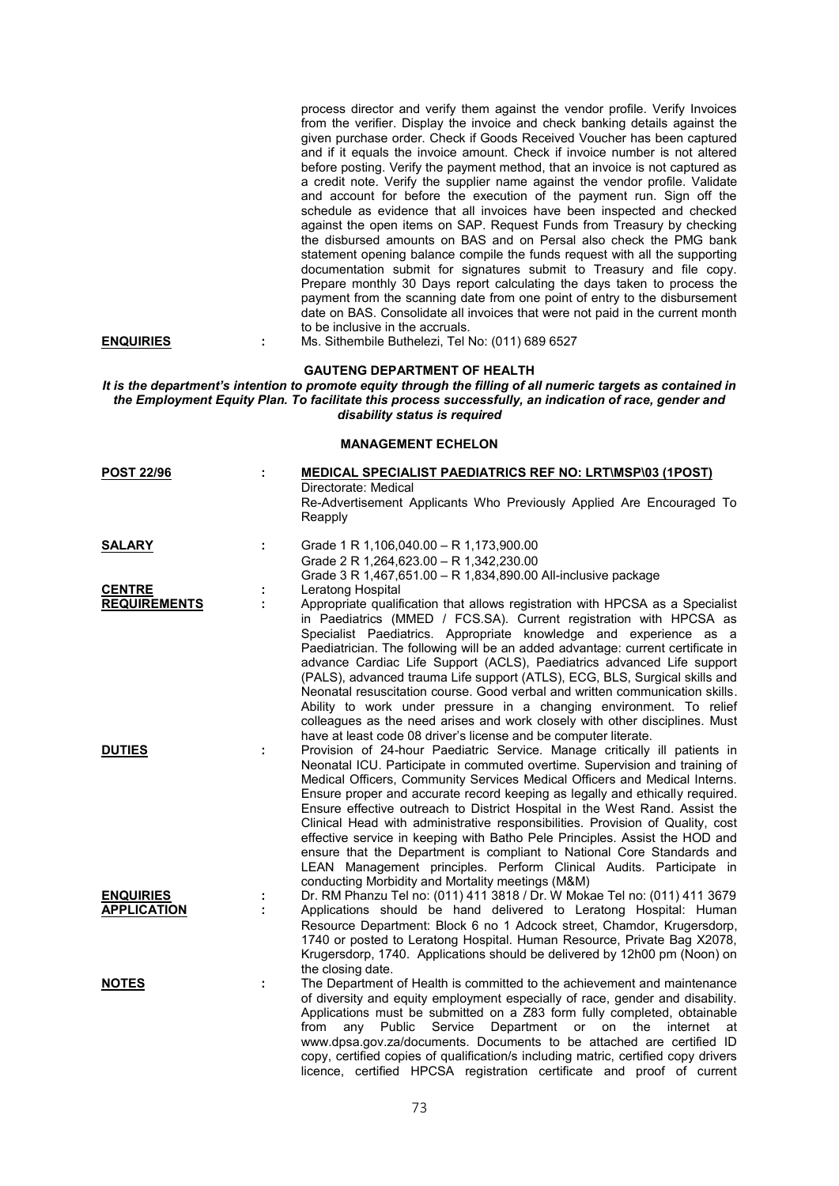|                                        |        | process director and verify them against the vendor profile. Verify Invoices<br>from the verifier. Display the invoice and check banking details against the<br>given purchase order. Check if Goods Received Voucher has been captured<br>and if it equals the invoice amount. Check if invoice number is not altered<br>before posting. Verify the payment method, that an invoice is not captured as<br>a credit note. Verify the supplier name against the vendor profile. Validate<br>and account for before the execution of the payment run. Sign off the<br>schedule as evidence that all invoices have been inspected and checked<br>against the open items on SAP. Request Funds from Treasury by checking<br>the disbursed amounts on BAS and on Persal also check the PMG bank<br>statement opening balance compile the funds request with all the supporting<br>documentation submit for signatures submit to Treasury and file copy.<br>Prepare monthly 30 Days report calculating the days taken to process the<br>payment from the scanning date from one point of entry to the disbursement<br>date on BAS. Consolidate all invoices that were not paid in the current month<br>to be inclusive in the accruals. |
|----------------------------------------|--------|-----------------------------------------------------------------------------------------------------------------------------------------------------------------------------------------------------------------------------------------------------------------------------------------------------------------------------------------------------------------------------------------------------------------------------------------------------------------------------------------------------------------------------------------------------------------------------------------------------------------------------------------------------------------------------------------------------------------------------------------------------------------------------------------------------------------------------------------------------------------------------------------------------------------------------------------------------------------------------------------------------------------------------------------------------------------------------------------------------------------------------------------------------------------------------------------------------------------------------------|
| <b>ENQUIRIES</b>                       | ÷      | Ms. Sithembile Buthelezi, Tel No: (011) 689 6527                                                                                                                                                                                                                                                                                                                                                                                                                                                                                                                                                                                                                                                                                                                                                                                                                                                                                                                                                                                                                                                                                                                                                                                  |
|                                        |        | <b>GAUTENG DEPARTMENT OF HEALTH</b><br>It is the department's intention to promote equity through the filling of all numeric targets as contained in<br>the Employment Equity Plan. To facilitate this process successfully, an indication of race, gender and<br>disability status is required                                                                                                                                                                                                                                                                                                                                                                                                                                                                                                                                                                                                                                                                                                                                                                                                                                                                                                                                   |
|                                        |        | <b>MANAGEMENT ECHELON</b>                                                                                                                                                                                                                                                                                                                                                                                                                                                                                                                                                                                                                                                                                                                                                                                                                                                                                                                                                                                                                                                                                                                                                                                                         |
| <b>POST 22/96</b>                      |        | <b>MEDICAL SPECIALIST PAEDIATRICS REF NO: LRT\MSP\03 (1POST)</b><br>Directorate: Medical<br>Re-Advertisement Applicants Who Previously Applied Are Encouraged To<br>Reapply                                                                                                                                                                                                                                                                                                                                                                                                                                                                                                                                                                                                                                                                                                                                                                                                                                                                                                                                                                                                                                                       |
| <b>SALARY</b>                          | ÷      | Grade 1 R 1,106,040.00 - R 1,173,900.00<br>Grade 2 R 1,264,623.00 - R 1,342,230.00<br>Grade 3 R 1,467,651.00 - R 1,834,890.00 All-inclusive package                                                                                                                                                                                                                                                                                                                                                                                                                                                                                                                                                                                                                                                                                                                                                                                                                                                                                                                                                                                                                                                                               |
| <b>CENTRE</b><br><b>REQUIREMENTS</b>   | ÷<br>÷ | Leratong Hospital<br>Appropriate qualification that allows registration with HPCSA as a Specialist<br>in Paediatrics (MMED / FCS.SA). Current registration with HPCSA as<br>Specialist Paediatrics. Appropriate knowledge and experience as a<br>Paediatrician. The following will be an added advantage: current certificate in<br>advance Cardiac Life Support (ACLS), Paediatrics advanced Life support<br>(PALS), advanced trauma Life support (ATLS), ECG, BLS, Surgical skills and<br>Neonatal resuscitation course. Good verbal and written communication skills.<br>Ability to work under pressure in a changing environment. To relief<br>colleagues as the need arises and work closely with other disciplines. Must<br>have at least code 08 driver's license and be computer literate.                                                                                                                                                                                                                                                                                                                                                                                                                                |
| <b>DUTIES</b>                          |        | Provision of 24-hour Paediatric Service. Manage critically ill patients in<br>Neonatal ICU. Participate in commuted overtime. Supervision and training of<br>Medical Officers, Community Services Medical Officers and Medical Interns.<br>Ensure proper and accurate record keeping as legally and ethically required.<br>Ensure effective outreach to District Hospital in the West Rand. Assist the<br>Clinical Head with administrative responsibilities. Provision of Quality, cost<br>effective service in keeping with Batho Pele Principles. Assist the HOD and<br>ensure that the Department is compliant to National Core Standards and<br>LEAN Management principles. Perform Clinical Audits. Participate in<br>conducting Morbidity and Mortality meetings (M&M)                                                                                                                                                                                                                                                                                                                                                                                                                                                     |
| <b>ENQUIRIES</b><br><b>APPLICATION</b> |        | Dr. RM Phanzu Tel no: (011) 411 3818 / Dr. W Mokae Tel no: (011) 411 3679<br>Applications should be hand delivered to Leratong Hospital: Human<br>Resource Department: Block 6 no 1 Adcock street, Chamdor, Krugersdorp,<br>1740 or posted to Leratong Hospital. Human Resource, Private Bag X2078,<br>Krugersdorp, 1740. Applications should be delivered by 12h00 pm (Noon) on<br>the closing date.                                                                                                                                                                                                                                                                                                                                                                                                                                                                                                                                                                                                                                                                                                                                                                                                                             |
| <b>NOTES</b>                           |        | The Department of Health is committed to the achievement and maintenance<br>of diversity and equity employment especially of race, gender and disability.<br>Applications must be submitted on a Z83 form fully completed, obtainable<br>from<br>Public<br>Service<br>Department or on the<br>internet<br>any<br>at<br>www.dpsa.gov.za/documents. Documents to be attached are certified ID<br>copy, certified copies of qualification/s including matric, certified copy drivers<br>licence, certified HPCSA registration certificate and proof of current                                                                                                                                                                                                                                                                                                                                                                                                                                                                                                                                                                                                                                                                       |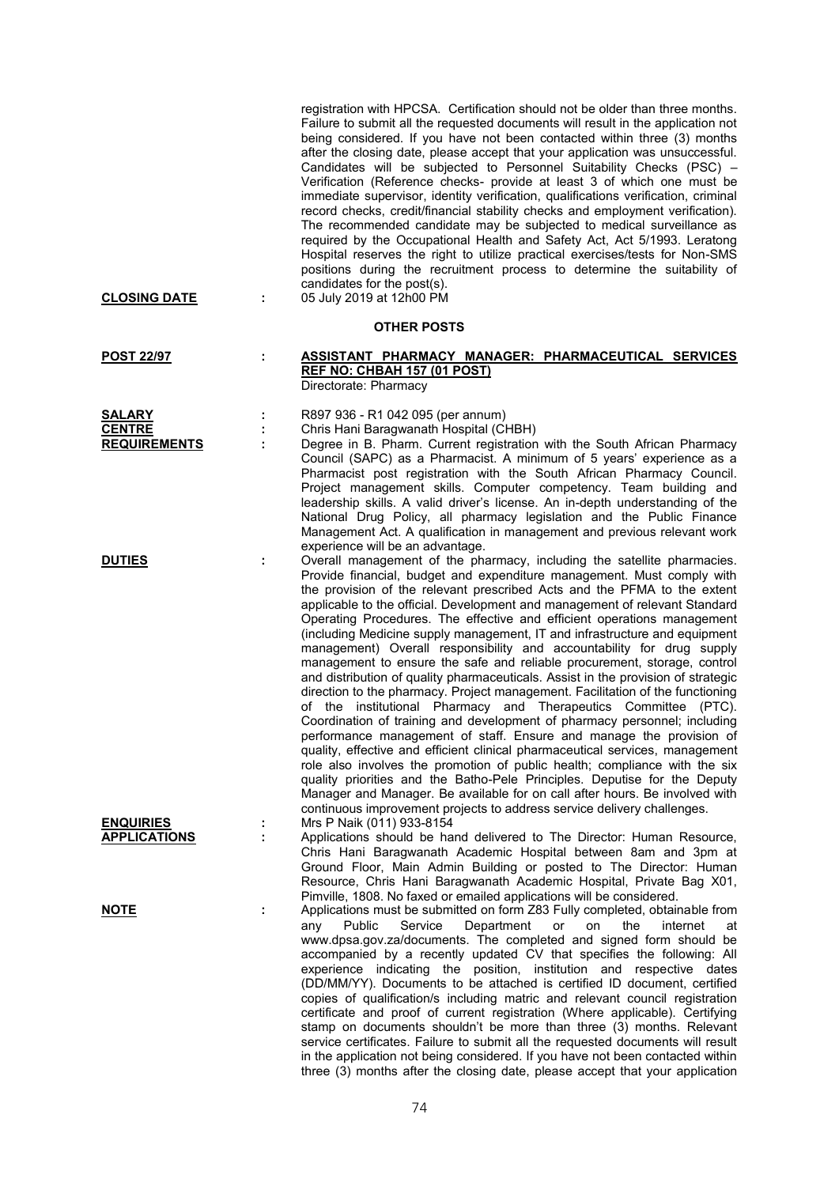| <b>CLOSING DATE</b>                                   | ÷ | registration with HPCSA. Certification should not be older than three months.<br>Failure to submit all the requested documents will result in the application not<br>being considered. If you have not been contacted within three (3) months<br>after the closing date, please accept that your application was unsuccessful.<br>Candidates will be subjected to Personnel Suitability Checks (PSC) -<br>Verification (Reference checks- provide at least 3 of which one must be<br>immediate supervisor, identity verification, qualifications verification, criminal<br>record checks, credit/financial stability checks and employment verification).<br>The recommended candidate may be subjected to medical surveillance as<br>required by the Occupational Health and Safety Act, Act 5/1993. Leratong<br>Hospital reserves the right to utilize practical exercises/tests for Non-SMS<br>positions during the recruitment process to determine the suitability of<br>candidates for the post(s).<br>05 July 2019 at 12h00 PM                                                                                                                                                                                                                                                                                                                                                                                          |
|-------------------------------------------------------|---|--------------------------------------------------------------------------------------------------------------------------------------------------------------------------------------------------------------------------------------------------------------------------------------------------------------------------------------------------------------------------------------------------------------------------------------------------------------------------------------------------------------------------------------------------------------------------------------------------------------------------------------------------------------------------------------------------------------------------------------------------------------------------------------------------------------------------------------------------------------------------------------------------------------------------------------------------------------------------------------------------------------------------------------------------------------------------------------------------------------------------------------------------------------------------------------------------------------------------------------------------------------------------------------------------------------------------------------------------------------------------------------------------------------------------------|
|                                                       |   | <b>OTHER POSTS</b>                                                                                                                                                                                                                                                                                                                                                                                                                                                                                                                                                                                                                                                                                                                                                                                                                                                                                                                                                                                                                                                                                                                                                                                                                                                                                                                                                                                                             |
| <b>POST 22/97</b>                                     | ÷ | ASSISTANT PHARMACY MANAGER: PHARMACEUTICAL SERVICES<br>REF NO: CHBAH 157 (01 POST)<br>Directorate: Pharmacy                                                                                                                                                                                                                                                                                                                                                                                                                                                                                                                                                                                                                                                                                                                                                                                                                                                                                                                                                                                                                                                                                                                                                                                                                                                                                                                    |
| <b>SALARY</b><br><b>CENTRE</b><br><b>REQUIREMENTS</b> | ÷ | R897 936 - R1 042 095 (per annum)<br>Chris Hani Baragwanath Hospital (CHBH)<br>Degree in B. Pharm. Current registration with the South African Pharmacy<br>Council (SAPC) as a Pharmacist. A minimum of 5 years' experience as a<br>Pharmacist post registration with the South African Pharmacy Council.<br>Project management skills. Computer competency. Team building and<br>leadership skills. A valid driver's license. An in-depth understanding of the<br>National Drug Policy, all pharmacy legislation and the Public Finance<br>Management Act. A qualification in management and previous relevant work<br>experience will be an advantage.                                                                                                                                                                                                                                                                                                                                                                                                                                                                                                                                                                                                                                                                                                                                                                       |
| <b>DUTIES</b>                                         |   | Overall management of the pharmacy, including the satellite pharmacies.<br>Provide financial, budget and expenditure management. Must comply with<br>the provision of the relevant prescribed Acts and the PFMA to the extent<br>applicable to the official. Development and management of relevant Standard<br>Operating Procedures. The effective and efficient operations management<br>(including Medicine supply management, IT and infrastructure and equipment<br>management) Overall responsibility and accountability for drug supply<br>management to ensure the safe and reliable procurement, storage, control<br>and distribution of quality pharmaceuticals. Assist in the provision of strategic<br>direction to the pharmacy. Project management. Facilitation of the functioning<br>of the institutional Pharmacy and Therapeutics Committee (PTC).<br>Coordination of training and development of pharmacy personnel; including<br>performance management of staff. Ensure and manage the provision of<br>quality, effective and efficient clinical pharmaceutical services, management<br>role also involves the promotion of public health; compliance with the six<br>quality priorities and the Batho-Pele Principles. Deputise for the Deputy<br>Manager and Manager. Be available for on call after hours. Be involved with<br>continuous improvement projects to address service delivery challenges. |
| <b>ENQUIRIES</b><br><b>APPLICATIONS</b>               | ÷ | Mrs P Naik (011) 933-8154<br>Applications should be hand delivered to The Director: Human Resource,<br>Chris Hani Baragwanath Academic Hospital between 8am and 3pm at<br>Ground Floor, Main Admin Building or posted to The Director: Human<br>Resource, Chris Hani Baragwanath Academic Hospital, Private Bag X01,<br>Pimville, 1808. No faxed or emailed applications will be considered.                                                                                                                                                                                                                                                                                                                                                                                                                                                                                                                                                                                                                                                                                                                                                                                                                                                                                                                                                                                                                                   |
| <u>NOTE</u>                                           | t | Applications must be submitted on form Z83 Fully completed, obtainable from<br>Public<br>Service<br>Department<br>the<br>internet<br>any<br>or<br>on<br>at<br>www.dpsa.gov.za/documents. The completed and signed form should be<br>accompanied by a recently updated CV that specifies the following: All<br>experience indicating the position, institution and respective dates<br>(DD/MM/YY). Documents to be attached is certified ID document, certified<br>copies of qualification/s including matric and relevant council registration<br>certificate and proof of current registration (Where applicable). Certifying<br>stamp on documents shouldn't be more than three (3) months. Relevant<br>service certificates. Failure to submit all the requested documents will result<br>in the application not being considered. If you have not been contacted within<br>three (3) months after the closing date, please accept that your application                                                                                                                                                                                                                                                                                                                                                                                                                                                                    |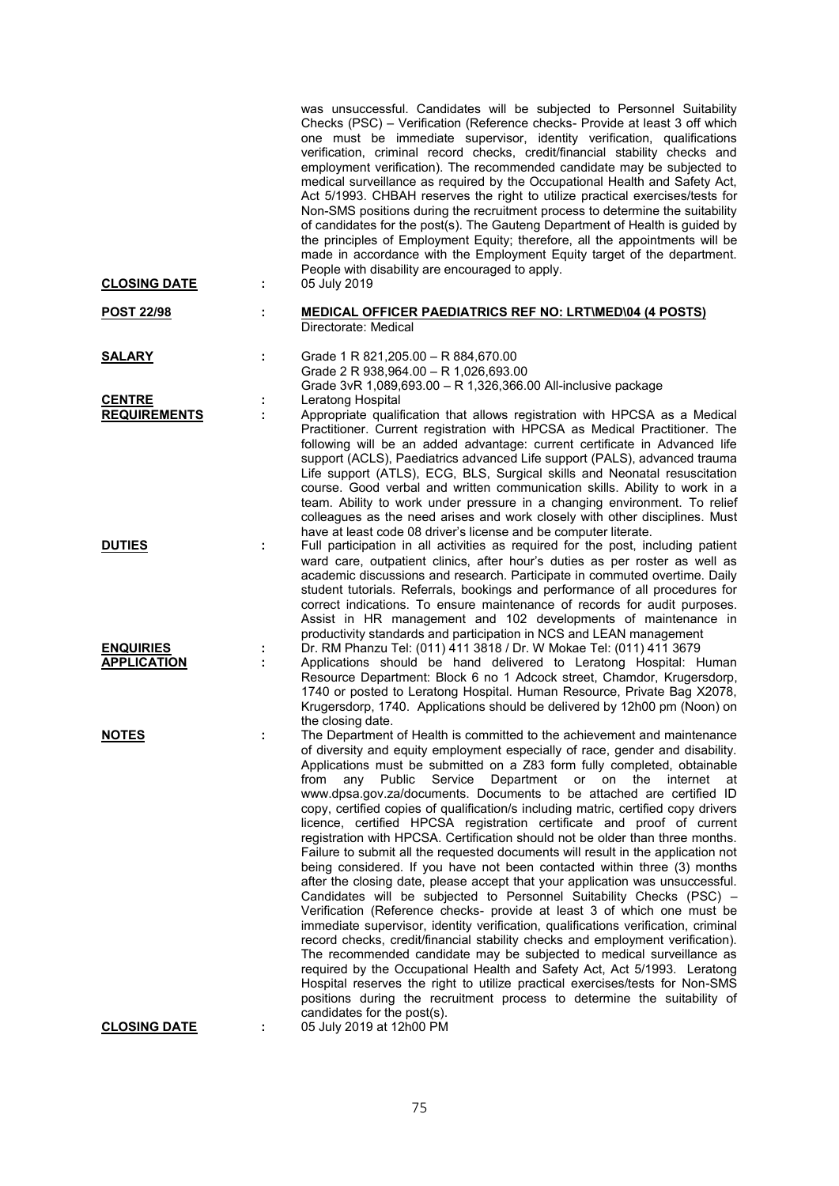| <b>CLOSING DATE</b>                    | ÷. | was unsuccessful. Candidates will be subjected to Personnel Suitability<br>Checks (PSC) - Verification (Reference checks- Provide at least 3 off which<br>one must be immediate supervisor, identity verification, qualifications<br>verification, criminal record checks, credit/financial stability checks and<br>employment verification). The recommended candidate may be subjected to<br>medical surveillance as required by the Occupational Health and Safety Act,<br>Act 5/1993. CHBAH reserves the right to utilize practical exercises/tests for<br>Non-SMS positions during the recruitment process to determine the suitability<br>of candidates for the post(s). The Gauteng Department of Health is guided by<br>the principles of Employment Equity; therefore, all the appointments will be<br>made in accordance with the Employment Equity target of the department.<br>People with disability are encouraged to apply.<br>05 July 2019                                                                                                                                                                                                                                                                                                                                                                                                                                                                                                                                                                                                                     |
|----------------------------------------|----|--------------------------------------------------------------------------------------------------------------------------------------------------------------------------------------------------------------------------------------------------------------------------------------------------------------------------------------------------------------------------------------------------------------------------------------------------------------------------------------------------------------------------------------------------------------------------------------------------------------------------------------------------------------------------------------------------------------------------------------------------------------------------------------------------------------------------------------------------------------------------------------------------------------------------------------------------------------------------------------------------------------------------------------------------------------------------------------------------------------------------------------------------------------------------------------------------------------------------------------------------------------------------------------------------------------------------------------------------------------------------------------------------------------------------------------------------------------------------------------------------------------------------------------------------------------------------------|
| <b>POST 22/98</b>                      |    | <b>MEDICAL OFFICER PAEDIATRICS REF NO: LRT\MED\04 (4 POSTS)</b><br>Directorate: Medical                                                                                                                                                                                                                                                                                                                                                                                                                                                                                                                                                                                                                                                                                                                                                                                                                                                                                                                                                                                                                                                                                                                                                                                                                                                                                                                                                                                                                                                                                        |
| <b>SALARY</b>                          | ÷  | Grade 1 R 821, 205.00 - R 884, 670.00<br>Grade 2 R 938,964.00 - R 1,026,693.00                                                                                                                                                                                                                                                                                                                                                                                                                                                                                                                                                                                                                                                                                                                                                                                                                                                                                                                                                                                                                                                                                                                                                                                                                                                                                                                                                                                                                                                                                                 |
| <b>CENTRE</b><br><b>REQUIREMENTS</b>   |    | Grade 3vR 1,089,693.00 - R 1,326,366.00 All-inclusive package<br>Leratong Hospital<br>Appropriate qualification that allows registration with HPCSA as a Medical<br>Practitioner. Current registration with HPCSA as Medical Practitioner. The<br>following will be an added advantage: current certificate in Advanced life<br>support (ACLS), Paediatrics advanced Life support (PALS), advanced trauma<br>Life support (ATLS), ECG, BLS, Surgical skills and Neonatal resuscitation<br>course. Good verbal and written communication skills. Ability to work in a<br>team. Ability to work under pressure in a changing environment. To relief<br>colleagues as the need arises and work closely with other disciplines. Must<br>have at least code 08 driver's license and be computer literate.                                                                                                                                                                                                                                                                                                                                                                                                                                                                                                                                                                                                                                                                                                                                                                           |
| <b>DUTIES</b>                          | ÷  | Full participation in all activities as required for the post, including patient<br>ward care, outpatient clinics, after hour's duties as per roster as well as<br>academic discussions and research. Participate in commuted overtime. Daily<br>student tutorials. Referrals, bookings and performance of all procedures for<br>correct indications. To ensure maintenance of records for audit purposes.<br>Assist in HR management and 102 developments of maintenance in<br>productivity standards and participation in NCS and LEAN management                                                                                                                                                                                                                                                                                                                                                                                                                                                                                                                                                                                                                                                                                                                                                                                                                                                                                                                                                                                                                            |
| <b>ENQUIRIES</b><br><b>APPLICATION</b> | ÷  | Dr. RM Phanzu Tel: (011) 411 3818 / Dr. W Mokae Tel: (011) 411 3679<br>Applications should be hand delivered to Leratong Hospital: Human<br>Resource Department: Block 6 no 1 Adcock street, Chamdor, Krugersdorp,<br>1740 or posted to Leratong Hospital. Human Resource, Private Bag X2078,<br>Krugersdorp, 1740. Applications should be delivered by 12h00 pm (Noon) on<br>the closing date.                                                                                                                                                                                                                                                                                                                                                                                                                                                                                                                                                                                                                                                                                                                                                                                                                                                                                                                                                                                                                                                                                                                                                                                |
| <b>NOTES</b>                           |    | The Department of Health is committed to the achievement and maintenance<br>of diversity and equity employment especially of race, gender and disability.<br>Applications must be submitted on a Z83 form fully completed, obtainable<br>Service<br>Department or<br>on<br>from<br>any<br>Public<br>the<br>internet<br>at<br>www.dpsa.gov.za/documents. Documents to be attached are certified ID<br>copy, certified copies of qualification/s including matric, certified copy drivers<br>licence, certified HPCSA registration certificate and proof of current<br>registration with HPCSA. Certification should not be older than three months.<br>Failure to submit all the requested documents will result in the application not<br>being considered. If you have not been contacted within three (3) months<br>after the closing date, please accept that your application was unsuccessful.<br>Candidates will be subjected to Personnel Suitability Checks (PSC) -<br>Verification (Reference checks- provide at least 3 of which one must be<br>immediate supervisor, identity verification, qualifications verification, criminal<br>record checks, credit/financial stability checks and employment verification).<br>The recommended candidate may be subjected to medical surveillance as<br>required by the Occupational Health and Safety Act, Act 5/1993. Leratong<br>Hospital reserves the right to utilize practical exercises/tests for Non-SMS<br>positions during the recruitment process to determine the suitability of<br>candidates for the post(s). |
| <b>CLOSING DATE</b>                    |    | 05 July 2019 at 12h00 PM                                                                                                                                                                                                                                                                                                                                                                                                                                                                                                                                                                                                                                                                                                                                                                                                                                                                                                                                                                                                                                                                                                                                                                                                                                                                                                                                                                                                                                                                                                                                                       |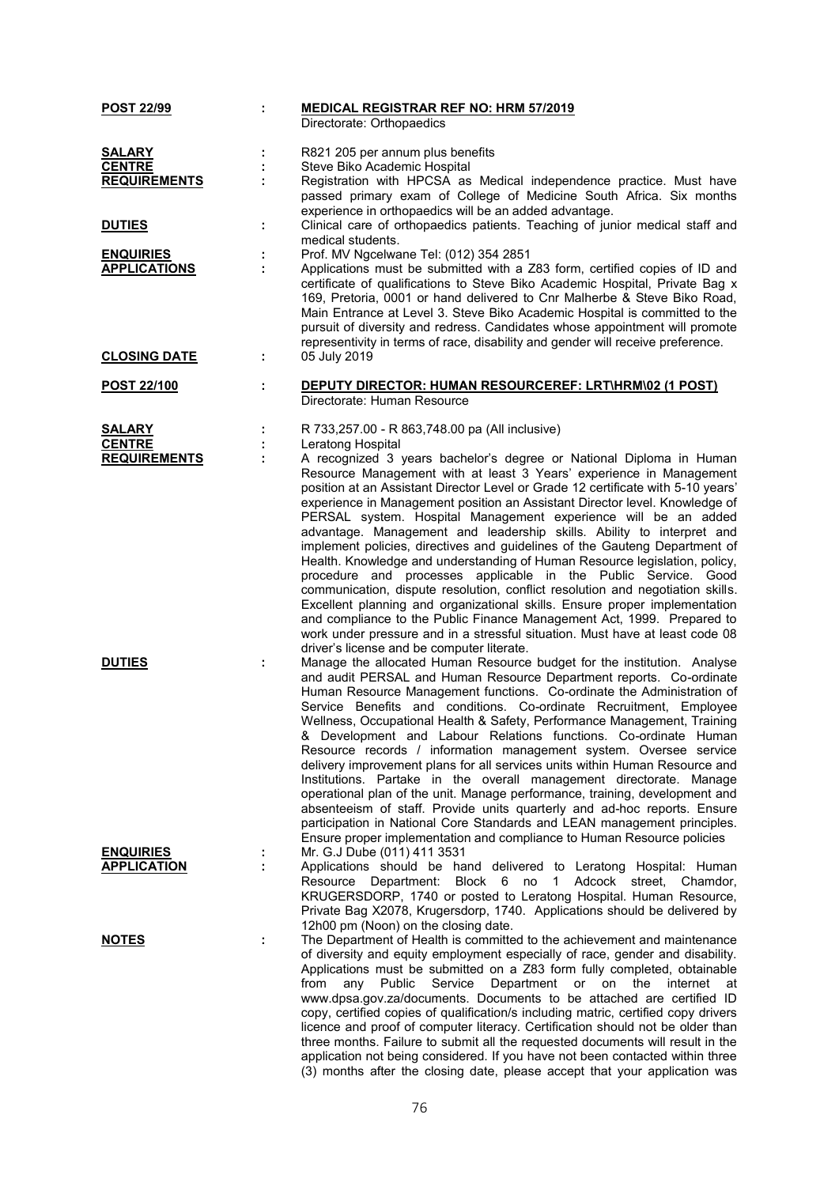| <b>POST 22/99</b>   | ÷ | <b>MEDICAL REGISTRAR REF NO: HRM 57/2019</b>                                                                                                              |
|---------------------|---|-----------------------------------------------------------------------------------------------------------------------------------------------------------|
|                     |   | Directorate: Orthopaedics                                                                                                                                 |
| <b>SALARY</b>       |   | R821 205 per annum plus benefits                                                                                                                          |
| <b>CENTRE</b>       |   | Steve Biko Academic Hospital                                                                                                                              |
| <b>REQUIREMENTS</b> |   | Registration with HPCSA as Medical independence practice. Must have                                                                                       |
|                     |   | passed primary exam of College of Medicine South Africa. Six months                                                                                       |
|                     |   | experience in orthopaedics will be an added advantage.                                                                                                    |
| <b>DUTIES</b>       | ÷ | Clinical care of orthopaedics patients. Teaching of junior medical staff and                                                                              |
| <b>ENQUIRIES</b>    |   | medical students.<br>Prof. MV Ngcelwane Tel: (012) 354 2851                                                                                               |
| <b>APPLICATIONS</b> | ÷ | Applications must be submitted with a Z83 form, certified copies of ID and                                                                                |
|                     |   | certificate of qualifications to Steve Biko Academic Hospital, Private Bag x                                                                              |
|                     |   | 169, Pretoria, 0001 or hand delivered to Cnr Malherbe & Steve Biko Road,                                                                                  |
|                     |   | Main Entrance at Level 3. Steve Biko Academic Hospital is committed to the                                                                                |
|                     |   | pursuit of diversity and redress. Candidates whose appointment will promote                                                                               |
|                     |   | representivity in terms of race, disability and gender will receive preference.                                                                           |
| <b>CLOSING DATE</b> | ÷ | 05 July 2019                                                                                                                                              |
| <u>POST 22/100</u>  | ÷ | <b>DEPUTY DIRECTOR: HUMAN RESOURCEREF: LRT\HRM\02 (1 POST)</b>                                                                                            |
|                     |   | Directorate: Human Resource                                                                                                                               |
|                     |   |                                                                                                                                                           |
| <b>SALARY</b>       |   | R 733,257.00 - R 863,748.00 pa (All inclusive)                                                                                                            |
| <b>CENTRE</b>       |   | Leratong Hospital                                                                                                                                         |
| <b>REQUIREMENTS</b> |   | A recognized 3 years bachelor's degree or National Diploma in Human                                                                                       |
|                     |   | Resource Management with at least 3 Years' experience in Management                                                                                       |
|                     |   | position at an Assistant Director Level or Grade 12 certificate with 5-10 years'                                                                          |
|                     |   | experience in Management position an Assistant Director level. Knowledge of<br>PERSAL system. Hospital Management experience will be an added             |
|                     |   | advantage. Management and leadership skills. Ability to interpret and                                                                                     |
|                     |   | implement policies, directives and guidelines of the Gauteng Department of                                                                                |
|                     |   | Health. Knowledge and understanding of Human Resource legislation, policy,                                                                                |
|                     |   | procedure and processes applicable in the Public Service. Good                                                                                            |
|                     |   | communication, dispute resolution, conflict resolution and negotiation skills.                                                                            |
|                     |   | Excellent planning and organizational skills. Ensure proper implementation                                                                                |
|                     |   | and compliance to the Public Finance Management Act, 1999. Prepared to                                                                                    |
|                     |   | work under pressure and in a stressful situation. Must have at least code 08                                                                              |
| <b>DUTIES</b>       | ÷ | driver's license and be computer literate.<br>Manage the allocated Human Resource budget for the institution. Analyse                                     |
|                     |   | and audit PERSAL and Human Resource Department reports. Co-ordinate                                                                                       |
|                     |   | Human Resource Management functions. Co-ordinate the Administration of                                                                                    |
|                     |   | Service Benefits and conditions. Co-ordinate Recruitment, Employee                                                                                        |
|                     |   | Wellness, Occupational Health & Safety, Performance Management, Training                                                                                  |
|                     |   | & Development and Labour Relations functions. Co-ordinate Human                                                                                           |
|                     |   | Resource records / information management system. Oversee service                                                                                         |
|                     |   | delivery improvement plans for all services units within Human Resource and                                                                               |
|                     |   | Institutions. Partake in the overall management directorate. Manage                                                                                       |
|                     |   | operational plan of the unit. Manage performance, training, development and<br>absenteeism of staff. Provide units quarterly and ad-hoc reports. Ensure   |
|                     |   | participation in National Core Standards and LEAN management principles.                                                                                  |
|                     |   | Ensure proper implementation and compliance to Human Resource policies                                                                                    |
| <b>ENQUIRIES</b>    |   | Mr. G.J Dube (011) 411 3531                                                                                                                               |
| <b>APPLICATION</b>  |   | Applications should be hand delivered to Leratong Hospital: Human                                                                                         |
|                     |   | Resource Department: Block 6 no 1 Adcock street, Chamdor,                                                                                                 |
|                     |   | KRUGERSDORP, 1740 or posted to Leratong Hospital. Human Resource,                                                                                         |
|                     |   | Private Bag X2078, Krugersdorp, 1740. Applications should be delivered by                                                                                 |
|                     |   | 12h00 pm (Noon) on the closing date.                                                                                                                      |
| <b>NOTES</b>        |   | The Department of Health is committed to the achievement and maintenance<br>of diversity and equity employment especially of race, gender and disability. |
|                     |   | Applications must be submitted on a Z83 form fully completed, obtainable                                                                                  |
|                     |   | Service<br>Department or<br>on the<br>from<br>any<br>Public<br>internet<br>at                                                                             |
|                     |   | www.dpsa.gov.za/documents. Documents to be attached are certified ID                                                                                      |
|                     |   | copy, certified copies of qualification/s including matric, certified copy drivers                                                                        |
|                     |   | licence and proof of computer literacy. Certification should not be older than                                                                            |
|                     |   | three months. Failure to submit all the requested documents will result in the                                                                            |
|                     |   | application not being considered. If you have not been contacted within three                                                                             |
|                     |   | (3) months after the closing date, please accept that your application was                                                                                |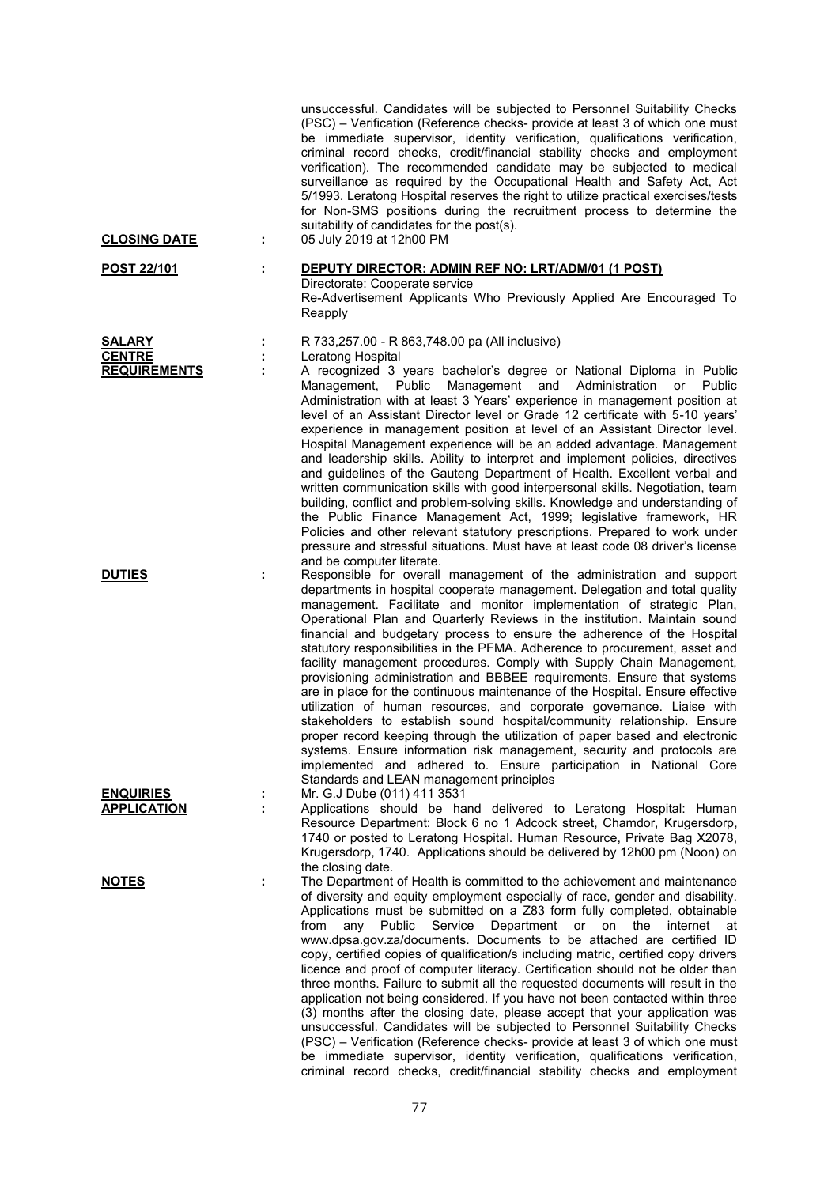| <b>CLOSING DATE</b>            | ÷ | unsuccessful. Candidates will be subjected to Personnel Suitability Checks<br>(PSC) – Verification (Reference checks- provide at least 3 of which one must<br>be immediate supervisor, identity verification, qualifications verification,<br>criminal record checks, credit/financial stability checks and employment<br>verification). The recommended candidate may be subjected to medical<br>surveillance as required by the Occupational Health and Safety Act, Act<br>5/1993. Leratong Hospital reserves the right to utilize practical exercises/tests<br>for Non-SMS positions during the recruitment process to determine the<br>suitability of candidates for the post(s).<br>05 July 2019 at 12h00 PM                                                                                                                                                                                                                                                                                                                                                                                                                                       |
|--------------------------------|---|---------------------------------------------------------------------------------------------------------------------------------------------------------------------------------------------------------------------------------------------------------------------------------------------------------------------------------------------------------------------------------------------------------------------------------------------------------------------------------------------------------------------------------------------------------------------------------------------------------------------------------------------------------------------------------------------------------------------------------------------------------------------------------------------------------------------------------------------------------------------------------------------------------------------------------------------------------------------------------------------------------------------------------------------------------------------------------------------------------------------------------------------------------|
| <b>POST 22/101</b>             | ÷ | DEPUTY DIRECTOR: ADMIN REF NO: LRT/ADM/01 (1 POST)                                                                                                                                                                                                                                                                                                                                                                                                                                                                                                                                                                                                                                                                                                                                                                                                                                                                                                                                                                                                                                                                                                      |
|                                |   | Directorate: Cooperate service<br>Re-Advertisement Applicants Who Previously Applied Are Encouraged To<br>Reapply                                                                                                                                                                                                                                                                                                                                                                                                                                                                                                                                                                                                                                                                                                                                                                                                                                                                                                                                                                                                                                       |
| <b>SALARY</b><br><b>CENTRE</b> | ÷ | R 733,257.00 - R 863,748.00 pa (All inclusive)                                                                                                                                                                                                                                                                                                                                                                                                                                                                                                                                                                                                                                                                                                                                                                                                                                                                                                                                                                                                                                                                                                          |
| <b>REQUIREMENTS</b>            | ÷ | Leratong Hospital<br>A recognized 3 years bachelor's degree or National Diploma in Public<br>Management,<br>Public<br>Management and Administration<br>or<br>Public<br>Administration with at least 3 Years' experience in management position at<br>level of an Assistant Director level or Grade 12 certificate with 5-10 years'<br>experience in management position at level of an Assistant Director level.<br>Hospital Management experience will be an added advantage. Management<br>and leadership skills. Ability to interpret and implement policies, directives<br>and guidelines of the Gauteng Department of Health. Excellent verbal and<br>written communication skills with good interpersonal skills. Negotiation, team<br>building, conflict and problem-solving skills. Knowledge and understanding of<br>the Public Finance Management Act, 1999; legislative framework, HR<br>Policies and other relevant statutory prescriptions. Prepared to work under<br>pressure and stressful situations. Must have at least code 08 driver's license<br>and be computer literate.                                                          |
| <b>DUTIES</b>                  | ÷ | Responsible for overall management of the administration and support<br>departments in hospital cooperate management. Delegation and total quality<br>management. Facilitate and monitor implementation of strategic Plan,<br>Operational Plan and Quarterly Reviews in the institution. Maintain sound<br>financial and budgetary process to ensure the adherence of the Hospital<br>statutory responsibilities in the PFMA. Adherence to procurement, asset and<br>facility management procedures. Comply with Supply Chain Management,<br>provisioning administration and BBBEE requirements. Ensure that systems<br>are in place for the continuous maintenance of the Hospital. Ensure effective<br>utilization of human resources, and corporate governance. Liaise with<br>stakeholders to establish sound hospital/community relationship. Ensure<br>proper record keeping through the utilization of paper based and electronic<br>systems. Ensure information risk management, security and protocols are<br>implemented and adhered to. Ensure participation in National Core<br>Standards and LEAN management principles                    |
| <b>ENQUIRIES</b>               | ÷ | Mr. G.J Dube (011) 411 3531                                                                                                                                                                                                                                                                                                                                                                                                                                                                                                                                                                                                                                                                                                                                                                                                                                                                                                                                                                                                                                                                                                                             |
| <b>APPLICATION</b>             | ÷ | Applications should be hand delivered to Leratong Hospital: Human<br>Resource Department: Block 6 no 1 Adcock street, Chamdor, Krugersdorp,<br>1740 or posted to Leratong Hospital. Human Resource, Private Bag X2078,<br>Krugersdorp, 1740. Applications should be delivered by 12h00 pm (Noon) on<br>the closing date.                                                                                                                                                                                                                                                                                                                                                                                                                                                                                                                                                                                                                                                                                                                                                                                                                                |
| <b>NOTES</b>                   | ÷ | The Department of Health is committed to the achievement and maintenance<br>of diversity and equity employment especially of race, gender and disability.<br>Applications must be submitted on a Z83 form fully completed, obtainable<br>Department<br>from<br>Public<br>Service<br>internet<br>any<br>or<br>on<br>the<br>at<br>www.dpsa.gov.za/documents. Documents to be attached are certified ID<br>copy, certified copies of qualification/s including matric, certified copy drivers<br>licence and proof of computer literacy. Certification should not be older than<br>three months. Failure to submit all the requested documents will result in the<br>application not being considered. If you have not been contacted within three<br>(3) months after the closing date, please accept that your application was<br>unsuccessful. Candidates will be subjected to Personnel Suitability Checks<br>(PSC) – Verification (Reference checks- provide at least 3 of which one must<br>be immediate supervisor, identity verification, qualifications verification,<br>criminal record checks, credit/financial stability checks and employment |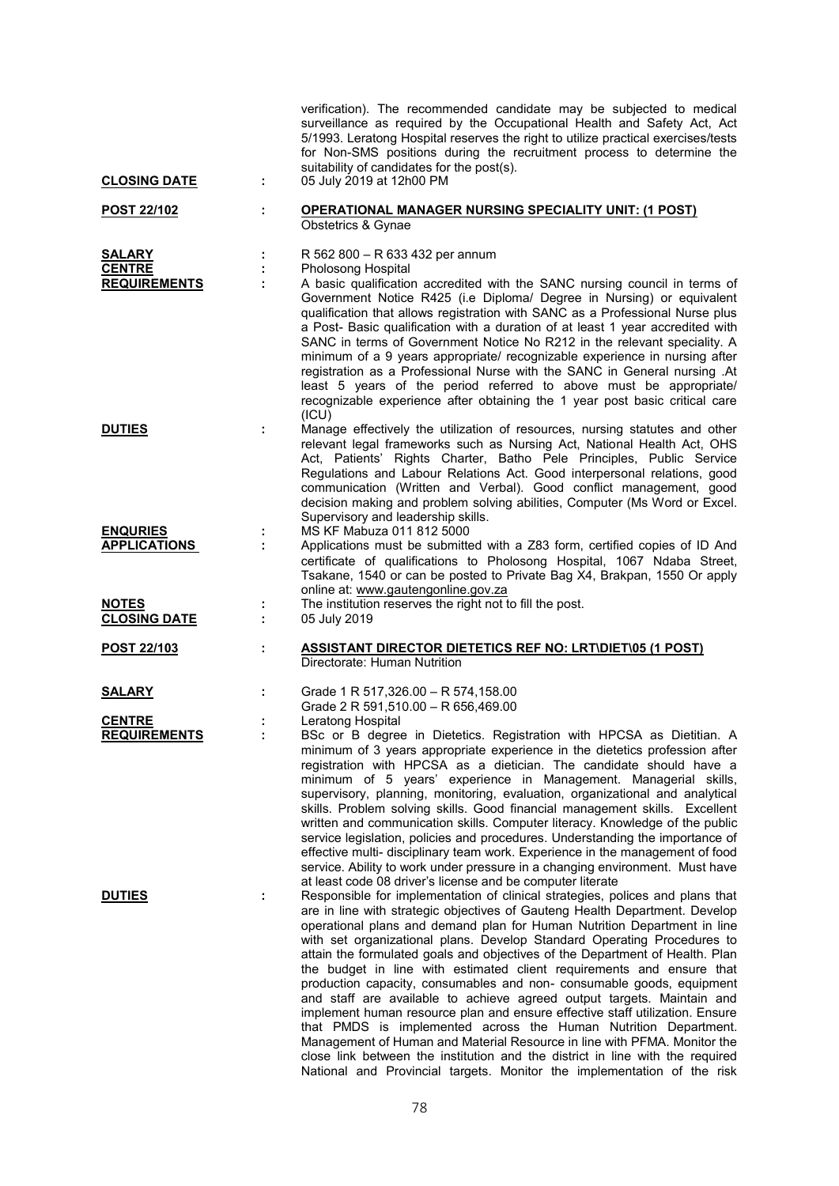| <b>CLOSING DATE</b>                                   | ÷ | verification). The recommended candidate may be subjected to medical<br>surveillance as required by the Occupational Health and Safety Act, Act<br>5/1993. Leratong Hospital reserves the right to utilize practical exercises/tests<br>for Non-SMS positions during the recruitment process to determine the<br>suitability of candidates for the post(s).<br>05 July 2019 at 12h00 PM                                                                                                                                                                                                                                                                                                                                                                                                                                                                                                                                                                                                                                    |
|-------------------------------------------------------|---|----------------------------------------------------------------------------------------------------------------------------------------------------------------------------------------------------------------------------------------------------------------------------------------------------------------------------------------------------------------------------------------------------------------------------------------------------------------------------------------------------------------------------------------------------------------------------------------------------------------------------------------------------------------------------------------------------------------------------------------------------------------------------------------------------------------------------------------------------------------------------------------------------------------------------------------------------------------------------------------------------------------------------|
| POST 22/102                                           | ÷ | <b>OPERATIONAL MANAGER NURSING SPECIALITY UNIT: (1 POST)</b><br>Obstetrics & Gynae                                                                                                                                                                                                                                                                                                                                                                                                                                                                                                                                                                                                                                                                                                                                                                                                                                                                                                                                         |
| <b>SALARY</b><br><b>CENTRE</b><br><b>REQUIREMENTS</b> |   | R 562 800 - R 633 432 per annum<br>Pholosong Hospital<br>A basic qualification accredited with the SANC nursing council in terms of<br>Government Notice R425 (i.e Diploma/ Degree in Nursing) or equivalent<br>qualification that allows registration with SANC as a Professional Nurse plus<br>a Post- Basic qualification with a duration of at least 1 year accredited with<br>SANC in terms of Government Notice No R212 in the relevant speciality. A<br>minimum of a 9 years appropriate/ recognizable experience in nursing after<br>registration as a Professional Nurse with the SANC in General nursing .At<br>least 5 years of the period referred to above must be appropriate/<br>recognizable experience after obtaining the 1 year post basic critical care<br>(ICU)                                                                                                                                                                                                                                       |
| <b>DUTIES</b>                                         | ÷ | Manage effectively the utilization of resources, nursing statutes and other<br>relevant legal frameworks such as Nursing Act, National Health Act, OHS<br>Act, Patients' Rights Charter, Batho Pele Principles, Public Service<br>Regulations and Labour Relations Act. Good interpersonal relations, good<br>communication (Written and Verbal). Good conflict management, good<br>decision making and problem solving abilities, Computer (Ms Word or Excel.<br>Supervisory and leadership skills.                                                                                                                                                                                                                                                                                                                                                                                                                                                                                                                       |
| <b>ENQURIES</b><br><b>APPLICATIONS</b>                |   | MS KF Mabuza 011 812 5000<br>Applications must be submitted with a Z83 form, certified copies of ID And<br>certificate of qualifications to Pholosong Hospital, 1067 Ndaba Street,<br>Tsakane, 1540 or can be posted to Private Bag X4, Brakpan, 1550 Or apply<br>online at: www.gautengonline.gov.za                                                                                                                                                                                                                                                                                                                                                                                                                                                                                                                                                                                                                                                                                                                      |
| <b>NOTES</b><br><b>CLOSING DATE</b>                   |   | The institution reserves the right not to fill the post.<br>05 July 2019                                                                                                                                                                                                                                                                                                                                                                                                                                                                                                                                                                                                                                                                                                                                                                                                                                                                                                                                                   |
| POST 22/103                                           | t | <b>ASSISTANT DIRECTOR DIETETICS REF NO: LRT\DIET\05 (1 POST)</b><br>Directorate: Human Nutrition                                                                                                                                                                                                                                                                                                                                                                                                                                                                                                                                                                                                                                                                                                                                                                                                                                                                                                                           |
| <b>SALARY</b>                                         |   | Grade 1 R 517,326.00 - R 574,158.00<br>Grade 2 R 591,510.00 - R 656,469.00                                                                                                                                                                                                                                                                                                                                                                                                                                                                                                                                                                                                                                                                                                                                                                                                                                                                                                                                                 |
| <b>CENTRE</b><br><b>REQUIREMENTS</b>                  |   | Leratong Hospital<br>BSc or B degree in Dietetics. Registration with HPCSA as Dietitian. A<br>minimum of 3 years appropriate experience in the dietetics profession after<br>registration with HPCSA as a dietician. The candidate should have a<br>minimum of 5 years' experience in Management. Managerial skills,<br>supervisory, planning, monitoring, evaluation, organizational and analytical<br>skills. Problem solving skills. Good financial management skills. Excellent<br>written and communication skills. Computer literacy. Knowledge of the public<br>service legislation, policies and procedures. Understanding the importance of<br>effective multi- disciplinary team work. Experience in the management of food<br>service. Ability to work under pressure in a changing environment. Must have<br>at least code 08 driver's license and be computer literate                                                                                                                                        |
| <b>DUTIES</b>                                         |   | Responsible for implementation of clinical strategies, polices and plans that<br>are in line with strategic objectives of Gauteng Health Department. Develop<br>operational plans and demand plan for Human Nutrition Department in line<br>with set organizational plans. Develop Standard Operating Procedures to<br>attain the formulated goals and objectives of the Department of Health. Plan<br>the budget in line with estimated client requirements and ensure that<br>production capacity, consumables and non- consumable goods, equipment<br>and staff are available to achieve agreed output targets. Maintain and<br>implement human resource plan and ensure effective staff utilization. Ensure<br>that PMDS is implemented across the Human Nutrition Department.<br>Management of Human and Material Resource in line with PFMA. Monitor the<br>close link between the institution and the district in line with the required<br>National and Provincial targets. Monitor the implementation of the risk |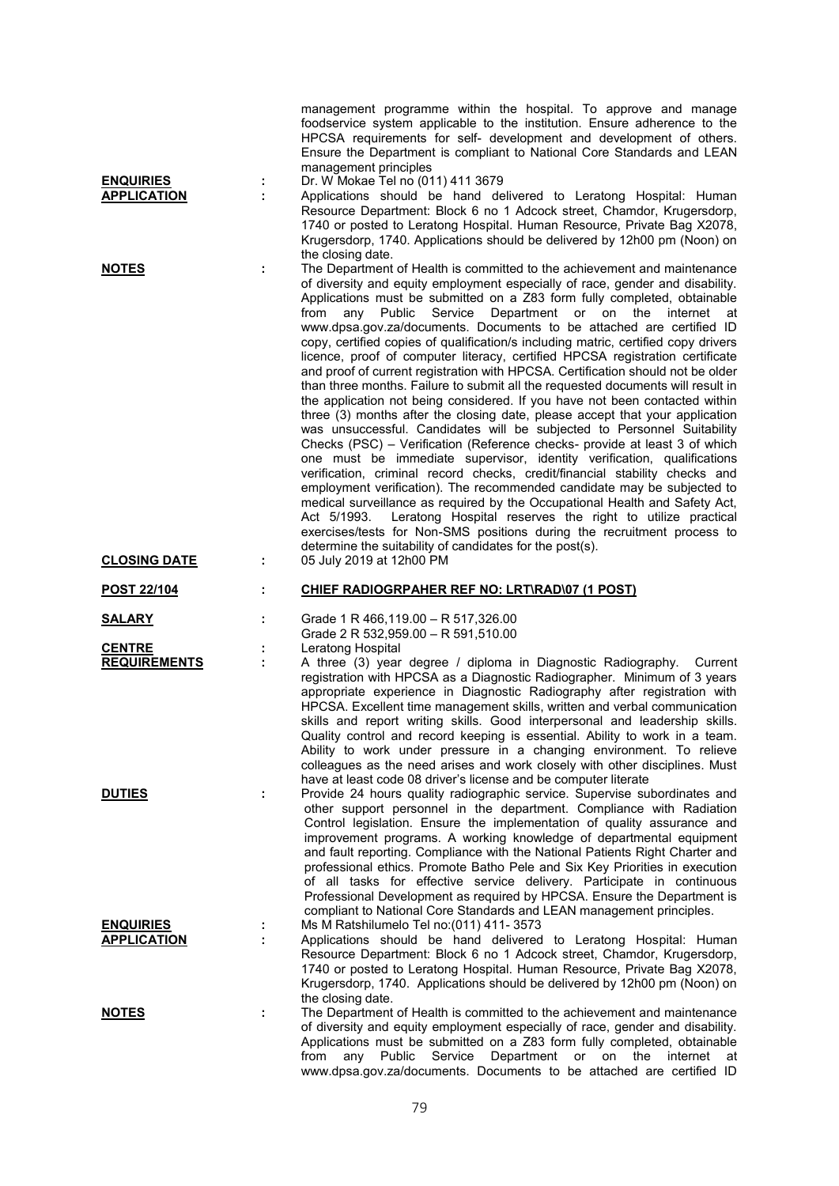| <b>ENQUIRIES</b><br><b>APPLICATION</b>                | ÷<br>÷ | management programme within the hospital. To approve and manage<br>foodservice system applicable to the institution. Ensure adherence to the<br>HPCSA requirements for self- development and development of others.<br>Ensure the Department is compliant to National Core Standards and LEAN<br>management principles<br>Dr. W Mokae Tel no (011) 411 3679<br>Applications should be hand delivered to Leratong Hospital: Human<br>Resource Department: Block 6 no 1 Adcock street, Chamdor, Krugersdorp,<br>1740 or posted to Leratong Hospital. Human Resource, Private Bag X2078,<br>Krugersdorp, 1740. Applications should be delivered by 12h00 pm (Noon) on<br>the closing date.                                                                                                                                                                                                                                                                                                                                                                                                                                                                                                                                                                                                                                                                                                                                                                                                                                                                                                                 |
|-------------------------------------------------------|--------|---------------------------------------------------------------------------------------------------------------------------------------------------------------------------------------------------------------------------------------------------------------------------------------------------------------------------------------------------------------------------------------------------------------------------------------------------------------------------------------------------------------------------------------------------------------------------------------------------------------------------------------------------------------------------------------------------------------------------------------------------------------------------------------------------------------------------------------------------------------------------------------------------------------------------------------------------------------------------------------------------------------------------------------------------------------------------------------------------------------------------------------------------------------------------------------------------------------------------------------------------------------------------------------------------------------------------------------------------------------------------------------------------------------------------------------------------------------------------------------------------------------------------------------------------------------------------------------------------------|
| <b>NOTES</b>                                          | t      | The Department of Health is committed to the achievement and maintenance<br>of diversity and equity employment especially of race, gender and disability.<br>Applications must be submitted on a Z83 form fully completed, obtainable<br>Department or on<br>Public<br>Service<br>the<br>internet at<br>from<br>any<br>www.dpsa.gov.za/documents. Documents to be attached are certified ID<br>copy, certified copies of qualification/s including matric, certified copy drivers<br>licence, proof of computer literacy, certified HPCSA registration certificate<br>and proof of current registration with HPCSA. Certification should not be older<br>than three months. Failure to submit all the requested documents will result in<br>the application not being considered. If you have not been contacted within<br>three (3) months after the closing date, please accept that your application<br>was unsuccessful. Candidates will be subjected to Personnel Suitability<br>Checks (PSC) - Verification (Reference checks- provide at least 3 of which<br>one must be immediate supervisor, identity verification, qualifications<br>verification, criminal record checks, credit/financial stability checks and<br>employment verification). The recommended candidate may be subjected to<br>medical surveillance as required by the Occupational Health and Safety Act,<br>Leratong Hospital reserves the right to utilize practical<br>Act 5/1993.<br>exercises/tests for Non-SMS positions during the recruitment process to<br>determine the suitability of candidates for the post(s). |
| <b>CLOSING DATE</b>                                   | ÷      | 05 July 2019 at 12h00 PM                                                                                                                                                                                                                                                                                                                                                                                                                                                                                                                                                                                                                                                                                                                                                                                                                                                                                                                                                                                                                                                                                                                                                                                                                                                                                                                                                                                                                                                                                                                                                                                |
| POST 22/104                                           | ÷      | CHIEF RADIOGRPAHER REF NO: LRT\RAD\07 (1 POST)                                                                                                                                                                                                                                                                                                                                                                                                                                                                                                                                                                                                                                                                                                                                                                                                                                                                                                                                                                                                                                                                                                                                                                                                                                                                                                                                                                                                                                                                                                                                                          |
| <u>SALARY</u><br><b>CENTRE</b><br><b>REQUIREMENTS</b> | ÷      | Grade 1 R 466,119.00 - R 517,326.00<br>Grade 2 R 532,959.00 - R 591,510.00<br>Leratong Hospital<br>A three (3) year degree / diploma in Diagnostic Radiography.<br>Current<br>registration with HPCSA as a Diagnostic Radiographer. Minimum of 3 years<br>appropriate experience in Diagnostic Radiography after registration with<br>HPCSA. Excellent time management skills, written and verbal communication<br>skills and report writing skills. Good interpersonal and leadership skills.<br>Quality control and record keeping is essential. Ability to work in a team.<br>Ability to work under pressure in a changing environment. To relieve                                                                                                                                                                                                                                                                                                                                                                                                                                                                                                                                                                                                                                                                                                                                                                                                                                                                                                                                                   |
| <b>DUTIES</b>                                         | ÷      | colleagues as the need arises and work closely with other disciplines. Must<br>have at least code 08 driver's license and be computer literate<br>Provide 24 hours quality radiographic service. Supervise subordinates and<br>other support personnel in the department. Compliance with Radiation<br>Control legislation. Ensure the implementation of quality assurance and<br>improvement programs. A working knowledge of departmental equipment<br>and fault reporting. Compliance with the National Patients Right Charter and<br>professional ethics. Promote Batho Pele and Six Key Priorities in execution<br>of all tasks for effective service delivery. Participate in continuous<br>Professional Development as required by HPCSA. Ensure the Department is                                                                                                                                                                                                                                                                                                                                                                                                                                                                                                                                                                                                                                                                                                                                                                                                                               |
| <b>ENQUIRIES</b><br><b>APPLICATION</b>                | ÷<br>÷ | compliant to National Core Standards and LEAN management principles.<br>Ms M Ratshilumelo Tel no: (011) 411- 3573<br>Applications should be hand delivered to Leratong Hospital: Human<br>Resource Department: Block 6 no 1 Adcock street, Chamdor, Krugersdorp,<br>1740 or posted to Leratong Hospital. Human Resource, Private Bag X2078,<br>Krugersdorp, 1740. Applications should be delivered by 12h00 pm (Noon) on                                                                                                                                                                                                                                                                                                                                                                                                                                                                                                                                                                                                                                                                                                                                                                                                                                                                                                                                                                                                                                                                                                                                                                                |
| <b>NOTES</b>                                          | ÷      | the closing date.<br>The Department of Health is committed to the achievement and maintenance<br>of diversity and equity employment especially of race, gender and disability.<br>Applications must be submitted on a Z83 form fully completed, obtainable<br>Department<br>Public<br>Service<br>on<br>the<br>internet<br>from<br>any<br>or<br>at<br>www.dpsa.gov.za/documents. Documents to be attached are certified ID                                                                                                                                                                                                                                                                                                                                                                                                                                                                                                                                                                                                                                                                                                                                                                                                                                                                                                                                                                                                                                                                                                                                                                               |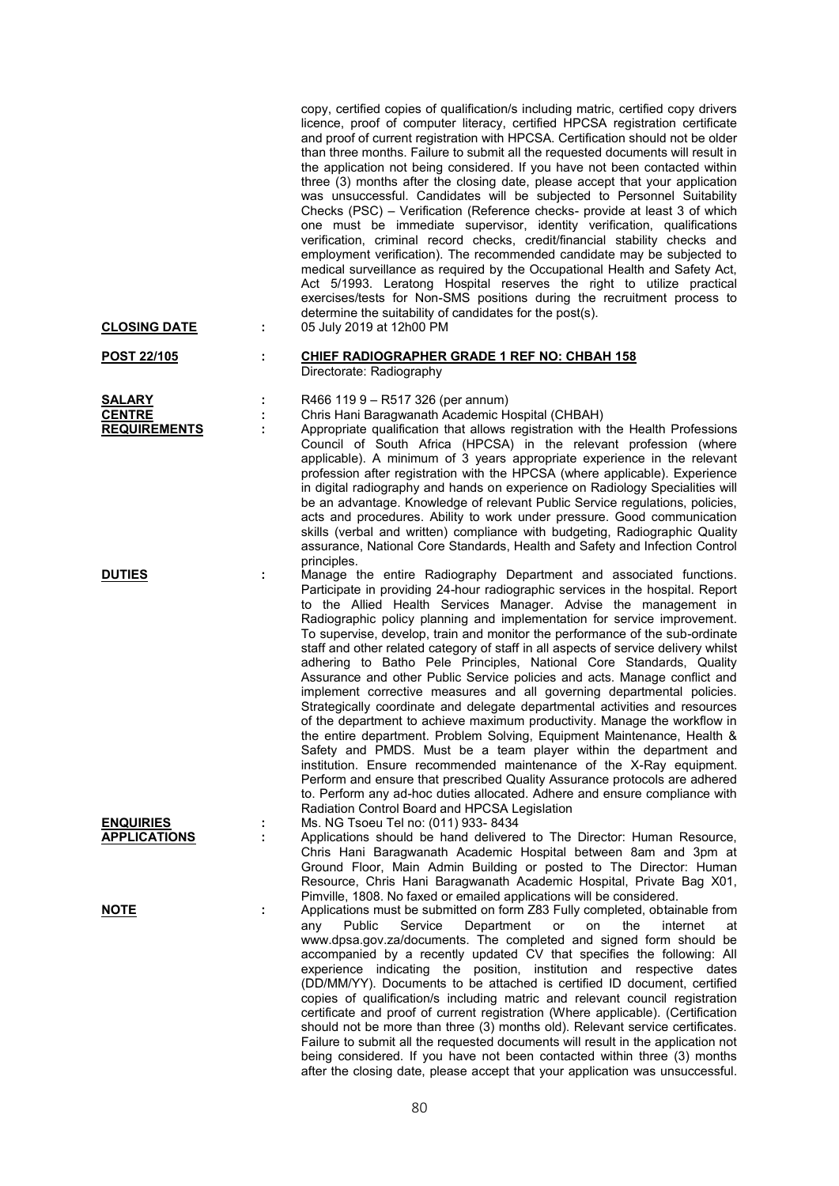| <b>CLOSING DATE</b>                            | ÷      | copy, certified copies of qualification/s including matric, certified copy drivers<br>licence, proof of computer literacy, certified HPCSA registration certificate<br>and proof of current registration with HPCSA. Certification should not be older<br>than three months. Failure to submit all the requested documents will result in<br>the application not being considered. If you have not been contacted within<br>three (3) months after the closing date, please accept that your application<br>was unsuccessful. Candidates will be subjected to Personnel Suitability<br>Checks (PSC) - Verification (Reference checks- provide at least 3 of which<br>one must be immediate supervisor, identity verification, qualifications<br>verification, criminal record checks, credit/financial stability checks and<br>employment verification). The recommended candidate may be subjected to<br>medical surveillance as required by the Occupational Health and Safety Act,<br>Act 5/1993. Leratong Hospital reserves the right to utilize practical<br>exercises/tests for Non-SMS positions during the recruitment process to<br>determine the suitability of candidates for the post(s).<br>05 July 2019 at 12h00 PM                                                                       |
|------------------------------------------------|--------|---------------------------------------------------------------------------------------------------------------------------------------------------------------------------------------------------------------------------------------------------------------------------------------------------------------------------------------------------------------------------------------------------------------------------------------------------------------------------------------------------------------------------------------------------------------------------------------------------------------------------------------------------------------------------------------------------------------------------------------------------------------------------------------------------------------------------------------------------------------------------------------------------------------------------------------------------------------------------------------------------------------------------------------------------------------------------------------------------------------------------------------------------------------------------------------------------------------------------------------------------------------------------------------------------------|
| POST 22/105                                    | t      | <b>CHIEF RADIOGRAPHER GRADE 1 REF NO: CHBAH 158</b>                                                                                                                                                                                                                                                                                                                                                                                                                                                                                                                                                                                                                                                                                                                                                                                                                                                                                                                                                                                                                                                                                                                                                                                                                                                     |
|                                                |        | Directorate: Radiography                                                                                                                                                                                                                                                                                                                                                                                                                                                                                                                                                                                                                                                                                                                                                                                                                                                                                                                                                                                                                                                                                                                                                                                                                                                                                |
| SALARY<br><b>CENTRE</b><br><b>REQUIREMENTS</b> | ÷<br>÷ | R466 119 9 - R517 326 (per annum)<br>Chris Hani Baragwanath Academic Hospital (CHBAH)<br>Appropriate qualification that allows registration with the Health Professions<br>Council of South Africa (HPCSA) in the relevant profession (where<br>applicable). A minimum of 3 years appropriate experience in the relevant<br>profession after registration with the HPCSA (where applicable). Experience<br>in digital radiography and hands on experience on Radiology Specialities will<br>be an advantage. Knowledge of relevant Public Service regulations, policies,<br>acts and procedures. Ability to work under pressure. Good communication<br>skills (verbal and written) compliance with budgeting, Radiographic Quality<br>assurance, National Core Standards, Health and Safety and Infection Control<br>principles.                                                                                                                                                                                                                                                                                                                                                                                                                                                                        |
| <b>DUTIES</b>                                  | t      | Manage the entire Radiography Department and associated functions.<br>Participate in providing 24-hour radiographic services in the hospital. Report<br>to the Allied Health Services Manager. Advise the management in<br>Radiographic policy planning and implementation for service improvement.<br>To supervise, develop, train and monitor the performance of the sub-ordinate<br>staff and other related category of staff in all aspects of service delivery whilst<br>adhering to Batho Pele Principles, National Core Standards, Quality<br>Assurance and other Public Service policies and acts. Manage conflict and<br>implement corrective measures and all governing departmental policies.<br>Strategically coordinate and delegate departmental activities and resources<br>of the department to achieve maximum productivity. Manage the workflow in<br>the entire department. Problem Solving, Equipment Maintenance, Health &<br>Safety and PMDS. Must be a team player within the department and<br>institution. Ensure recommended maintenance of the X-Ray equipment.<br>Perform and ensure that prescribed Quality Assurance protocols are adhered<br>to. Perform any ad-hoc duties allocated. Adhere and ensure compliance with<br>Radiation Control Board and HPCSA Legislation |
| <b>ENQUIRIES</b><br><b>APPLICATIONS</b>        |        | Ms. NG Tsoeu Tel no: (011) 933-8434<br>Applications should be hand delivered to The Director: Human Resource,<br>Chris Hani Baragwanath Academic Hospital between 8am and 3pm at<br>Ground Floor, Main Admin Building or posted to The Director: Human<br>Resource, Chris Hani Baragwanath Academic Hospital, Private Bag X01,<br>Pimville, 1808. No faxed or emailed applications will be considered.                                                                                                                                                                                                                                                                                                                                                                                                                                                                                                                                                                                                                                                                                                                                                                                                                                                                                                  |
| <b>NOTE</b>                                    | ÷      | Applications must be submitted on form Z83 Fully completed, obtainable from<br>Public<br>Service<br>Department<br>the<br>internet<br>any<br>or<br>on<br>at<br>www.dpsa.gov.za/documents. The completed and signed form should be<br>accompanied by a recently updated CV that specifies the following: All<br>experience indicating the position, institution and respective dates<br>(DD/MM/YY). Documents to be attached is certified ID document, certified<br>copies of qualification/s including matric and relevant council registration<br>certificate and proof of current registration (Where applicable). (Certification<br>should not be more than three (3) months old). Relevant service certificates.<br>Failure to submit all the requested documents will result in the application not<br>being considered. If you have not been contacted within three (3) months<br>after the closing date, please accept that your application was unsuccessful.                                                                                                                                                                                                                                                                                                                                    |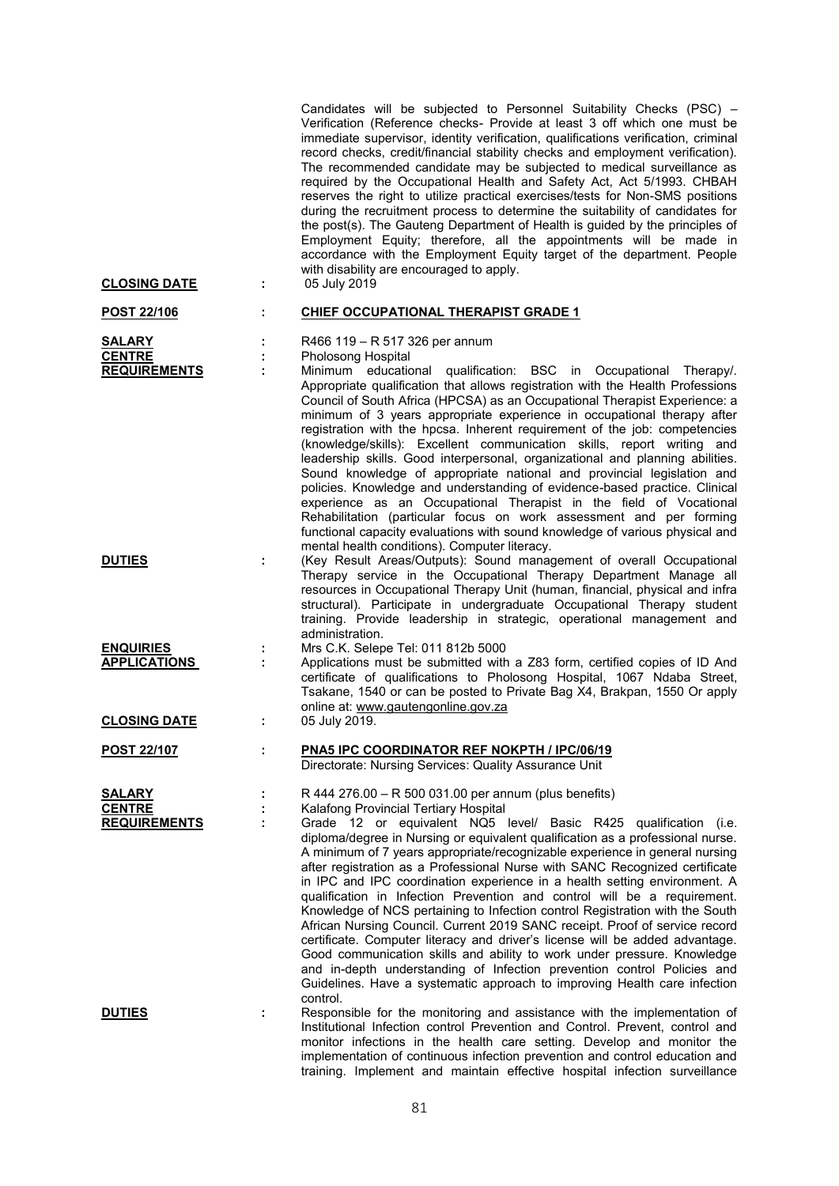| <b>CLOSING DATE</b>                                   | ÷      | Candidates will be subjected to Personnel Suitability Checks (PSC) –<br>Verification (Reference checks- Provide at least 3 off which one must be<br>immediate supervisor, identity verification, qualifications verification, criminal<br>record checks, credit/financial stability checks and employment verification).<br>The recommended candidate may be subjected to medical surveillance as<br>required by the Occupational Health and Safety Act, Act 5/1993. CHBAH<br>reserves the right to utilize practical exercises/tests for Non-SMS positions<br>during the recruitment process to determine the suitability of candidates for<br>the post(s). The Gauteng Department of Health is guided by the principles of<br>Employment Equity; therefore, all the appointments will be made in<br>accordance with the Employment Equity target of the department. People<br>with disability are encouraged to apply.<br>05 July 2019                                                                                                                                  |
|-------------------------------------------------------|--------|---------------------------------------------------------------------------------------------------------------------------------------------------------------------------------------------------------------------------------------------------------------------------------------------------------------------------------------------------------------------------------------------------------------------------------------------------------------------------------------------------------------------------------------------------------------------------------------------------------------------------------------------------------------------------------------------------------------------------------------------------------------------------------------------------------------------------------------------------------------------------------------------------------------------------------------------------------------------------------------------------------------------------------------------------------------------------|
| POST 22/106                                           | ÷      | <b>CHIEF OCCUPATIONAL THERAPIST GRADE 1</b>                                                                                                                                                                                                                                                                                                                                                                                                                                                                                                                                                                                                                                                                                                                                                                                                                                                                                                                                                                                                                               |
| <b>SALARY</b><br><b>CENTRE</b><br><b>REQUIREMENTS</b> | ÷      | R466 119 - R 517 326 per annum<br>Pholosong Hospital<br>Minimum educational qualification: BSC in Occupational Therapy/.<br>Appropriate qualification that allows registration with the Health Professions<br>Council of South Africa (HPCSA) as an Occupational Therapist Experience: a<br>minimum of 3 years appropriate experience in occupational therapy after<br>registration with the hpcsa. Inherent requirement of the job: competencies<br>(knowledge/skills): Excellent communication skills, report writing and<br>leadership skills. Good interpersonal, organizational and planning abilities.<br>Sound knowledge of appropriate national and provincial legislation and                                                                                                                                                                                                                                                                                                                                                                                    |
| <b>DUTIES</b>                                         | ÷      | policies. Knowledge and understanding of evidence-based practice. Clinical<br>experience as an Occupational Therapist in the field of Vocational<br>Rehabilitation (particular focus on work assessment and per forming<br>functional capacity evaluations with sound knowledge of various physical and<br>mental health conditions). Computer literacy.<br>(Key Result Areas/Outputs): Sound management of overall Occupational<br>Therapy service in the Occupational Therapy Department Manage all<br>resources in Occupational Therapy Unit (human, financial, physical and infra<br>structural). Participate in undergraduate Occupational Therapy student<br>training. Provide leadership in strategic, operational management and<br>administration.                                                                                                                                                                                                                                                                                                               |
| <b>ENQUIRIES</b><br><b>APPLICATIONS</b>               | ÷<br>÷ | Mrs C.K. Selepe Tel: 011 812b 5000<br>Applications must be submitted with a Z83 form, certified copies of ID And<br>certificate of qualifications to Pholosong Hospital, 1067 Ndaba Street,<br>Tsakane, 1540 or can be posted to Private Bag X4, Brakpan, 1550 Or apply<br>online at: www.gautengonline.gov.za                                                                                                                                                                                                                                                                                                                                                                                                                                                                                                                                                                                                                                                                                                                                                            |
| <b>CLOSING DATE</b>                                   | t      | 05 July 2019.                                                                                                                                                                                                                                                                                                                                                                                                                                                                                                                                                                                                                                                                                                                                                                                                                                                                                                                                                                                                                                                             |
| <u>POST 22/107</u>                                    | t.     | <b>PNA5 IPC COORDINATOR REF NOKPTH / IPC/06/19</b><br>Directorate: Nursing Services: Quality Assurance Unit                                                                                                                                                                                                                                                                                                                                                                                                                                                                                                                                                                                                                                                                                                                                                                                                                                                                                                                                                               |
| <u>SALARY</u><br><b>CENTRE</b><br><b>REQUIREMENTS</b> |        | R 444 276.00 - R 500 031.00 per annum (plus benefits)<br>Kalafong Provincial Tertiary Hospital<br>Grade 12 or equivalent NQ5 level/ Basic R425 qualification (i.e.<br>diploma/degree in Nursing or equivalent qualification as a professional nurse.<br>A minimum of 7 years appropriate/recognizable experience in general nursing<br>after registration as a Professional Nurse with SANC Recognized certificate<br>in IPC and IPC coordination experience in a health setting environment. A<br>qualification in Infection Prevention and control will be a requirement.<br>Knowledge of NCS pertaining to Infection control Registration with the South<br>African Nursing Council. Current 2019 SANC receipt. Proof of service record<br>certificate. Computer literacy and driver's license will be added advantage.<br>Good communication skills and ability to work under pressure. Knowledge<br>and in-depth understanding of Infection prevention control Policies and<br>Guidelines. Have a systematic approach to improving Health care infection<br>control. |
| <b>DUTIES</b>                                         | t      | Responsible for the monitoring and assistance with the implementation of<br>Institutional Infection control Prevention and Control. Prevent, control and<br>monitor infections in the health care setting. Develop and monitor the<br>implementation of continuous infection prevention and control education and                                                                                                                                                                                                                                                                                                                                                                                                                                                                                                                                                                                                                                                                                                                                                         |

training. Implement and maintain effective hospital infection surveillance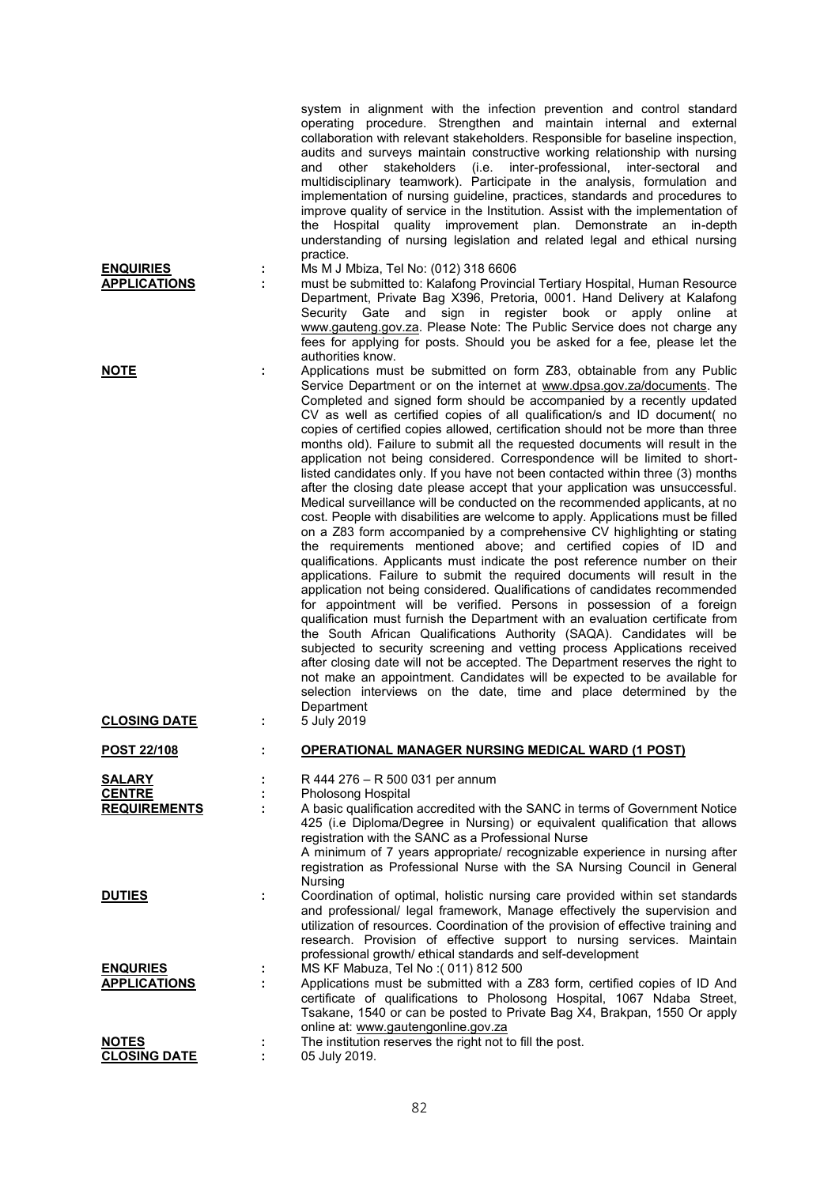|                                                       |        | system in alignment with the infection prevention and control standard<br>operating procedure. Strengthen and maintain internal and external<br>collaboration with relevant stakeholders. Responsible for baseline inspection,<br>audits and surveys maintain constructive working relationship with nursing<br>and other stakeholders<br>(i.e. inter-professional,<br>inter-sectoral<br>and<br>multidisciplinary teamwork). Participate in the analysis, formulation and<br>implementation of nursing guideline, practices, standards and procedures to<br>improve quality of service in the Institution. Assist with the implementation of<br>the Hospital quality improvement plan. Demonstrate an in-depth<br>understanding of nursing legislation and related legal and ethical nursing<br>practice.                                                                                                                                                                                                                                                                                                                                                                                                                                                                                                                                                                                                                                                                                                                                                                                                                                                                                                                                                                                                                                                              |
|-------------------------------------------------------|--------|------------------------------------------------------------------------------------------------------------------------------------------------------------------------------------------------------------------------------------------------------------------------------------------------------------------------------------------------------------------------------------------------------------------------------------------------------------------------------------------------------------------------------------------------------------------------------------------------------------------------------------------------------------------------------------------------------------------------------------------------------------------------------------------------------------------------------------------------------------------------------------------------------------------------------------------------------------------------------------------------------------------------------------------------------------------------------------------------------------------------------------------------------------------------------------------------------------------------------------------------------------------------------------------------------------------------------------------------------------------------------------------------------------------------------------------------------------------------------------------------------------------------------------------------------------------------------------------------------------------------------------------------------------------------------------------------------------------------------------------------------------------------------------------------------------------------------------------------------------------------|
| <b>ENQUIRIES</b><br><b>APPLICATIONS</b>               | ÷<br>÷ | Ms M J Mbiza, Tel No: (012) 318 6606<br>must be submitted to: Kalafong Provincial Tertiary Hospital, Human Resource<br>Department, Private Bag X396, Pretoria, 0001. Hand Delivery at Kalafong<br>Security Gate and sign in register book or apply online at<br>www.gauteng.gov.za. Please Note: The Public Service does not charge any<br>fees for applying for posts. Should you be asked for a fee, please let the<br>authorities know.                                                                                                                                                                                                                                                                                                                                                                                                                                                                                                                                                                                                                                                                                                                                                                                                                                                                                                                                                                                                                                                                                                                                                                                                                                                                                                                                                                                                                             |
| <b>NOTE</b><br><b>CLOSING DATE</b>                    | ÷      | Applications must be submitted on form Z83, obtainable from any Public<br>Service Department or on the internet at www.dpsa.gov.za/documents. The<br>Completed and signed form should be accompanied by a recently updated<br>CV as well as certified copies of all qualification/s and ID document( no<br>copies of certified copies allowed, certification should not be more than three<br>months old). Failure to submit all the requested documents will result in the<br>application not being considered. Correspondence will be limited to short-<br>listed candidates only. If you have not been contacted within three (3) months<br>after the closing date please accept that your application was unsuccessful.<br>Medical surveillance will be conducted on the recommended applicants, at no<br>cost. People with disabilities are welcome to apply. Applications must be filled<br>on a Z83 form accompanied by a comprehensive CV highlighting or stating<br>the requirements mentioned above; and certified copies of ID and<br>qualifications. Applicants must indicate the post reference number on their<br>applications. Failure to submit the required documents will result in the<br>application not being considered. Qualifications of candidates recommended<br>for appointment will be verified. Persons in possession of a foreign<br>qualification must furnish the Department with an evaluation certificate from<br>the South African Qualifications Authority (SAQA). Candidates will be<br>subjected to security screening and vetting process Applications received<br>after closing date will not be accepted. The Department reserves the right to<br>not make an appointment. Candidates will be expected to be available for<br>selection interviews on the date, time and place determined by the<br>Department<br>5 July 2019 |
| POST 22/108                                           |        | <b>OPERATIONAL MANAGER NURSING MEDICAL WARD (1 POST)</b>                                                                                                                                                                                                                                                                                                                                                                                                                                                                                                                                                                                                                                                                                                                                                                                                                                                                                                                                                                                                                                                                                                                                                                                                                                                                                                                                                                                                                                                                                                                                                                                                                                                                                                                                                                                                               |
| <b>SALARY</b><br><b>CENTRE</b><br><b>REQUIREMENTS</b> | ÷      | R 444 276 - R 500 031 per annum<br>Pholosong Hospital<br>A basic qualification accredited with the SANC in terms of Government Notice<br>425 (i.e Diploma/Degree in Nursing) or equivalent qualification that allows<br>registration with the SANC as a Professional Nurse<br>A minimum of 7 years appropriate/ recognizable experience in nursing after<br>registration as Professional Nurse with the SA Nursing Council in General                                                                                                                                                                                                                                                                                                                                                                                                                                                                                                                                                                                                                                                                                                                                                                                                                                                                                                                                                                                                                                                                                                                                                                                                                                                                                                                                                                                                                                  |
| <b>DUTIES</b>                                         | ÷      | Nursing<br>Coordination of optimal, holistic nursing care provided within set standards<br>and professional/ legal framework, Manage effectively the supervision and<br>utilization of resources. Coordination of the provision of effective training and<br>research. Provision of effective support to nursing services. Maintain                                                                                                                                                                                                                                                                                                                                                                                                                                                                                                                                                                                                                                                                                                                                                                                                                                                                                                                                                                                                                                                                                                                                                                                                                                                                                                                                                                                                                                                                                                                                    |
| <b>ENQURIES</b><br><b>APPLICATIONS</b>                | ÷      | professional growth/ ethical standards and self-development<br>MS KF Mabuza, Tel No: (011) 812 500<br>Applications must be submitted with a Z83 form, certified copies of ID And<br>certificate of qualifications to Pholosong Hospital, 1067 Ndaba Street,<br>Tsakane, 1540 or can be posted to Private Bag X4, Brakpan, 1550 Or apply                                                                                                                                                                                                                                                                                                                                                                                                                                                                                                                                                                                                                                                                                                                                                                                                                                                                                                                                                                                                                                                                                                                                                                                                                                                                                                                                                                                                                                                                                                                                |
| <b>NOTES</b><br><b>CLOSING DATE</b>                   |        | online at: www.gautengonline.gov.za<br>The institution reserves the right not to fill the post.<br>05 July 2019.                                                                                                                                                                                                                                                                                                                                                                                                                                                                                                                                                                                                                                                                                                                                                                                                                                                                                                                                                                                                                                                                                                                                                                                                                                                                                                                                                                                                                                                                                                                                                                                                                                                                                                                                                       |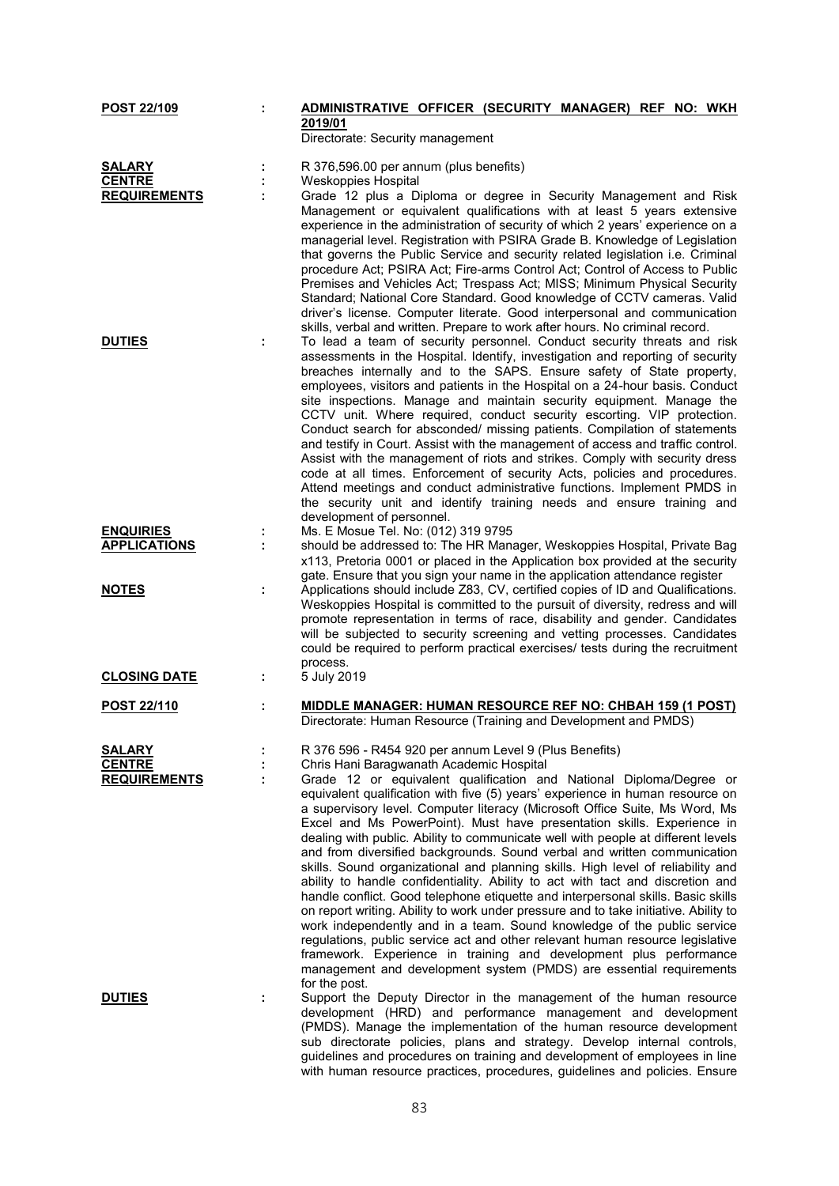| POST 22/109         | ÷ | ADMINISTRATIVE OFFICER (SECURITY MANAGER) REF NO: WKH                                                                                                                                                                                                                                                                                                                                                                                                                                                                                                                                                                                                                                                                                                                                                                                                                                                                                                                                                                                                                                                                                                    |
|---------------------|---|----------------------------------------------------------------------------------------------------------------------------------------------------------------------------------------------------------------------------------------------------------------------------------------------------------------------------------------------------------------------------------------------------------------------------------------------------------------------------------------------------------------------------------------------------------------------------------------------------------------------------------------------------------------------------------------------------------------------------------------------------------------------------------------------------------------------------------------------------------------------------------------------------------------------------------------------------------------------------------------------------------------------------------------------------------------------------------------------------------------------------------------------------------|
|                     |   | 2019/01<br>Directorate: Security management                                                                                                                                                                                                                                                                                                                                                                                                                                                                                                                                                                                                                                                                                                                                                                                                                                                                                                                                                                                                                                                                                                              |
| <b>SALARY</b>       |   | R 376,596.00 per annum (plus benefits)                                                                                                                                                                                                                                                                                                                                                                                                                                                                                                                                                                                                                                                                                                                                                                                                                                                                                                                                                                                                                                                                                                                   |
| <b>CENTRE</b>       |   | <b>Weskoppies Hospital</b>                                                                                                                                                                                                                                                                                                                                                                                                                                                                                                                                                                                                                                                                                                                                                                                                                                                                                                                                                                                                                                                                                                                               |
| <b>REQUIREMENTS</b> |   | Grade 12 plus a Diploma or degree in Security Management and Risk                                                                                                                                                                                                                                                                                                                                                                                                                                                                                                                                                                                                                                                                                                                                                                                                                                                                                                                                                                                                                                                                                        |
|                     |   | Management or equivalent qualifications with at least 5 years extensive<br>experience in the administration of security of which 2 years' experience on a<br>managerial level. Registration with PSIRA Grade B. Knowledge of Legislation<br>that governs the Public Service and security related legislation i.e. Criminal<br>procedure Act; PSIRA Act; Fire-arms Control Act; Control of Access to Public<br>Premises and Vehicles Act; Trespass Act; MISS; Minimum Physical Security<br>Standard; National Core Standard. Good knowledge of CCTV cameras. Valid<br>driver's license. Computer literate. Good interpersonal and communication<br>skills, verbal and written. Prepare to work after hours. No criminal record.                                                                                                                                                                                                                                                                                                                                                                                                                           |
| <b>DUTIES</b>       | ÷ | To lead a team of security personnel. Conduct security threats and risk                                                                                                                                                                                                                                                                                                                                                                                                                                                                                                                                                                                                                                                                                                                                                                                                                                                                                                                                                                                                                                                                                  |
|                     |   | assessments in the Hospital. Identify, investigation and reporting of security<br>breaches internally and to the SAPS. Ensure safety of State property,<br>employees, visitors and patients in the Hospital on a 24-hour basis. Conduct<br>site inspections. Manage and maintain security equipment. Manage the<br>CCTV unit. Where required, conduct security escorting. VIP protection.<br>Conduct search for absconded/ missing patients. Compilation of statements<br>and testify in Court. Assist with the management of access and traffic control.<br>Assist with the management of riots and strikes. Comply with security dress<br>code at all times. Enforcement of security Acts, policies and procedures.<br>Attend meetings and conduct administrative functions. Implement PMDS in<br>the security unit and identify training needs and ensure training and<br>development of personnel.                                                                                                                                                                                                                                                   |
| <b>ENQUIRIES</b>    |   | Ms. E Mosue Tel. No: (012) 319 9795                                                                                                                                                                                                                                                                                                                                                                                                                                                                                                                                                                                                                                                                                                                                                                                                                                                                                                                                                                                                                                                                                                                      |
| <b>APPLICATIONS</b> | ÷ | should be addressed to: The HR Manager, Weskoppies Hospital, Private Bag                                                                                                                                                                                                                                                                                                                                                                                                                                                                                                                                                                                                                                                                                                                                                                                                                                                                                                                                                                                                                                                                                 |
|                     |   | x113, Pretoria 0001 or placed in the Application box provided at the security                                                                                                                                                                                                                                                                                                                                                                                                                                                                                                                                                                                                                                                                                                                                                                                                                                                                                                                                                                                                                                                                            |
|                     |   | gate. Ensure that you sign your name in the application attendance register                                                                                                                                                                                                                                                                                                                                                                                                                                                                                                                                                                                                                                                                                                                                                                                                                                                                                                                                                                                                                                                                              |
| <b>NOTES</b>        |   | Applications should include Z83, CV, certified copies of ID and Qualifications.<br>Weskoppies Hospital is committed to the pursuit of diversity, redress and will<br>promote representation in terms of race, disability and gender. Candidates<br>will be subjected to security screening and vetting processes. Candidates<br>could be required to perform practical exercises/ tests during the recruitment<br>process.                                                                                                                                                                                                                                                                                                                                                                                                                                                                                                                                                                                                                                                                                                                               |
| <b>CLOSING DATE</b> | ÷ | 5 July 2019                                                                                                                                                                                                                                                                                                                                                                                                                                                                                                                                                                                                                                                                                                                                                                                                                                                                                                                                                                                                                                                                                                                                              |
| <b>POST 22/110</b>  | ÷ | <u>MIDDLE MANAGER: HUMAN RESOURCE REF NO: CHBAH 159 (1 POST)</u><br>Directorate: Human Resource (Training and Development and PMDS)                                                                                                                                                                                                                                                                                                                                                                                                                                                                                                                                                                                                                                                                                                                                                                                                                                                                                                                                                                                                                      |
| <b>SALARY</b>       |   | R 376 596 - R454 920 per annum Level 9 (Plus Benefits)                                                                                                                                                                                                                                                                                                                                                                                                                                                                                                                                                                                                                                                                                                                                                                                                                                                                                                                                                                                                                                                                                                   |
| <b>CENTRE</b>       |   | Chris Hani Baragwanath Academic Hospital                                                                                                                                                                                                                                                                                                                                                                                                                                                                                                                                                                                                                                                                                                                                                                                                                                                                                                                                                                                                                                                                                                                 |
| <b>REQUIREMENTS</b> |   | Grade 12 or equivalent qualification and National Diploma/Degree or<br>equivalent qualification with five (5) years' experience in human resource on<br>a supervisory level. Computer literacy (Microsoft Office Suite, Ms Word, Ms<br>Excel and Ms PowerPoint). Must have presentation skills. Experience in<br>dealing with public. Ability to communicate well with people at different levels<br>and from diversified backgrounds. Sound verbal and written communication<br>skills. Sound organizational and planning skills. High level of reliability and<br>ability to handle confidentiality. Ability to act with tact and discretion and<br>handle conflict. Good telephone etiquette and interpersonal skills. Basic skills<br>on report writing. Ability to work under pressure and to take initiative. Ability to<br>work independently and in a team. Sound knowledge of the public service<br>regulations, public service act and other relevant human resource legislative<br>framework. Experience in training and development plus performance<br>management and development system (PMDS) are essential requirements<br>for the post. |
| <b>DUTIES</b>       | ÷ | Support the Deputy Director in the management of the human resource<br>development (HRD) and performance management and development<br>(PMDS). Manage the implementation of the human resource development<br>sub directorate policies, plans and strategy. Develop internal controls,<br>guidelines and procedures on training and development of employees in line<br>with human resource practices, procedures, guidelines and policies. Ensure                                                                                                                                                                                                                                                                                                                                                                                                                                                                                                                                                                                                                                                                                                       |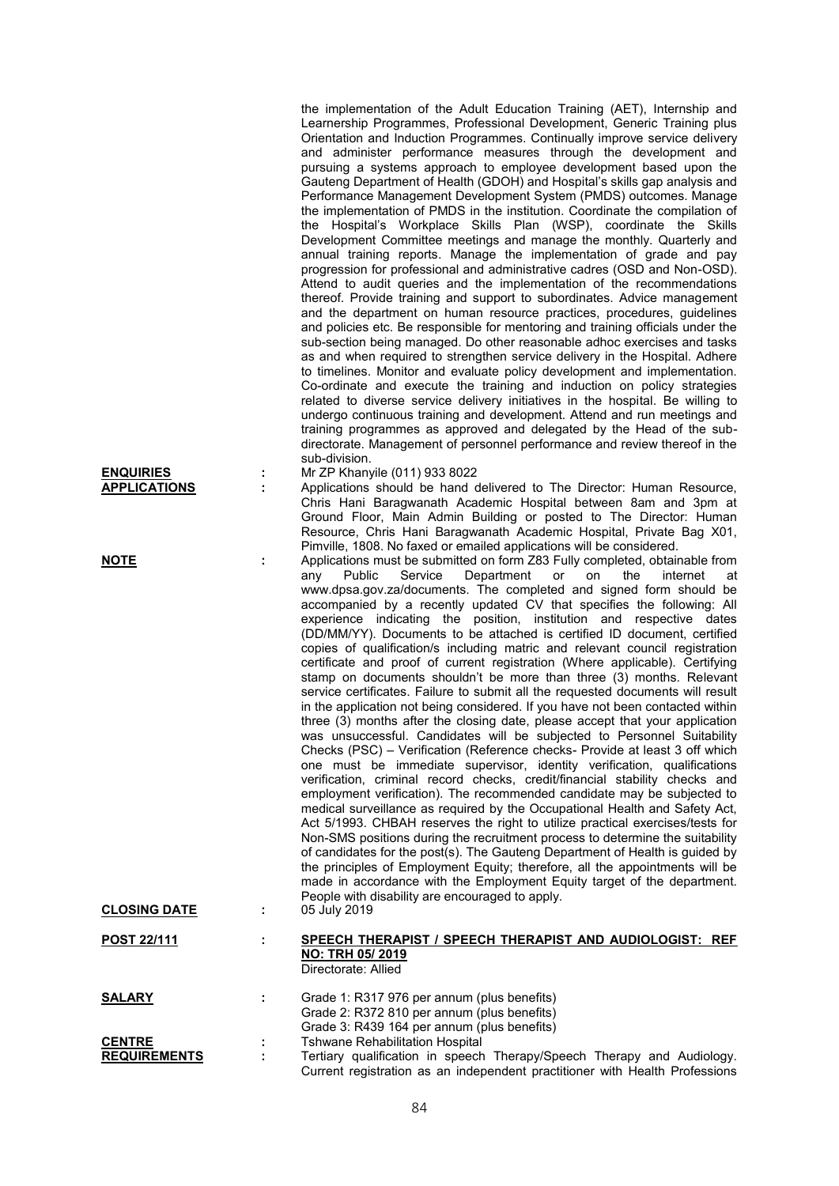| <b>ENQUIRIES</b>                     | Ĩ, | the implementation of the Adult Education Training (AET), Internship and<br>Learnership Programmes, Professional Development, Generic Training plus<br>Orientation and Induction Programmes. Continually improve service delivery<br>and administer performance measures through the development and<br>pursuing a systems approach to employee development based upon the<br>Gauteng Department of Health (GDOH) and Hospital's skills gap analysis and<br>Performance Management Development System (PMDS) outcomes. Manage<br>the implementation of PMDS in the institution. Coordinate the compilation of<br>the Hospital's Workplace Skills Plan (WSP), coordinate the Skills<br>Development Committee meetings and manage the monthly. Quarterly and<br>annual training reports. Manage the implementation of grade and pay<br>progression for professional and administrative cadres (OSD and Non-OSD).<br>Attend to audit queries and the implementation of the recommendations<br>thereof. Provide training and support to subordinates. Advice management<br>and the department on human resource practices, procedures, guidelines<br>and policies etc. Be responsible for mentoring and training officials under the<br>sub-section being managed. Do other reasonable adhoc exercises and tasks<br>as and when required to strengthen service delivery in the Hospital. Adhere<br>to timelines. Monitor and evaluate policy development and implementation.<br>Co-ordinate and execute the training and induction on policy strategies<br>related to diverse service delivery initiatives in the hospital. Be willing to<br>undergo continuous training and development. Attend and run meetings and<br>training programmes as approved and delegated by the Head of the sub-<br>directorate. Management of personnel performance and review thereof in the<br>sub-division.<br>Mr ZP Khanyile (011) 933 8022                                                        |
|--------------------------------------|----|-----------------------------------------------------------------------------------------------------------------------------------------------------------------------------------------------------------------------------------------------------------------------------------------------------------------------------------------------------------------------------------------------------------------------------------------------------------------------------------------------------------------------------------------------------------------------------------------------------------------------------------------------------------------------------------------------------------------------------------------------------------------------------------------------------------------------------------------------------------------------------------------------------------------------------------------------------------------------------------------------------------------------------------------------------------------------------------------------------------------------------------------------------------------------------------------------------------------------------------------------------------------------------------------------------------------------------------------------------------------------------------------------------------------------------------------------------------------------------------------------------------------------------------------------------------------------------------------------------------------------------------------------------------------------------------------------------------------------------------------------------------------------------------------------------------------------------------------------------------------------------------------------------------------------------------------------------------------------------------|
| <b>APPLICATIONS</b>                  | ÷  | Applications should be hand delivered to The Director: Human Resource,<br>Chris Hani Baragwanath Academic Hospital between 8am and 3pm at                                                                                                                                                                                                                                                                                                                                                                                                                                                                                                                                                                                                                                                                                                                                                                                                                                                                                                                                                                                                                                                                                                                                                                                                                                                                                                                                                                                                                                                                                                                                                                                                                                                                                                                                                                                                                                         |
|                                      |    | Ground Floor, Main Admin Building or posted to The Director: Human<br>Resource, Chris Hani Baragwanath Academic Hospital, Private Bag X01,                                                                                                                                                                                                                                                                                                                                                                                                                                                                                                                                                                                                                                                                                                                                                                                                                                                                                                                                                                                                                                                                                                                                                                                                                                                                                                                                                                                                                                                                                                                                                                                                                                                                                                                                                                                                                                        |
| <b>NOTE</b>                          | t. | Pimville, 1808. No faxed or emailed applications will be considered.<br>Applications must be submitted on form Z83 Fully completed, obtainable from<br>Public<br>Service<br>Department<br>internet<br>any<br>on<br>the<br>at<br>or<br>www.dpsa.gov.za/documents. The completed and signed form should be<br>accompanied by a recently updated CV that specifies the following: All<br>experience indicating the position, institution and respective dates<br>(DD/MM/YY). Documents to be attached is certified ID document, certified<br>copies of qualification/s including matric and relevant council registration<br>certificate and proof of current registration (Where applicable). Certifying<br>stamp on documents shouldn't be more than three (3) months. Relevant<br>service certificates. Failure to submit all the requested documents will result<br>in the application not being considered. If you have not been contacted within<br>three (3) months after the closing date, please accept that your application<br>was unsuccessful. Candidates will be subjected to Personnel Suitability<br>Checks (PSC) - Verification (Reference checks- Provide at least 3 off which<br>one must be immediate supervisor, identity verification, qualifications<br>verification, criminal record checks, credit/financial stability checks and<br>employment verification). The recommended candidate may be subjected to<br>medical surveillance as required by the Occupational Health and Safety Act,<br>Act 5/1993. CHBAH reserves the right to utilize practical exercises/tests for<br>Non-SMS positions during the recruitment process to determine the suitability<br>of candidates for the post(s). The Gauteng Department of Health is guided by<br>the principles of Employment Equity; therefore, all the appointments will be<br>made in accordance with the Employment Equity target of the department.<br>People with disability are encouraged to apply. |
| <b>CLOSING DATE</b>                  | ÷. | 05 July 2019                                                                                                                                                                                                                                                                                                                                                                                                                                                                                                                                                                                                                                                                                                                                                                                                                                                                                                                                                                                                                                                                                                                                                                                                                                                                                                                                                                                                                                                                                                                                                                                                                                                                                                                                                                                                                                                                                                                                                                      |
| <b>POST 22/111</b>                   | ÷  | SPEECH THERAPIST / SPEECH THERAPIST AND AUDIOLOGIST: REF<br>NO: TRH 05/2019<br>Directorate: Allied                                                                                                                                                                                                                                                                                                                                                                                                                                                                                                                                                                                                                                                                                                                                                                                                                                                                                                                                                                                                                                                                                                                                                                                                                                                                                                                                                                                                                                                                                                                                                                                                                                                                                                                                                                                                                                                                                |
| <b>SALARY</b>                        | t  | Grade 1: R317 976 per annum (plus benefits)<br>Grade 2: R372 810 per annum (plus benefits)                                                                                                                                                                                                                                                                                                                                                                                                                                                                                                                                                                                                                                                                                                                                                                                                                                                                                                                                                                                                                                                                                                                                                                                                                                                                                                                                                                                                                                                                                                                                                                                                                                                                                                                                                                                                                                                                                        |
| <b>CENTRE</b><br><b>REQUIREMENTS</b> | t  | Grade 3: R439 164 per annum (plus benefits)<br><b>Tshwane Rehabilitation Hospital</b><br>Tertiary qualification in speech Therapy/Speech Therapy and Audiology.<br>Current registration as an independent practitioner with Health Professions                                                                                                                                                                                                                                                                                                                                                                                                                                                                                                                                                                                                                                                                                                                                                                                                                                                                                                                                                                                                                                                                                                                                                                                                                                                                                                                                                                                                                                                                                                                                                                                                                                                                                                                                    |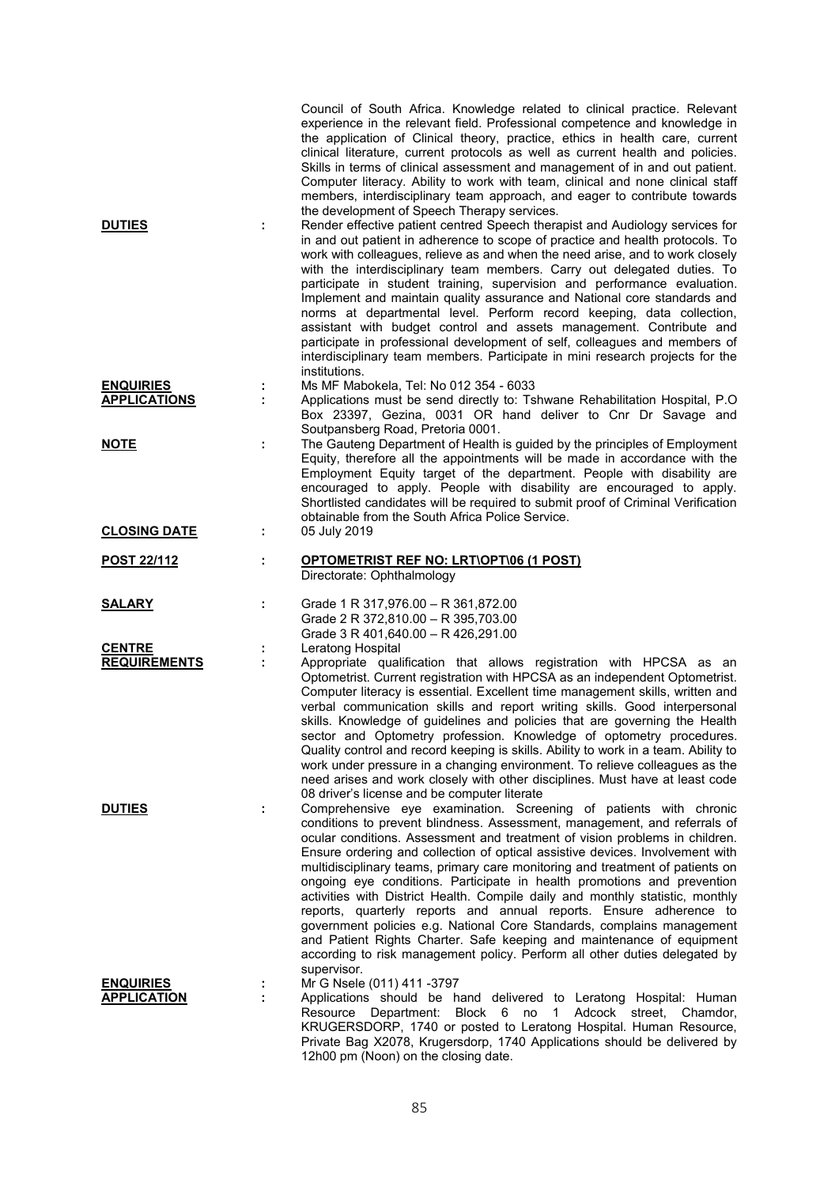| <b>DUTIES</b>                          | ÷ | Council of South Africa. Knowledge related to clinical practice. Relevant<br>experience in the relevant field. Professional competence and knowledge in<br>the application of Clinical theory, practice, ethics in health care, current<br>clinical literature, current protocols as well as current health and policies.<br>Skills in terms of clinical assessment and management of in and out patient.<br>Computer literacy. Ability to work with team, clinical and none clinical staff<br>members, interdisciplinary team approach, and eager to contribute towards<br>the development of Speech Therapy services.<br>Render effective patient centred Speech therapist and Audiology services for<br>in and out patient in adherence to scope of practice and health protocols. To<br>work with colleagues, relieve as and when the need arise, and to work closely<br>with the interdisciplinary team members. Carry out delegated duties. To<br>participate in student training, supervision and performance evaluation.<br>Implement and maintain quality assurance and National core standards and |
|----------------------------------------|---|--------------------------------------------------------------------------------------------------------------------------------------------------------------------------------------------------------------------------------------------------------------------------------------------------------------------------------------------------------------------------------------------------------------------------------------------------------------------------------------------------------------------------------------------------------------------------------------------------------------------------------------------------------------------------------------------------------------------------------------------------------------------------------------------------------------------------------------------------------------------------------------------------------------------------------------------------------------------------------------------------------------------------------------------------------------------------------------------------------------|
| <b>ENQUIRIES</b>                       |   | norms at departmental level. Perform record keeping, data collection,<br>assistant with budget control and assets management. Contribute and<br>participate in professional development of self, colleagues and members of<br>interdisciplinary team members. Participate in mini research projects for the<br>institutions.<br>Ms MF Mabokela, Tel: No 012 354 - 6033                                                                                                                                                                                                                                                                                                                                                                                                                                                                                                                                                                                                                                                                                                                                       |
| <b>APPLICATIONS</b>                    | ÷ | Applications must be send directly to: Tshwane Rehabilitation Hospital, P.O.                                                                                                                                                                                                                                                                                                                                                                                                                                                                                                                                                                                                                                                                                                                                                                                                                                                                                                                                                                                                                                 |
| <b>NOTE</b>                            |   | Box 23397, Gezina, 0031 OR hand deliver to Cnr Dr Savage and<br>Soutpansberg Road, Pretoria 0001.<br>The Gauteng Department of Health is guided by the principles of Employment<br>Equity, therefore all the appointments will be made in accordance with the                                                                                                                                                                                                                                                                                                                                                                                                                                                                                                                                                                                                                                                                                                                                                                                                                                                |
|                                        |   | Employment Equity target of the department. People with disability are<br>encouraged to apply. People with disability are encouraged to apply.<br>Shortlisted candidates will be required to submit proof of Criminal Verification<br>obtainable from the South Africa Police Service.                                                                                                                                                                                                                                                                                                                                                                                                                                                                                                                                                                                                                                                                                                                                                                                                                       |
| <b>CLOSING DATE</b>                    | ÷ | 05 July 2019                                                                                                                                                                                                                                                                                                                                                                                                                                                                                                                                                                                                                                                                                                                                                                                                                                                                                                                                                                                                                                                                                                 |
| <b>POST 22/112</b>                     | ÷ | OPTOMETRIST REF NO: LRT\OPT\06 (1 POST)<br>Directorate: Ophthalmology                                                                                                                                                                                                                                                                                                                                                                                                                                                                                                                                                                                                                                                                                                                                                                                                                                                                                                                                                                                                                                        |
| <b>SALARY</b>                          | ÷ | Grade 1 R 317,976.00 - R 361,872.00<br>Grade 2 R 372,810.00 - R 395,703.00<br>Grade 3 R 401,640.00 - R 426,291.00                                                                                                                                                                                                                                                                                                                                                                                                                                                                                                                                                                                                                                                                                                                                                                                                                                                                                                                                                                                            |
| <b>CENTRE</b>                          |   | Leratong Hospital                                                                                                                                                                                                                                                                                                                                                                                                                                                                                                                                                                                                                                                                                                                                                                                                                                                                                                                                                                                                                                                                                            |
| <b>REQUIREMENTS</b>                    | ÷ | Appropriate qualification that allows registration with HPCSA as an<br>Optometrist. Current registration with HPCSA as an independent Optometrist.<br>Computer literacy is essential. Excellent time management skills, written and<br>verbal communication skills and report writing skills. Good interpersonal<br>skills. Knowledge of guidelines and policies that are governing the Health<br>sector and Optometry profession. Knowledge of optometry procedures.<br>Quality control and record keeping is skills. Ability to work in a team. Ability to<br>work under pressure in a changing environment. To relieve colleagues as the<br>need arises and work closely with other disciplines. Must have at least code<br>08 driver's license and be computer literate                                                                                                                                                                                                                                                                                                                                  |
| <b>DUTIES</b>                          |   | Comprehensive eye examination. Screening of patients with chronic<br>conditions to prevent blindness. Assessment, management, and referrals of<br>ocular conditions. Assessment and treatment of vision problems in children.<br>Ensure ordering and collection of optical assistive devices. Involvement with<br>multidisciplinary teams, primary care monitoring and treatment of patients on<br>ongoing eye conditions. Participate in health promotions and prevention<br>activities with District Health. Compile daily and monthly statistic, monthly<br>reports, quarterly reports and annual reports. Ensure adherence to<br>government policies e.g. National Core Standards, complains management<br>and Patient Rights Charter. Safe keeping and maintenance of equipment<br>according to risk management policy. Perform all other duties delegated by<br>supervisor.                                                                                                                                                                                                                            |
| <b>ENQUIRIES</b><br><b>APPLICATION</b> |   | Mr G Nsele (011) 411 -3797<br>Applications should be hand delivered to Leratong Hospital: Human<br>Resource Department: Block 6 no 1 Adcock street, Chamdor,<br>KRUGERSDORP, 1740 or posted to Leratong Hospital. Human Resource,<br>Private Bag X2078, Krugersdorp, 1740 Applications should be delivered by<br>12h00 pm (Noon) on the closing date.                                                                                                                                                                                                                                                                                                                                                                                                                                                                                                                                                                                                                                                                                                                                                        |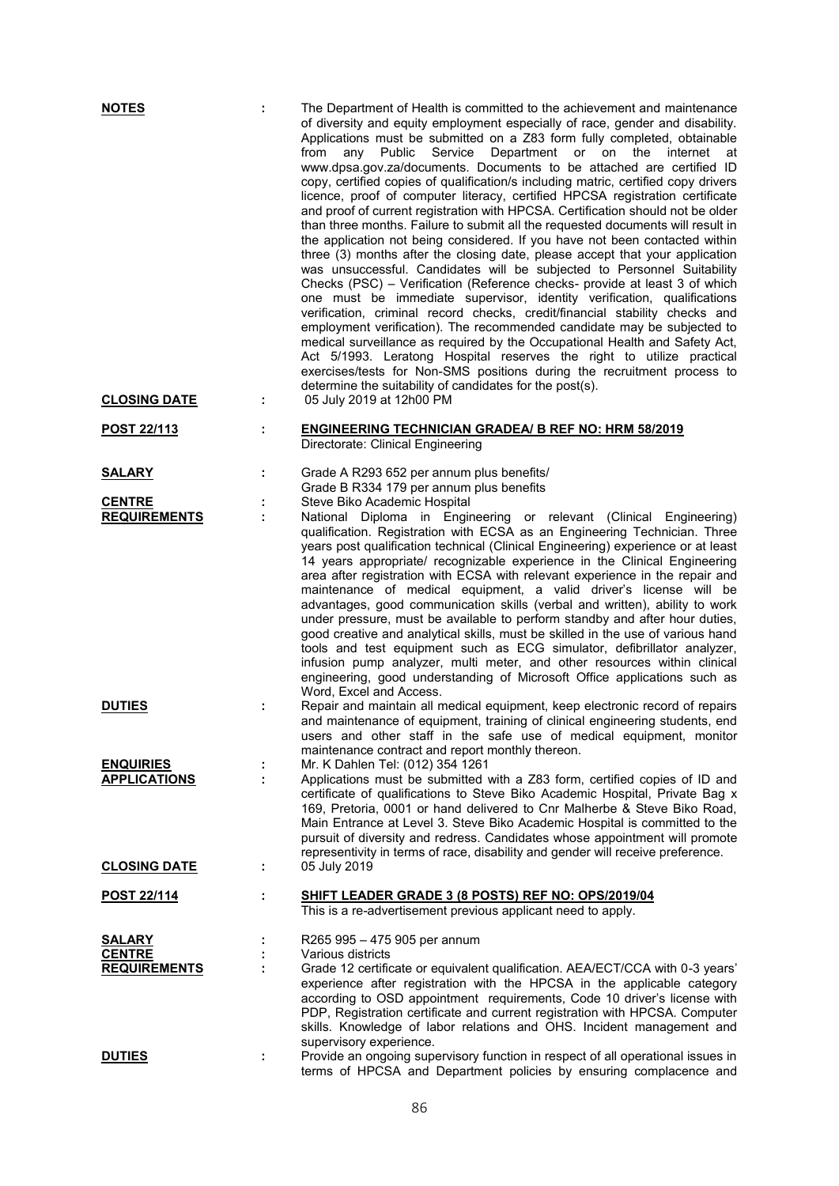| <b>NOTES</b>                                          | ÷  | The Department of Health is committed to the achievement and maintenance<br>of diversity and equity employment especially of race, gender and disability.<br>Applications must be submitted on a Z83 form fully completed, obtainable<br>from<br>Public<br>Service<br>Department<br>any<br>or<br>on<br>the<br>internet<br>at<br>www.dpsa.gov.za/documents. Documents to be attached are certified ID<br>copy, certified copies of qualification/s including matric, certified copy drivers<br>licence, proof of computer literacy, certified HPCSA registration certificate<br>and proof of current registration with HPCSA. Certification should not be older<br>than three months. Failure to submit all the requested documents will result in<br>the application not being considered. If you have not been contacted within<br>three (3) months after the closing date, please accept that your application<br>was unsuccessful. Candidates will be subjected to Personnel Suitability<br>Checks (PSC) - Verification (Reference checks- provide at least 3 of which<br>one must be immediate supervisor, identity verification, qualifications<br>verification, criminal record checks, credit/financial stability checks and<br>employment verification). The recommended candidate may be subjected to<br>medical surveillance as required by the Occupational Health and Safety Act,<br>Act 5/1993. Leratong Hospital reserves the right to utilize practical<br>exercises/tests for Non-SMS positions during the recruitment process to<br>determine the suitability of candidates for the post(s). |
|-------------------------------------------------------|----|---------------------------------------------------------------------------------------------------------------------------------------------------------------------------------------------------------------------------------------------------------------------------------------------------------------------------------------------------------------------------------------------------------------------------------------------------------------------------------------------------------------------------------------------------------------------------------------------------------------------------------------------------------------------------------------------------------------------------------------------------------------------------------------------------------------------------------------------------------------------------------------------------------------------------------------------------------------------------------------------------------------------------------------------------------------------------------------------------------------------------------------------------------------------------------------------------------------------------------------------------------------------------------------------------------------------------------------------------------------------------------------------------------------------------------------------------------------------------------------------------------------------------------------------------------------------------------------------------------------|
| <b>CLOSING DATE</b>                                   | ÷. | 05 July 2019 at 12h00 PM                                                                                                                                                                                                                                                                                                                                                                                                                                                                                                                                                                                                                                                                                                                                                                                                                                                                                                                                                                                                                                                                                                                                                                                                                                                                                                                                                                                                                                                                                                                                                                                      |
| POST 22/113                                           | t. | <b>ENGINEERING TECHNICIAN GRADEA/ B REF NO: HRM 58/2019</b><br>Directorate: Clinical Engineering                                                                                                                                                                                                                                                                                                                                                                                                                                                                                                                                                                                                                                                                                                                                                                                                                                                                                                                                                                                                                                                                                                                                                                                                                                                                                                                                                                                                                                                                                                              |
| <b>SALARY</b>                                         | t. | Grade A R293 652 per annum plus benefits/<br>Grade B R334 179 per annum plus benefits                                                                                                                                                                                                                                                                                                                                                                                                                                                                                                                                                                                                                                                                                                                                                                                                                                                                                                                                                                                                                                                                                                                                                                                                                                                                                                                                                                                                                                                                                                                         |
| <b>CENTRE</b><br><b>REQUIREMENTS</b>                  |    | Steve Biko Academic Hospital<br>National Diploma in Engineering or relevant (Clinical Engineering)<br>qualification. Registration with ECSA as an Engineering Technician. Three<br>years post qualification technical (Clinical Engineering) experience or at least<br>14 years appropriate/ recognizable experience in the Clinical Engineering<br>area after registration with ECSA with relevant experience in the repair and<br>maintenance of medical equipment, a valid driver's license will be<br>advantages, good communication skills (verbal and written), ability to work<br>under pressure, must be available to perform standby and after hour duties,<br>good creative and analytical skills, must be skilled in the use of various hand<br>tools and test equipment such as ECG simulator, defibrillator analyzer,<br>infusion pump analyzer, multi meter, and other resources within clinical<br>engineering, good understanding of Microsoft Office applications such as<br>Word, Excel and Access.                                                                                                                                                                                                                                                                                                                                                                                                                                                                                                                                                                                         |
| <b>DUTIES</b>                                         | I, | Repair and maintain all medical equipment, keep electronic record of repairs<br>and maintenance of equipment, training of clinical engineering students, end<br>users and other staff in the safe use of medical equipment, monitor<br>maintenance contract and report monthly thereon.                                                                                                                                                                                                                                                                                                                                                                                                                                                                                                                                                                                                                                                                                                                                                                                                                                                                                                                                                                                                                                                                                                                                                                                                                                                                                                                       |
| <b>ENQUIRIES</b><br><b>APPLICATIONS</b>               |    | Mr. K Dahlen Tel: (012) 354 1261<br>Applications must be submitted with a Z83 form, certified copies of ID and<br>certificate of qualifications to Steve Biko Academic Hospital, Private Bag x<br>169, Pretoria, 0001 or hand delivered to Cnr Malherbe & Steve Biko Road,<br>Main Entrance at Level 3. Steve Biko Academic Hospital is committed to the<br>pursuit of diversity and redress. Candidates whose appointment will promote<br>representivity in terms of race, disability and gender will receive preference.                                                                                                                                                                                                                                                                                                                                                                                                                                                                                                                                                                                                                                                                                                                                                                                                                                                                                                                                                                                                                                                                                    |
| <b>CLOSING DATE</b>                                   | ÷  | 05 July 2019                                                                                                                                                                                                                                                                                                                                                                                                                                                                                                                                                                                                                                                                                                                                                                                                                                                                                                                                                                                                                                                                                                                                                                                                                                                                                                                                                                                                                                                                                                                                                                                                  |
| <b>POST 22/114</b>                                    | ÷  | SHIFT LEADER GRADE 3 (8 POSTS) REF NO: OPS/2019/04<br>This is a re-advertisement previous applicant need to apply.                                                                                                                                                                                                                                                                                                                                                                                                                                                                                                                                                                                                                                                                                                                                                                                                                                                                                                                                                                                                                                                                                                                                                                                                                                                                                                                                                                                                                                                                                            |
| <b>SALARY</b><br><b>CENTRE</b><br><b>REQUIREMENTS</b> | ÷  | R265 995 - 475 905 per annum<br>Various districts<br>Grade 12 certificate or equivalent qualification. AEA/ECT/CCA with 0-3 years'<br>experience after registration with the HPCSA in the applicable category<br>according to OSD appointment requirements, Code 10 driver's license with<br>PDP, Registration certificate and current registration with HPCSA. Computer<br>skills. Knowledge of labor relations and OHS. Incident management and                                                                                                                                                                                                                                                                                                                                                                                                                                                                                                                                                                                                                                                                                                                                                                                                                                                                                                                                                                                                                                                                                                                                                             |
| <b>DUTIES</b>                                         | ÷  | supervisory experience.<br>Provide an ongoing supervisory function in respect of all operational issues in<br>terms of HPCSA and Department policies by ensuring complacence and                                                                                                                                                                                                                                                                                                                                                                                                                                                                                                                                                                                                                                                                                                                                                                                                                                                                                                                                                                                                                                                                                                                                                                                                                                                                                                                                                                                                                              |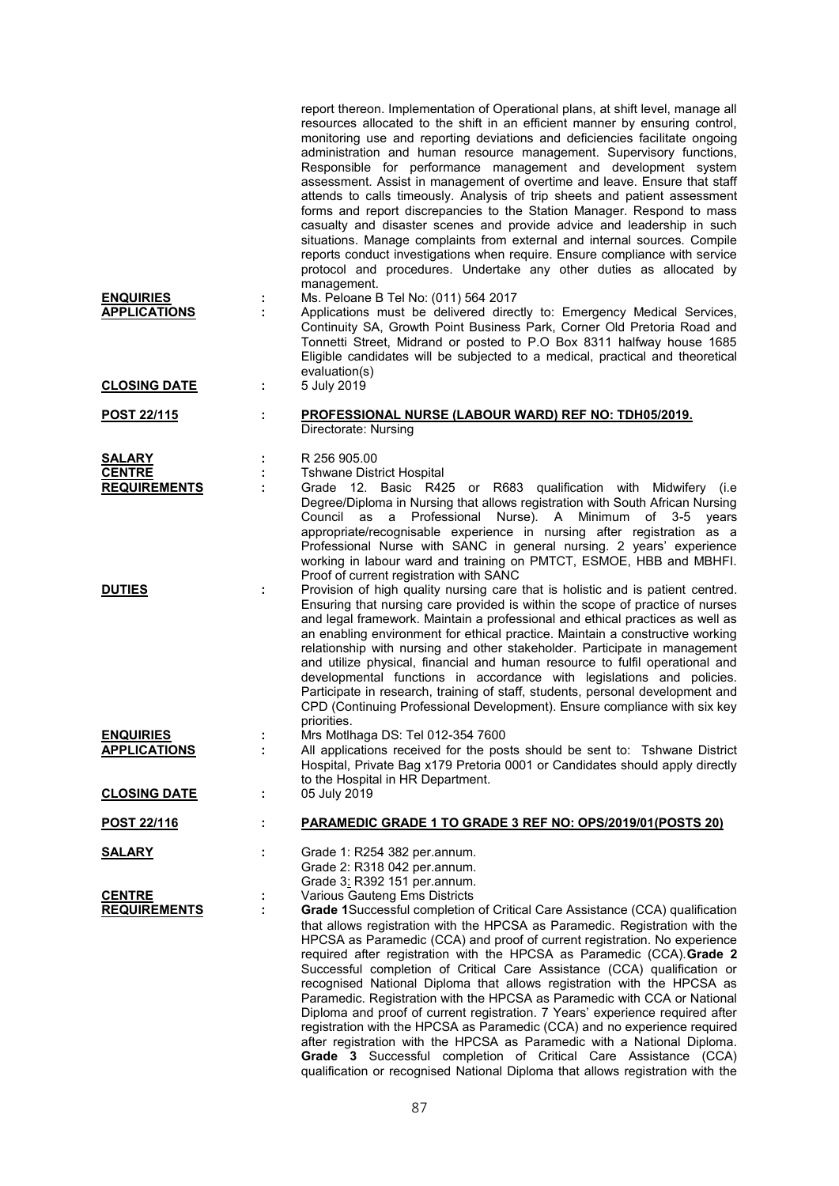|                     |   | report thereon. Implementation of Operational plans, at shift level, manage all<br>resources allocated to the shift in an efficient manner by ensuring control,<br>monitoring use and reporting deviations and deficiencies facilitate ongoing<br>administration and human resource management. Supervisory functions,<br>Responsible for performance management and development system<br>assessment. Assist in management of overtime and leave. Ensure that staff<br>attends to calls timeously. Analysis of trip sheets and patient assessment<br>forms and report discrepancies to the Station Manager. Respond to mass<br>casualty and disaster scenes and provide advice and leadership in such<br>situations. Manage complaints from external and internal sources. Compile<br>reports conduct investigations when require. Ensure compliance with service<br>protocol and procedures. Undertake any other duties as allocated by<br>management. |
|---------------------|---|----------------------------------------------------------------------------------------------------------------------------------------------------------------------------------------------------------------------------------------------------------------------------------------------------------------------------------------------------------------------------------------------------------------------------------------------------------------------------------------------------------------------------------------------------------------------------------------------------------------------------------------------------------------------------------------------------------------------------------------------------------------------------------------------------------------------------------------------------------------------------------------------------------------------------------------------------------|
| <b>ENQUIRIES</b>    |   | Ms. Peloane B Tel No: (011) 564 2017                                                                                                                                                                                                                                                                                                                                                                                                                                                                                                                                                                                                                                                                                                                                                                                                                                                                                                                     |
| <b>APPLICATIONS</b> |   | Applications must be delivered directly to: Emergency Medical Services,<br>Continuity SA, Growth Point Business Park, Corner Old Pretoria Road and<br>Tonnetti Street, Midrand or posted to P.O Box 8311 halfway house 1685<br>Eligible candidates will be subjected to a medical, practical and theoretical<br>evaluation(s)                                                                                                                                                                                                                                                                                                                                                                                                                                                                                                                                                                                                                            |
| <b>CLOSING DATE</b> | ÷ | 5 July 2019                                                                                                                                                                                                                                                                                                                                                                                                                                                                                                                                                                                                                                                                                                                                                                                                                                                                                                                                              |
| <u>POST 22/115</u>  |   | <b>PROFESSIONAL NURSE (LABOUR WARD) REF NO: TDH05/2019.</b><br>Directorate: Nursing                                                                                                                                                                                                                                                                                                                                                                                                                                                                                                                                                                                                                                                                                                                                                                                                                                                                      |
| <b>SALARY</b>       |   | R 256 905.00                                                                                                                                                                                                                                                                                                                                                                                                                                                                                                                                                                                                                                                                                                                                                                                                                                                                                                                                             |
| <b>CENTRE</b>       |   | <b>Tshwane District Hospital</b>                                                                                                                                                                                                                                                                                                                                                                                                                                                                                                                                                                                                                                                                                                                                                                                                                                                                                                                         |
| <b>REQUIREMENTS</b> |   | Grade 12. Basic R425 or R683 qualification with Midwifery (i.e<br>Degree/Diploma in Nursing that allows registration with South African Nursing<br>a Professional Nurse). A<br>Council as<br>Minimum<br>of $3-5$<br>years<br>appropriate/recognisable experience in nursing after registration as a<br>Professional Nurse with SANC in general nursing. 2 years' experience<br>working in labour ward and training on PMTCT, ESMOE, HBB and MBHFI.                                                                                                                                                                                                                                                                                                                                                                                                                                                                                                       |
| <b>DUTIES</b>       |   | Proof of current registration with SANC<br>Provision of high quality nursing care that is holistic and is patient centred.<br>Ensuring that nursing care provided is within the scope of practice of nurses<br>and legal framework. Maintain a professional and ethical practices as well as<br>an enabling environment for ethical practice. Maintain a constructive working<br>relationship with nursing and other stakeholder. Participate in management<br>and utilize physical, financial and human resource to fulfil operational and<br>developmental functions in accordance with legislations and policies.<br>Participate in research, training of staff, students, personal development and<br>CPD (Continuing Professional Development). Ensure compliance with six key<br>priorities.                                                                                                                                                       |
| <u>ENQUIRIES</u>    |   | Mrs Motlhaga DS: Tel 012-354 7600                                                                                                                                                                                                                                                                                                                                                                                                                                                                                                                                                                                                                                                                                                                                                                                                                                                                                                                        |
| <b>APPLICATIONS</b> |   | All applications received for the posts should be sent to: Tshwane District<br>Hospital, Private Bag x179 Pretoria 0001 or Candidates should apply directly<br>to the Hospital in HR Department.                                                                                                                                                                                                                                                                                                                                                                                                                                                                                                                                                                                                                                                                                                                                                         |
| <b>CLOSING DATE</b> | ÷ | 05 July 2019                                                                                                                                                                                                                                                                                                                                                                                                                                                                                                                                                                                                                                                                                                                                                                                                                                                                                                                                             |
| <u>POST 22/116</u>  | ÷ | <b>PARAMEDIC GRADE 1 TO GRADE 3 REF NO: OPS/2019/01(POSTS 20)</b>                                                                                                                                                                                                                                                                                                                                                                                                                                                                                                                                                                                                                                                                                                                                                                                                                                                                                        |
| <u>SALARY</u>       |   | Grade 1: R254 382 per.annum.<br>Grade 2: R318 042 per.annum.<br>Grade 3: R392 151 per.annum.                                                                                                                                                                                                                                                                                                                                                                                                                                                                                                                                                                                                                                                                                                                                                                                                                                                             |
| <b>CENTRE</b>       |   | Various Gauteng Ems Districts                                                                                                                                                                                                                                                                                                                                                                                                                                                                                                                                                                                                                                                                                                                                                                                                                                                                                                                            |
| <b>REQUIREMENTS</b> | ÷ | Grade 1Successful completion of Critical Care Assistance (CCA) qualification<br>that allows registration with the HPCSA as Paramedic. Registration with the<br>HPCSA as Paramedic (CCA) and proof of current registration. No experience<br>required after registration with the HPCSA as Paramedic (CCA). Grade 2<br>Successful completion of Critical Care Assistance (CCA) qualification or<br>recognised National Diploma that allows registration with the HPCSA as<br>Paramedic. Registration with the HPCSA as Paramedic with CCA or National<br>Diploma and proof of current registration. 7 Years' experience required after<br>registration with the HPCSA as Paramedic (CCA) and no experience required<br>after registration with the HPCSA as Paramedic with a National Diploma.<br>Grade 3 Successful completion of Critical Care Assistance (CCA)<br>qualification or recognised National Diploma that allows registration with the       |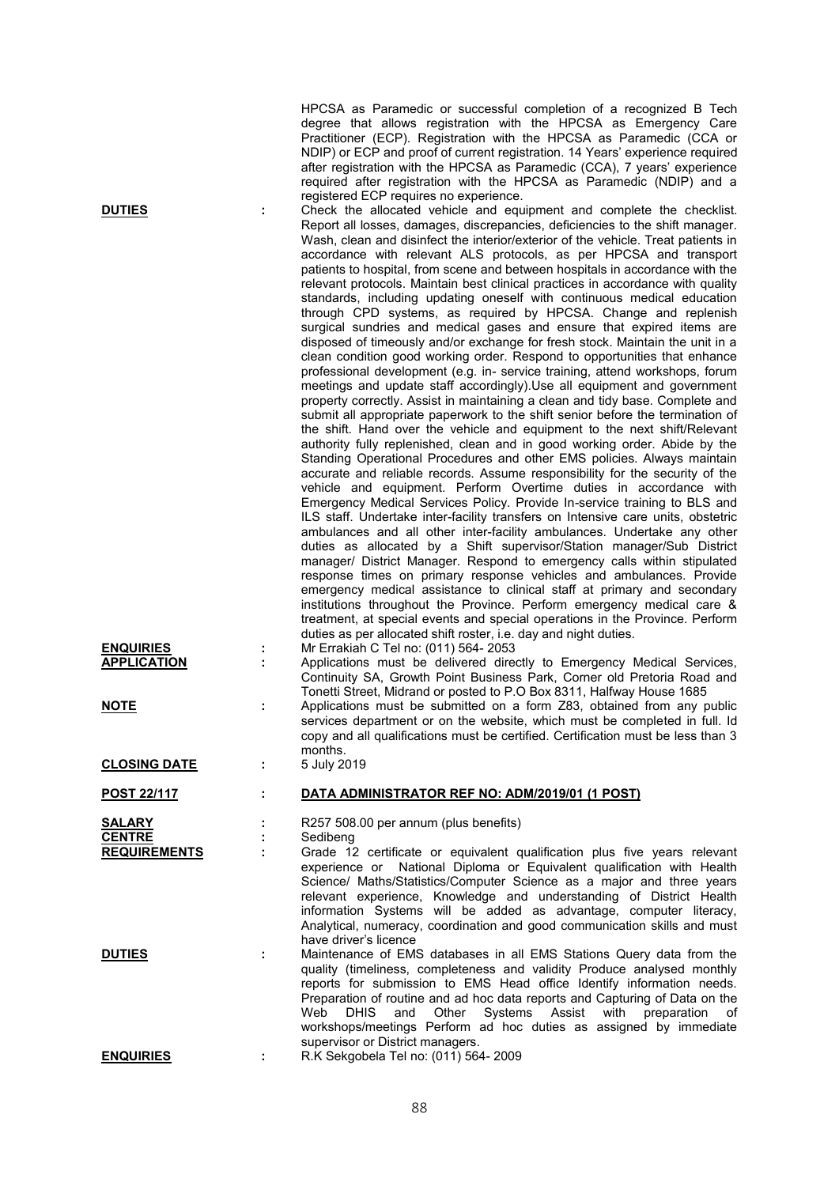|                                        |   | HPCSA as Paramedic or successful completion of a recognized B Tech<br>degree that allows registration with the HPCSA as Emergency Care<br>Practitioner (ECP). Registration with the HPCSA as Paramedic (CCA or<br>NDIP) or ECP and proof of current registration. 14 Years' experience required<br>after registration with the HPCSA as Paramedic (CCA), 7 years' experience<br>required after registration with the HPCSA as Paramedic (NDIP) and a<br>registered ECP requires no experience.                                                                                                                                                                                                                                                                                                                                                                                                                                                                                                                                                                                                                                                                                                                                                                                                                                                                                                                                                                                                                                                                                                                                                                                                                                                                                                                                                                                                                                                                                                                                                                                                                                                                                                                                                                                                                    |
|----------------------------------------|---|-------------------------------------------------------------------------------------------------------------------------------------------------------------------------------------------------------------------------------------------------------------------------------------------------------------------------------------------------------------------------------------------------------------------------------------------------------------------------------------------------------------------------------------------------------------------------------------------------------------------------------------------------------------------------------------------------------------------------------------------------------------------------------------------------------------------------------------------------------------------------------------------------------------------------------------------------------------------------------------------------------------------------------------------------------------------------------------------------------------------------------------------------------------------------------------------------------------------------------------------------------------------------------------------------------------------------------------------------------------------------------------------------------------------------------------------------------------------------------------------------------------------------------------------------------------------------------------------------------------------------------------------------------------------------------------------------------------------------------------------------------------------------------------------------------------------------------------------------------------------------------------------------------------------------------------------------------------------------------------------------------------------------------------------------------------------------------------------------------------------------------------------------------------------------------------------------------------------------------------------------------------------------------------------------------------------|
| <b>DUTIES</b>                          | t | Check the allocated vehicle and equipment and complete the checklist.<br>Report all losses, damages, discrepancies, deficiencies to the shift manager.<br>Wash, clean and disinfect the interior/exterior of the vehicle. Treat patients in<br>accordance with relevant ALS protocols, as per HPCSA and transport<br>patients to hospital, from scene and between hospitals in accordance with the<br>relevant protocols. Maintain best clinical practices in accordance with quality<br>standards, including updating oneself with continuous medical education<br>through CPD systems, as required by HPCSA. Change and replenish<br>surgical sundries and medical gases and ensure that expired items are<br>disposed of timeously and/or exchange for fresh stock. Maintain the unit in a<br>clean condition good working order. Respond to opportunities that enhance<br>professional development (e.g. in- service training, attend workshops, forum<br>meetings and update staff accordingly). Use all equipment and government<br>property correctly. Assist in maintaining a clean and tidy base. Complete and<br>submit all appropriate paperwork to the shift senior before the termination of<br>the shift. Hand over the vehicle and equipment to the next shift/Relevant<br>authority fully replenished, clean and in good working order. Abide by the<br>Standing Operational Procedures and other EMS policies. Always maintain<br>accurate and reliable records. Assume responsibility for the security of the<br>vehicle and equipment. Perform Overtime duties in accordance with<br>Emergency Medical Services Policy. Provide In-service training to BLS and<br>ILS staff. Undertake inter-facility transfers on Intensive care units, obstetric<br>ambulances and all other inter-facility ambulances. Undertake any other<br>duties as allocated by a Shift supervisor/Station manager/Sub District<br>manager/ District Manager. Respond to emergency calls within stipulated<br>response times on primary response vehicles and ambulances. Provide<br>emergency medical assistance to clinical staff at primary and secondary<br>institutions throughout the Province. Perform emergency medical care &<br>treatment, at special events and special operations in the Province. Perform |
| <b>ENQUIRIES</b><br><b>APPLICATION</b> |   | duties as per allocated shift roster, i.e. day and night duties.<br>Mr Errakiah C Tel no: (011) 564- 2053<br>Applications must be delivered directly to Emergency Medical Services,<br>Continuity SA, Growth Point Business Park, Corner old Pretoria Road and<br>Tonetti Street, Midrand or posted to P.O Box 8311, Halfway House 1685                                                                                                                                                                                                                                                                                                                                                                                                                                                                                                                                                                                                                                                                                                                                                                                                                                                                                                                                                                                                                                                                                                                                                                                                                                                                                                                                                                                                                                                                                                                                                                                                                                                                                                                                                                                                                                                                                                                                                                           |
| <b>NOTE</b>                            | ÷ | Applications must be submitted on a form Z83, obtained from any public<br>services department or on the website, which must be completed in full. Id<br>copy and all qualifications must be certified. Certification must be less than 3<br>months.                                                                                                                                                                                                                                                                                                                                                                                                                                                                                                                                                                                                                                                                                                                                                                                                                                                                                                                                                                                                                                                                                                                                                                                                                                                                                                                                                                                                                                                                                                                                                                                                                                                                                                                                                                                                                                                                                                                                                                                                                                                               |
| <b>CLOSING DATE</b>                    | ÷ | 5 July 2019                                                                                                                                                                                                                                                                                                                                                                                                                                                                                                                                                                                                                                                                                                                                                                                                                                                                                                                                                                                                                                                                                                                                                                                                                                                                                                                                                                                                                                                                                                                                                                                                                                                                                                                                                                                                                                                                                                                                                                                                                                                                                                                                                                                                                                                                                                       |
| <b>POST 22/117</b>                     | ÷ | DATA ADMINISTRATOR REF NO: ADM/2019/01 (1 POST)                                                                                                                                                                                                                                                                                                                                                                                                                                                                                                                                                                                                                                                                                                                                                                                                                                                                                                                                                                                                                                                                                                                                                                                                                                                                                                                                                                                                                                                                                                                                                                                                                                                                                                                                                                                                                                                                                                                                                                                                                                                                                                                                                                                                                                                                   |
| <b>SALARY</b>                          |   | R257 508.00 per annum (plus benefits)                                                                                                                                                                                                                                                                                                                                                                                                                                                                                                                                                                                                                                                                                                                                                                                                                                                                                                                                                                                                                                                                                                                                                                                                                                                                                                                                                                                                                                                                                                                                                                                                                                                                                                                                                                                                                                                                                                                                                                                                                                                                                                                                                                                                                                                                             |
| <b>CENTRE</b>                          | ÷ | Sedibeng                                                                                                                                                                                                                                                                                                                                                                                                                                                                                                                                                                                                                                                                                                                                                                                                                                                                                                                                                                                                                                                                                                                                                                                                                                                                                                                                                                                                                                                                                                                                                                                                                                                                                                                                                                                                                                                                                                                                                                                                                                                                                                                                                                                                                                                                                                          |
| <b>REQUIREMENTS</b>                    |   | Grade 12 certificate or equivalent qualification plus five years relevant<br>experience or National Diploma or Equivalent qualification with Health<br>Science/ Maths/Statistics/Computer Science as a major and three years<br>relevant experience, Knowledge and understanding of District Health<br>information Systems will be added as advantage, computer literacy,<br>Analytical, numeracy, coordination and good communication skills and must<br>have driver's licence                                                                                                                                                                                                                                                                                                                                                                                                                                                                                                                                                                                                                                                                                                                                                                                                                                                                                                                                                                                                                                                                                                                                                                                                                                                                                                                                                                                                                                                                                                                                                                                                                                                                                                                                                                                                                                   |
| <b>DUTIES</b>                          | ÷ | Maintenance of EMS databases in all EMS Stations Query data from the<br>quality (timeliness, completeness and validity Produce analysed monthly<br>reports for submission to EMS Head office Identify information needs.<br>Preparation of routine and ad hoc data reports and Capturing of Data on the<br>Web<br><b>DHIS</b><br>Systems Assist with preparation<br>and<br>Other<br>of<br>workshops/meetings Perform ad hoc duties as assigned by immediate<br>supervisor or District managers.                                                                                                                                                                                                                                                                                                                                                                                                                                                                                                                                                                                                                                                                                                                                                                                                                                                                                                                                                                                                                                                                                                                                                                                                                                                                                                                                                                                                                                                                                                                                                                                                                                                                                                                                                                                                                   |
| <b>ENQUIRIES</b>                       |   | R.K Sekgobela Tel no: (011) 564- 2009                                                                                                                                                                                                                                                                                                                                                                                                                                                                                                                                                                                                                                                                                                                                                                                                                                                                                                                                                                                                                                                                                                                                                                                                                                                                                                                                                                                                                                                                                                                                                                                                                                                                                                                                                                                                                                                                                                                                                                                                                                                                                                                                                                                                                                                                             |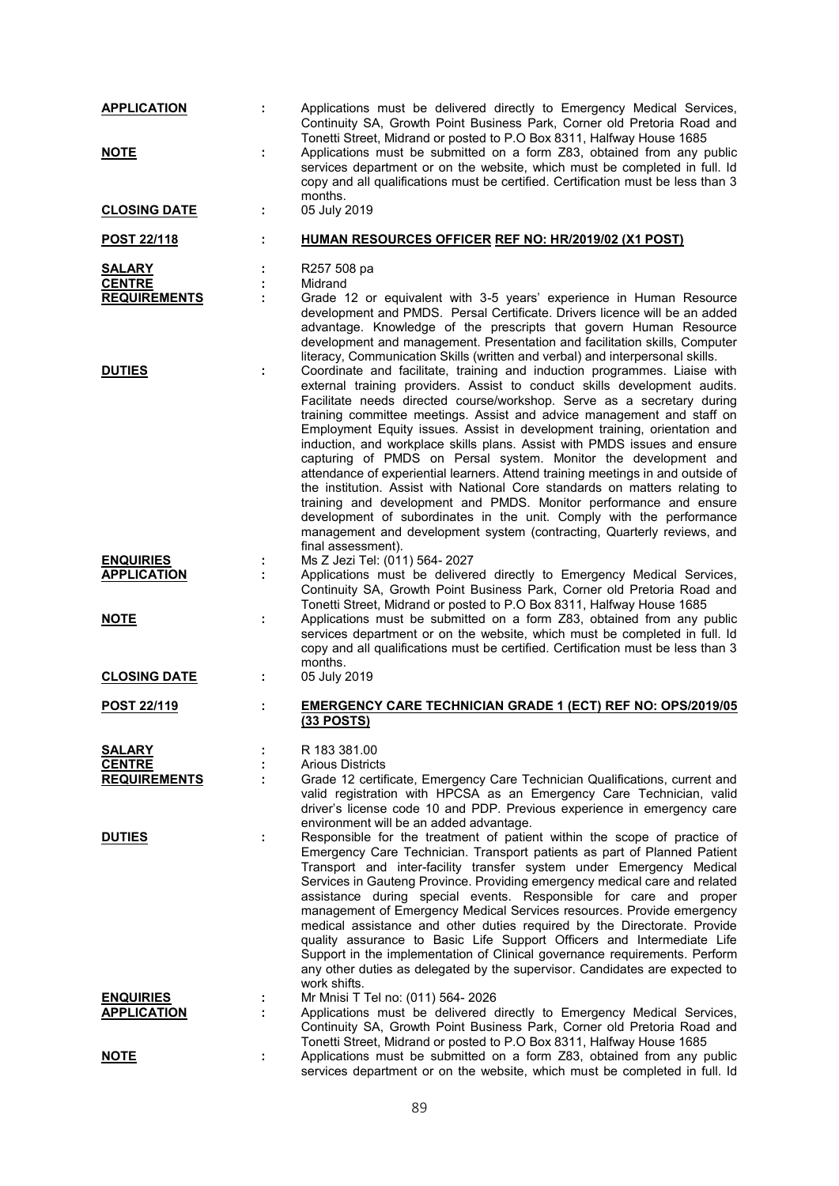| <b>APPLICATION</b>                   | ÷. | Applications must be delivered directly to Emergency Medical Services,<br>Continuity SA, Growth Point Business Park, Corner old Pretoria Road and<br>Tonetti Street, Midrand or posted to P.O Box 8311, Halfway House 1685                                                                                                                                                                                                                                                                                                                                                                                                                                                                                                                                                                                                                                                                                                       |
|--------------------------------------|----|----------------------------------------------------------------------------------------------------------------------------------------------------------------------------------------------------------------------------------------------------------------------------------------------------------------------------------------------------------------------------------------------------------------------------------------------------------------------------------------------------------------------------------------------------------------------------------------------------------------------------------------------------------------------------------------------------------------------------------------------------------------------------------------------------------------------------------------------------------------------------------------------------------------------------------|
| <b>NOTE</b>                          | ÷  | Applications must be submitted on a form Z83, obtained from any public<br>services department or on the website, which must be completed in full. Id<br>copy and all qualifications must be certified. Certification must be less than 3<br>months.                                                                                                                                                                                                                                                                                                                                                                                                                                                                                                                                                                                                                                                                              |
| <b>CLOSING DATE</b>                  | ÷  | 05 July 2019                                                                                                                                                                                                                                                                                                                                                                                                                                                                                                                                                                                                                                                                                                                                                                                                                                                                                                                     |
| <u>POST 22/118</u>                   | ÷  | HUMAN RESOURCES OFFICER REF NO: HR/2019/02 (X1 POST)                                                                                                                                                                                                                                                                                                                                                                                                                                                                                                                                                                                                                                                                                                                                                                                                                                                                             |
| <b>SALARY</b>                        |    | R257 508 pa                                                                                                                                                                                                                                                                                                                                                                                                                                                                                                                                                                                                                                                                                                                                                                                                                                                                                                                      |
| <b>CENTRE</b><br><b>REQUIREMENTS</b> | ÷  | Midrand<br>Grade 12 or equivalent with 3-5 years' experience in Human Resource                                                                                                                                                                                                                                                                                                                                                                                                                                                                                                                                                                                                                                                                                                                                                                                                                                                   |
|                                      |    | development and PMDS. Persal Certificate. Drivers licence will be an added<br>advantage. Knowledge of the prescripts that govern Human Resource<br>development and management. Presentation and facilitation skills, Computer<br>literacy, Communication Skills (written and verbal) and interpersonal skills.                                                                                                                                                                                                                                                                                                                                                                                                                                                                                                                                                                                                                   |
| <b>DUTIES</b>                        | ÷  | Coordinate and facilitate, training and induction programmes. Liaise with<br>external training providers. Assist to conduct skills development audits.<br>Facilitate needs directed course/workshop. Serve as a secretary during<br>training committee meetings. Assist and advice management and staff on<br>Employment Equity issues. Assist in development training, orientation and<br>induction, and workplace skills plans. Assist with PMDS issues and ensure<br>capturing of PMDS on Persal system. Monitor the development and<br>attendance of experiential learners. Attend training meetings in and outside of<br>the institution. Assist with National Core standards on matters relating to<br>training and development and PMDS. Monitor performance and ensure<br>development of subordinates in the unit. Comply with the performance<br>management and development system (contracting, Quarterly reviews, and |
| <b>ENQUIRIES</b>                     | ÷, | final assessment).<br>Ms Z Jezi Tel: (011) 564- 2027                                                                                                                                                                                                                                                                                                                                                                                                                                                                                                                                                                                                                                                                                                                                                                                                                                                                             |
| <b>APPLICATION</b>                   | ÷  | Applications must be delivered directly to Emergency Medical Services,<br>Continuity SA, Growth Point Business Park, Corner old Pretoria Road and<br>Tonetti Street, Midrand or posted to P.O Box 8311, Halfway House 1685                                                                                                                                                                                                                                                                                                                                                                                                                                                                                                                                                                                                                                                                                                       |
| <b>NOTE</b>                          | ÷  | Applications must be submitted on a form Z83, obtained from any public<br>services department or on the website, which must be completed in full. Id<br>copy and all qualifications must be certified. Certification must be less than 3<br>months.                                                                                                                                                                                                                                                                                                                                                                                                                                                                                                                                                                                                                                                                              |
| <b>CLOSING DATE</b>                  | ÷  | 05 July 2019                                                                                                                                                                                                                                                                                                                                                                                                                                                                                                                                                                                                                                                                                                                                                                                                                                                                                                                     |
| POST 22/119                          | ÷  | <b>EMERGENCY CARE TECHNICIAN GRADE 1 (ECT) REF NO: OPS/2019/05</b><br>(33 POSTS)                                                                                                                                                                                                                                                                                                                                                                                                                                                                                                                                                                                                                                                                                                                                                                                                                                                 |
| <b>SALARY</b>                        |    | R 183 381.00                                                                                                                                                                                                                                                                                                                                                                                                                                                                                                                                                                                                                                                                                                                                                                                                                                                                                                                     |
| <b>CENTRE</b><br><b>REQUIREMENTS</b> |    | <b>Arious Districts</b><br>Grade 12 certificate, Emergency Care Technician Qualifications, current and                                                                                                                                                                                                                                                                                                                                                                                                                                                                                                                                                                                                                                                                                                                                                                                                                           |
|                                      |    | valid registration with HPCSA as an Emergency Care Technician, valid<br>driver's license code 10 and PDP. Previous experience in emergency care<br>environment will be an added advantage.                                                                                                                                                                                                                                                                                                                                                                                                                                                                                                                                                                                                                                                                                                                                       |
| <b>DUTIES</b>                        | ÷  | Responsible for the treatment of patient within the scope of practice of<br>Emergency Care Technician. Transport patients as part of Planned Patient<br>Transport and inter-facility transfer system under Emergency Medical<br>Services in Gauteng Province. Providing emergency medical care and related<br>assistance during special events. Responsible for care and proper<br>management of Emergency Medical Services resources. Provide emergency<br>medical assistance and other duties required by the Directorate. Provide<br>quality assurance to Basic Life Support Officers and Intermediate Life<br>Support in the implementation of Clinical governance requirements. Perform<br>any other duties as delegated by the supervisor. Candidates are expected to<br>work shifts.                                                                                                                                      |
| <b>ENQUIRIES</b>                     | ÷  | Mr Mnisi T Tel no: (011) 564-2026                                                                                                                                                                                                                                                                                                                                                                                                                                                                                                                                                                                                                                                                                                                                                                                                                                                                                                |
| <b>APPLICATION</b>                   |    | Applications must be delivered directly to Emergency Medical Services,<br>Continuity SA, Growth Point Business Park, Corner old Pretoria Road and<br>Tonetti Street, Midrand or posted to P.O Box 8311, Halfway House 1685                                                                                                                                                                                                                                                                                                                                                                                                                                                                                                                                                                                                                                                                                                       |
| <u>NOTE</u>                          | ÷  | Applications must be submitted on a form Z83, obtained from any public<br>services department or on the website, which must be completed in full. Id                                                                                                                                                                                                                                                                                                                                                                                                                                                                                                                                                                                                                                                                                                                                                                             |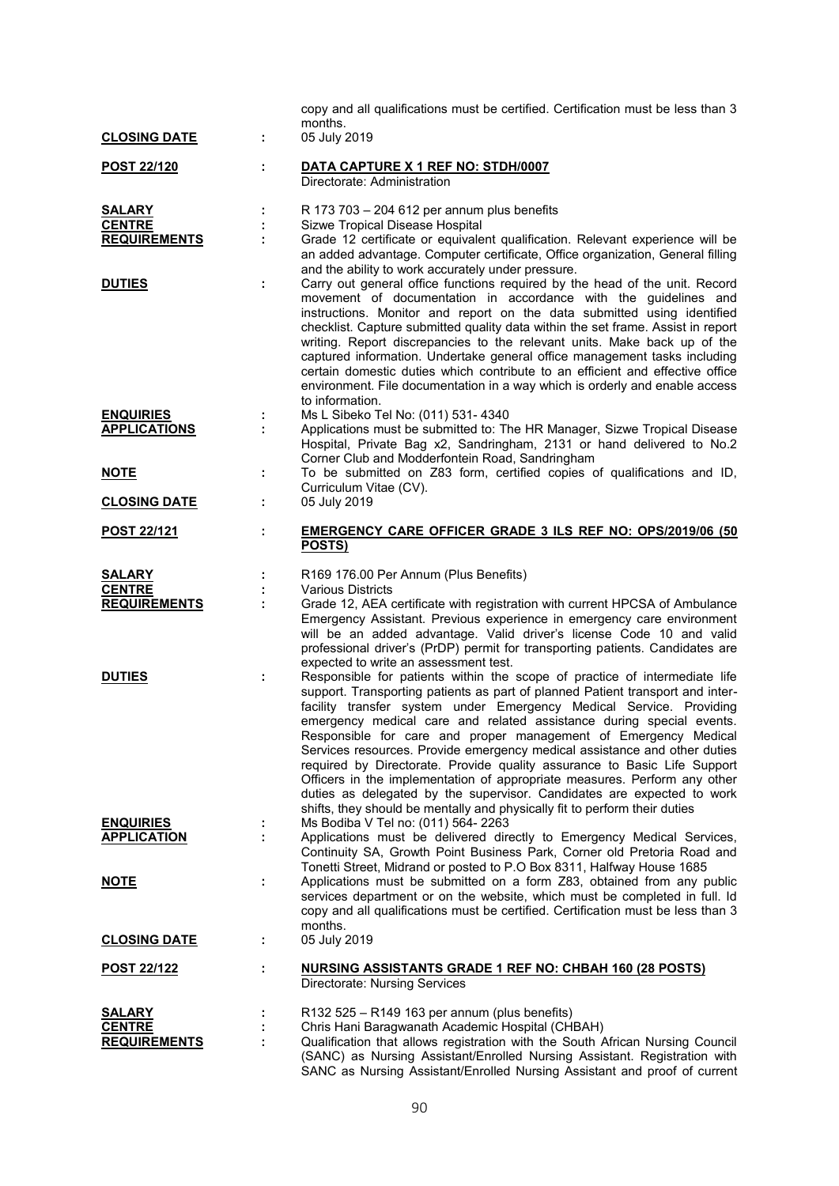| <b>CLOSING DATE</b>                                   | t. | copy and all qualifications must be certified. Certification must be less than 3<br>months.<br>05 July 2019                                                                                                                                                                                                                                                                                                                                                                                                                                                                                                                                                                                                                                                                  |
|-------------------------------------------------------|----|------------------------------------------------------------------------------------------------------------------------------------------------------------------------------------------------------------------------------------------------------------------------------------------------------------------------------------------------------------------------------------------------------------------------------------------------------------------------------------------------------------------------------------------------------------------------------------------------------------------------------------------------------------------------------------------------------------------------------------------------------------------------------|
| <u>POST 22/120</u>                                    |    | DATA CAPTURE X 1 REF NO: STDH/0007<br>Directorate: Administration                                                                                                                                                                                                                                                                                                                                                                                                                                                                                                                                                                                                                                                                                                            |
| <b>SALARY</b><br><b>CENTRE</b><br><b>REQUIREMENTS</b> |    | R 173 703 - 204 612 per annum plus benefits<br>Sizwe Tropical Disease Hospital<br>Grade 12 certificate or equivalent qualification. Relevant experience will be<br>an added advantage. Computer certificate, Office organization, General filling<br>and the ability to work accurately under pressure.                                                                                                                                                                                                                                                                                                                                                                                                                                                                      |
| <b>DUTIES</b>                                         |    | Carry out general office functions required by the head of the unit. Record<br>movement of documentation in accordance with the guidelines and<br>instructions. Monitor and report on the data submitted using identified<br>checklist. Capture submitted quality data within the set frame. Assist in report<br>writing. Report discrepancies to the relevant units. Make back up of the<br>captured information. Undertake general office management tasks including<br>certain domestic duties which contribute to an efficient and effective office<br>environment. File documentation in a way which is orderly and enable access<br>to information.                                                                                                                    |
| <b>ENQUIRIES</b><br><b>APPLICATIONS</b>               |    | Ms L Sibeko Tel No: (011) 531- 4340<br>Applications must be submitted to: The HR Manager, Sizwe Tropical Disease<br>Hospital, Private Bag x2, Sandringham, 2131 or hand delivered to No.2<br>Corner Club and Modderfontein Road, Sandringham                                                                                                                                                                                                                                                                                                                                                                                                                                                                                                                                 |
| <u>NOTE</u>                                           | ÷  | To be submitted on Z83 form, certified copies of qualifications and ID,<br>Curriculum Vitae (CV).                                                                                                                                                                                                                                                                                                                                                                                                                                                                                                                                                                                                                                                                            |
| <b>CLOSING DATE</b>                                   | ÷. | 05 July 2019                                                                                                                                                                                                                                                                                                                                                                                                                                                                                                                                                                                                                                                                                                                                                                 |
| <b>POST 22/121</b>                                    |    | <b>EMERGENCY CARE OFFICER GRADE 3 ILS REF NO: OPS/2019/06 (50)</b><br>POSTS)                                                                                                                                                                                                                                                                                                                                                                                                                                                                                                                                                                                                                                                                                                 |
| <b>SALARY</b><br><b>CENTRE</b>                        |    | R169 176.00 Per Annum (Plus Benefits)<br><b>Various Districts</b>                                                                                                                                                                                                                                                                                                                                                                                                                                                                                                                                                                                                                                                                                                            |
| <b>REQUIREMENTS</b>                                   |    | Grade 12, AEA certificate with registration with current HPCSA of Ambulance<br>Emergency Assistant. Previous experience in emergency care environment<br>will be an added advantage. Valid driver's license Code 10 and valid<br>professional driver's (PrDP) permit for transporting patients. Candidates are<br>expected to write an assessment test.                                                                                                                                                                                                                                                                                                                                                                                                                      |
| <b>DUTIES</b>                                         | ÷  | Responsible for patients within the scope of practice of intermediate life<br>support. Transporting patients as part of planned Patient transport and inter-<br>facility transfer system under Emergency Medical Service. Providing<br>emergency medical care and related assistance during special events.<br>Responsible for care and proper management of Emergency Medical<br>Services resources. Provide emergency medical assistance and other duties<br>required by Directorate. Provide quality assurance to Basic Life Support<br>Officers in the implementation of appropriate measures. Perform any other<br>duties as delegated by the supervisor. Candidates are expected to work<br>shifts, they should be mentally and physically fit to perform their duties |
| <b>ENQUIRIES</b><br><b>APPLICATION</b>                | ÷. | Ms Bodiba V Tel no: (011) 564- 2263<br>Applications must be delivered directly to Emergency Medical Services,<br>Continuity SA, Growth Point Business Park, Corner old Pretoria Road and<br>Tonetti Street, Midrand or posted to P.O Box 8311, Halfway House 1685                                                                                                                                                                                                                                                                                                                                                                                                                                                                                                            |
| <b>NOTE</b>                                           |    | Applications must be submitted on a form Z83, obtained from any public<br>services department or on the website, which must be completed in full. Id<br>copy and all qualifications must be certified. Certification must be less than 3<br>months.                                                                                                                                                                                                                                                                                                                                                                                                                                                                                                                          |
| <b>CLOSING DATE</b>                                   | ÷  | 05 July 2019                                                                                                                                                                                                                                                                                                                                                                                                                                                                                                                                                                                                                                                                                                                                                                 |
| <b>POST 22/122</b>                                    |    | NURSING ASSISTANTS GRADE 1 REF NO: CHBAH 160 (28 POSTS)<br>Directorate: Nursing Services                                                                                                                                                                                                                                                                                                                                                                                                                                                                                                                                                                                                                                                                                     |
| <b>SALARY</b><br><b>CENTRE</b><br><b>REQUIREMENTS</b> |    | $R132525 - R149163$ per annum (plus benefits)<br>Chris Hani Baragwanath Academic Hospital (CHBAH)<br>Qualification that allows registration with the South African Nursing Council<br>(SANC) as Nursing Assistant/Enrolled Nursing Assistant. Registration with<br>SANC as Nursing Assistant/Enrolled Nursing Assistant and proof of current                                                                                                                                                                                                                                                                                                                                                                                                                                 |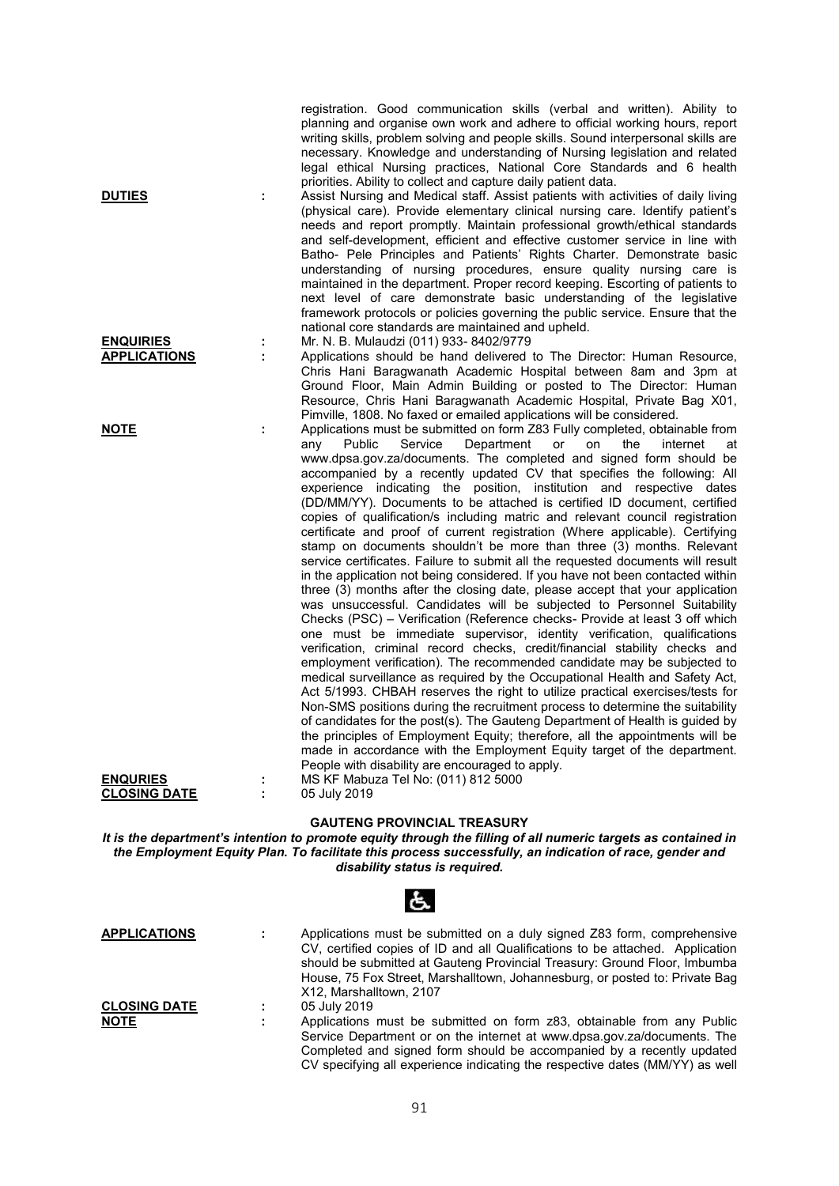| <b>DUTIES</b>                      |   | registration. Good communication skills (verbal and written). Ability to<br>planning and organise own work and adhere to official working hours, report<br>writing skills, problem solving and people skills. Sound interpersonal skills are<br>necessary. Knowledge and understanding of Nursing legislation and related<br>legal ethical Nursing practices, National Core Standards and 6 health<br>priorities. Ability to collect and capture daily patient data.<br>Assist Nursing and Medical staff. Assist patients with activities of daily living<br>(physical care). Provide elementary clinical nursing care. Identify patient's<br>needs and report promptly. Maintain professional growth/ethical standards<br>and self-development, efficient and effective customer service in line with<br>Batho- Pele Principles and Patients' Rights Charter. Demonstrate basic                                                                                                                                                                                                                                                                                                                                                                                                                                                                                                                                                                                                                                                                                                                                                                                                                                                                                                                                                                                                                                                                 |
|------------------------------------|---|--------------------------------------------------------------------------------------------------------------------------------------------------------------------------------------------------------------------------------------------------------------------------------------------------------------------------------------------------------------------------------------------------------------------------------------------------------------------------------------------------------------------------------------------------------------------------------------------------------------------------------------------------------------------------------------------------------------------------------------------------------------------------------------------------------------------------------------------------------------------------------------------------------------------------------------------------------------------------------------------------------------------------------------------------------------------------------------------------------------------------------------------------------------------------------------------------------------------------------------------------------------------------------------------------------------------------------------------------------------------------------------------------------------------------------------------------------------------------------------------------------------------------------------------------------------------------------------------------------------------------------------------------------------------------------------------------------------------------------------------------------------------------------------------------------------------------------------------------------------------------------------------------------------------------------------------------|
| <b>ENQUIRIES</b>                   |   | understanding of nursing procedures, ensure quality nursing care is<br>maintained in the department. Proper record keeping. Escorting of patients to<br>next level of care demonstrate basic understanding of the legislative<br>framework protocols or policies governing the public service. Ensure that the<br>national core standards are maintained and upheld.<br>Mr. N. B. Mulaudzi (011) 933-8402/9779                                                                                                                                                                                                                                                                                                                                                                                                                                                                                                                                                                                                                                                                                                                                                                                                                                                                                                                                                                                                                                                                                                                                                                                                                                                                                                                                                                                                                                                                                                                                   |
| <b>APPLICATIONS</b>                |   | Applications should be hand delivered to The Director: Human Resource,<br>Chris Hani Baragwanath Academic Hospital between 8am and 3pm at<br>Ground Floor, Main Admin Building or posted to The Director: Human<br>Resource, Chris Hani Baragwanath Academic Hospital, Private Bag X01,<br>Pimville, 1808. No faxed or emailed applications will be considered.                                                                                                                                                                                                                                                                                                                                                                                                                                                                                                                                                                                                                                                                                                                                                                                                                                                                                                                                                                                                                                                                                                                                                                                                                                                                                                                                                                                                                                                                                                                                                                                  |
| <b>NOTE</b><br><b>ENQURIES</b>     | ÷ | Applications must be submitted on form Z83 Fully completed, obtainable from<br>Public<br>Service<br>Department<br>internet<br>any<br>or<br>on<br>the<br>at<br>www.dpsa.gov.za/documents. The completed and signed form should be<br>accompanied by a recently updated CV that specifies the following: All<br>experience indicating the position, institution and respective dates<br>(DD/MM/YY). Documents to be attached is certified ID document, certified<br>copies of qualification/s including matric and relevant council registration<br>certificate and proof of current registration (Where applicable). Certifying<br>stamp on documents shouldn't be more than three (3) months. Relevant<br>service certificates. Failure to submit all the requested documents will result<br>in the application not being considered. If you have not been contacted within<br>three (3) months after the closing date, please accept that your application<br>was unsuccessful. Candidates will be subjected to Personnel Suitability<br>Checks (PSC) - Verification (Reference checks- Provide at least 3 off which<br>one must be immediate supervisor, identity verification, qualifications<br>verification, criminal record checks, credit/financial stability checks and<br>employment verification). The recommended candidate may be subjected to<br>medical surveillance as required by the Occupational Health and Safety Act,<br>Act 5/1993. CHBAH reserves the right to utilize practical exercises/tests for<br>Non-SMS positions during the recruitment process to determine the suitability<br>of candidates for the post(s). The Gauteng Department of Health is guided by<br>the principles of Employment Equity; therefore, all the appointments will be<br>made in accordance with the Employment Equity target of the department.<br>People with disability are encouraged to apply.<br>MS KF Mabuza Tel No: (011) 812 5000 |
| <b>CLOSING DATE</b>                | ÷ | 05 July 2019<br><b>GAUTENG PROVINCIAL TREASURY</b><br>It is the department's intention to promote equity through the filling of all numeric targets as contained in                                                                                                                                                                                                                                                                                                                                                                                                                                                                                                                                                                                                                                                                                                                                                                                                                                                                                                                                                                                                                                                                                                                                                                                                                                                                                                                                                                                                                                                                                                                                                                                                                                                                                                                                                                              |
|                                    |   | the Employment Equity Plan. To facilitate this process successfully, an indication of race, gender and<br>disability status is required.                                                                                                                                                                                                                                                                                                                                                                                                                                                                                                                                                                                                                                                                                                                                                                                                                                                                                                                                                                                                                                                                                                                                                                                                                                                                                                                                                                                                                                                                                                                                                                                                                                                                                                                                                                                                         |
|                                    |   | Ġ.                                                                                                                                                                                                                                                                                                                                                                                                                                                                                                                                                                                                                                                                                                                                                                                                                                                                                                                                                                                                                                                                                                                                                                                                                                                                                                                                                                                                                                                                                                                                                                                                                                                                                                                                                                                                                                                                                                                                               |
| <b>APPLICATIONS</b>                | ÷ | Applications must be submitted on a duly signed Z83 form, comprehensive<br>CV, certified copies of ID and all Qualifications to be attached. Application<br>should be submitted at Gauteng Provincial Treasury: Ground Floor, Imbumba<br>House, 75 Fox Street, Marshalltown, Johannesburg, or posted to: Private Bag<br>X12, Marshalltown, 2107                                                                                                                                                                                                                                                                                                                                                                                                                                                                                                                                                                                                                                                                                                                                                                                                                                                                                                                                                                                                                                                                                                                                                                                                                                                                                                                                                                                                                                                                                                                                                                                                  |
| <b>CLOSING DATE</b><br><b>NOTE</b> |   | 05 July 2019<br>Applications must be submitted on form z83, obtainable from any Public<br>Service Department or on the internet at www.dpsa.gov.za/documents. The<br>Completed and signed form should be accompanied by a recently updated                                                                                                                                                                                                                                                                                                                                                                                                                                                                                                                                                                                                                                                                                                                                                                                                                                                                                                                                                                                                                                                                                                                                                                                                                                                                                                                                                                                                                                                                                                                                                                                                                                                                                                       |

CV specifying all experience indicating the respective dates (MM/YY) as well